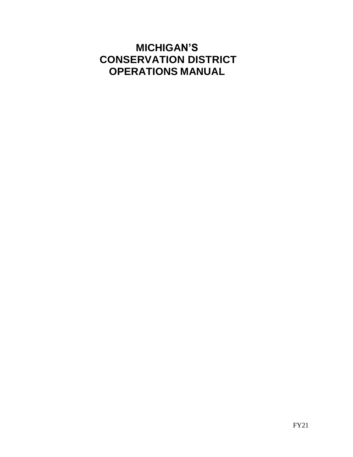# **MICHIGAN'S CONSERVATION DISTRICT OPERATIONS MANUAL**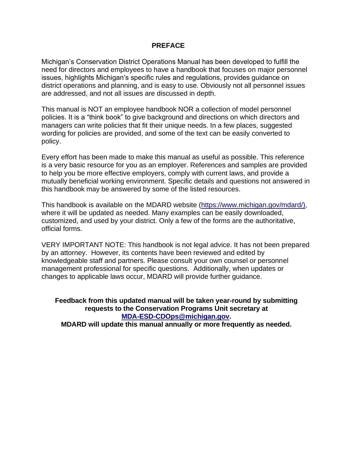#### **PREFACE**

Michigan's Conservation District Operations Manual has been developed to fulfill the need for directors and employees to have a handbook that focuses on major personnel issues, highlights Michigan's specific rules and regulations, provides guidance on district operations and planning, and is easy to use. Obviously not all personnel issues are addressed, and not all issues are discussed in depth.

This manual is NOT an employee handbook NOR a collection of model personnel policies. It is a "think book" to give background and directions on which directors and managers can write policies that fit their unique needs. In a few places, suggested wording for policies are provided, and some of the text can be easily converted to policy.

Every effort has been made to make this manual as useful as possible. This reference is a very basic resource for you as an employer. References and samples are provided to help you be more effective employers, comply with current laws, and provide a mutually beneficial working environment. Specific details and questions not answered in this handbook may be answered by some of the listed resources.

This handbook is available on the MDARD website [\(https://www.michigan.gov/mdard/\),](https://www.michigan.gov/mdard/)) where it will be updated as needed. Many examples can be easily downloaded, customized, and used by your district. Only a few of the forms are the authoritative, official forms.

VERY IMPORTANT NOTE: This handbook is not legal advice. It has not been prepared by an attorney. However, its contents have been reviewed and edited by knowledgeable staff and partners. Please consult your own counsel or personnel management professional for specific questions. Additionally, when updates or changes to applicable laws occur, MDARD will provide further guidance.

**Feedback from this updated manual will be taken year-round by submitting requests to the Conservation Programs Unit secretary at [MDA-ESD-CDOps@michigan.gov.](mailto:MDA-ESD-CDOps@michigan.gov) MDARD will update this manual annually or more frequently as needed.**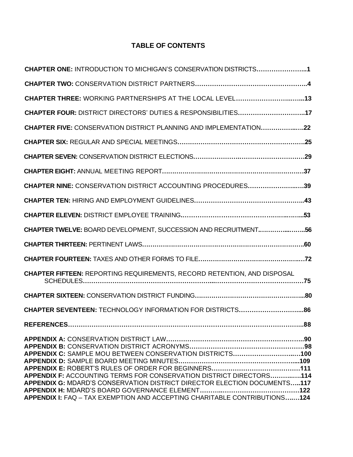# **TABLE OF CONTENTS**

| CHAPTER ONE: INTRODUCTION TO MICHIGAN'S CONSERVATION DISTRICTS1                                                                                                                                                              |     |
|------------------------------------------------------------------------------------------------------------------------------------------------------------------------------------------------------------------------------|-----|
|                                                                                                                                                                                                                              |     |
| CHAPTER THREE: WORKING PARTNERSHIPS AT THE LOCAL LEVEL13                                                                                                                                                                     |     |
| CHAPTER FOUR: DISTRICT DIRECTORS' DUTIES & RESPONSIBILITIES17                                                                                                                                                                |     |
| <b>CHAPTER FIVE: CONSERVATION DISTRICT PLANNING AND IMPLEMENTATION22</b>                                                                                                                                                     |     |
|                                                                                                                                                                                                                              |     |
|                                                                                                                                                                                                                              |     |
|                                                                                                                                                                                                                              |     |
| CHAPTER NINE: CONSERVATION DISTRICT ACCOUNTING PROCEDURES39                                                                                                                                                                  |     |
|                                                                                                                                                                                                                              |     |
|                                                                                                                                                                                                                              |     |
| CHAPTER TWELVE: BOARD DEVELOPMENT, SUCCESSION AND RECRUITMENT56                                                                                                                                                              |     |
|                                                                                                                                                                                                                              |     |
|                                                                                                                                                                                                                              |     |
| <b>CHAPTER FIFTEEN: REPORTING REQUIREMENTS, RECORD RETENTION, AND DISPOSAL</b>                                                                                                                                               |     |
|                                                                                                                                                                                                                              |     |
| CHAPTER SEVENTEEN: TECHNOLOGY INFORMATION FOR DISTRICTS86                                                                                                                                                                    |     |
| <b>REFERENCES</b>                                                                                                                                                                                                            | .88 |
| APPENDIX C: SAMPLE MOU BETWEEN CONSERVATION DISTRICTS100                                                                                                                                                                     |     |
| APPENDIX F: ACCOUNTING TERMS FOR CONSERVATION DISTRICT DIRECTORS114<br>APPENDIX G: MDARD'S CONSERVATION DISTRICT DIRECTOR ELECTION DOCUMENTS117<br>APPENDIX I: FAQ - TAX EXEMPTION AND ACCEPTING CHARITABLE CONTRIBUTIONS124 |     |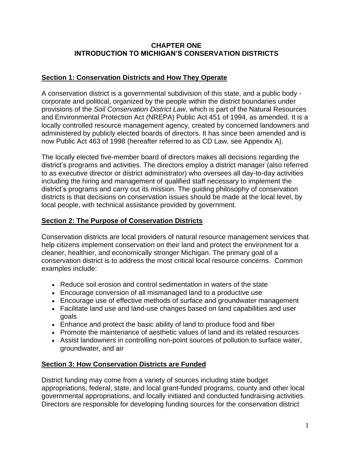#### **CHAPTER ONE INTRODUCTION TO MICHIGAN'S CONSERVATION DISTRICTS**

### **Section 1: Conservation Districts and How They Operate**

A conservation district is a governmental subdivision of this state, and a public body corporate and political, organized by the people within the district boundaries under provisions of the *Soil Conservation District Law*, which is part of the Natural Resources and Environmental Protection Act (NREPA) Public Act 451 of 1994, as amended. It is a locally controlled resource management agency, created by concerned landowners and administered by publicly elected boards of directors. It has since been amended and is now Public Act 463 of 1998 (hereafter referred to as CD Law, see Appendix A).

The locally elected five-member board of directors makes all decisions regarding the district's programs and activities. The directors employ a district manager (also referred to as executive director or district administrator) who oversees all day-to-day activities including the hiring and management of qualified staff necessary to implement the district's programs and carry out its mission. The guiding philosophy of conservation districts is that decisions on conservation issues should be made at the local level, by local people, with technical assistance provided by government.

# **Section 2: The Purpose of Conservation Districts**

Conservation districts are local providers of natural resource management services that help citizens implement conservation on their land and protect the environment for a cleaner, healthier, and economically stronger Michigan. The primary goal of a conservation district is to address the most critical local resource concerns. Common examples include:

- Reduce soil erosion and control sedimentation in waters of the state
- Encourage conversion of all mismanaged land to a productive use
- Encourage use of effective methods of surface and groundwater management
- Facilitate land use and land-use changes based on land capabilities and user goals
- Enhance and protect the basic ability of land to produce food and fiber
- Promote the maintenance of aesthetic values of land and its related resources
- Assist landowners in controlling non-point sources of pollution to surface water, groundwater, and air

### **Section 3: How Conservation Districts are Funded**

District funding may come from a variety of sources including state budget appropriations, federal, state, and local grant-funded programs, county and other local governmental appropriations, and locally initiated and conducted fundraising activities. Directors are responsible for developing funding sources for the conservation district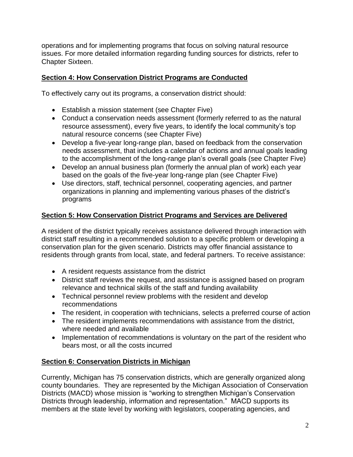operations and for implementing programs that focus on solving natural resource issues. For more detailed information regarding funding sources for districts, refer to Chapter Sixteen.

# **Section 4: How Conservation District Programs are Conducted**

To effectively carry out its programs, a conservation district should:

- Establish a mission statement (see Chapter Five)
- Conduct a conservation needs assessment (formerly referred to as the natural resource assessment), every five years, to identify the local community's top natural resource concerns (see Chapter Five)
- Develop a five-year long-range plan, based on feedback from the conservation needs assessment, that includes a calendar of actions and annual goals leading to the accomplishment of the long-range plan's overall goals (see Chapter Five)
- Develop an annual business plan (formerly the annual plan of work) each year based on the goals of the five-year long-range plan (see Chapter Five)
- Use directors, staff, technical personnel, cooperating agencies, and partner organizations in planning and implementing various phases of the district's programs

# **Section 5: How Conservation District Programs and Services are Delivered**

A resident of the district typically receives assistance delivered through interaction with district staff resulting in a recommended solution to a specific problem or developing a conservation plan for the given scenario. Districts may offer financial assistance to residents through grants from local, state, and federal partners. To receive assistance:

- A resident requests assistance from the district
- District staff reviews the request, and assistance is assigned based on program relevance and technical skills of the staff and funding availability
- Technical personnel review problems with the resident and develop recommendations
- The resident, in cooperation with technicians, selects a preferred course of action
- The resident implements recommendations with assistance from the district, where needed and available
- Implementation of recommendations is voluntary on the part of the resident who bears most, or all the costs incurred

# **Section 6: Conservation Districts in Michigan**

Currently, Michigan has 75 conservation districts, which are generally organized along county boundaries. They are represented by the Michigan Association of Conservation Districts (MACD) whose mission is "working to strengthen Michigan's Conservation Districts through leadership, information and representation." MACD supports its members at the state level by working with legislators, cooperating agencies, and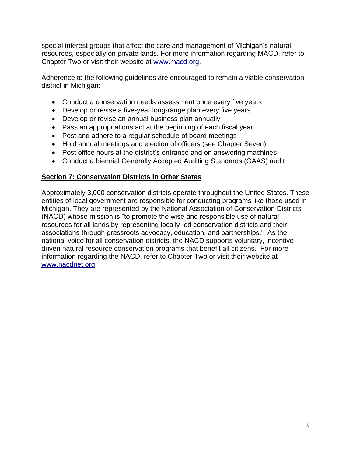special interest groups that affect the care and management of Michigan's natural resources, especially on private lands. For more information regarding MACD, refer to Chapter Two or visit their website at [www.macd.org.](http://www.macd.org/)

Adherence to the following guidelines are encouraged to remain a viable conservation district in Michigan:

- Conduct a conservation needs assessment once every five years
- Develop or revise a five-year long-range plan every five years
- Develop or revise an annual business plan annually
- Pass an appropriations act at the beginning of each fiscal year
- Post and adhere to a regular schedule of board meetings
- Hold annual meetings and election of officers (see Chapter Seven)
- Post office hours at the district's entrance and on answering machines
- Conduct a biennial Generally Accepted Auditing Standards (GAAS) audit

#### **Section 7: Conservation Districts in Other States**

Approximately 3,000 conservation districts operate throughout the United States. These entities of local government are responsible for conducting programs like those used in Michigan. They are represented by the National Association of Conservation Districts (NACD) whose mission is "to promote the wise and responsible use of natural resources for all lands by representing locally-led conservation districts and their associations through grassroots advocacy, education, and partnerships." As the national voice for all conservation districts, the NACD supports voluntary, incentivedriven natural resource conservation programs that benefit all citizens. For more information regarding the NACD, refer to Chapter Two or visit their website at [www.nacdnet.org.](http://www.nacdnet.org/)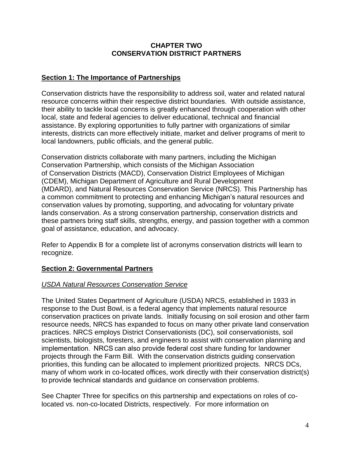#### **CHAPTER TWO CONSERVATION DISTRICT PARTNERS**

### **Section 1: The Importance of Partnerships**

Conservation districts have the responsibility to address soil, water and related natural resource concerns within their respective district boundaries. With outside assistance, their ability to tackle local concerns is greatly enhanced through cooperation with other local, state and federal agencies to deliver educational, technical and financial assistance. By exploring opportunities to fully partner with organizations of similar interests, districts can more effectively initiate, market and deliver programs of merit to local landowners, public officials, and the general public.

Conservation districts collaborate with many partners, including the Michigan Conservation Partnership, which consists of the Michigan Association of Conservation Districts (MACD), Conservation District Employees of Michigan (CDEM), Michigan Department of Agriculture and Rural Development (MDARD), and Natural Resources Conservation Service (NRCS). This Partnership has a common commitment to protecting and enhancing Michigan's natural resources and conservation values by promoting, supporting, and advocating for voluntary private lands conservation. As a strong conservation partnership, conservation districts and these partners bring staff skills, strengths, energy, and passion together with a common goal of assistance, education, and advocacy.

Refer to Appendix B for a complete list of acronyms conservation districts will learn to recognize.

### **Section 2: Governmental Partners**

#### *USDA Natural Resources Conservation Service*

The United States Department of Agriculture (USDA) NRCS, established in 1933 in response to the Dust Bowl, is a federal agency that implements natural resource conservation practices on private lands. Initially focusing on soil erosion and other farm resource needs, NRCS has expanded to focus on many other private land conservation practices. NRCS employs District Conservationists (DC), soil conservationists, soil scientists, biologists, foresters, and engineers to assist with conservation planning and implementation.  NRCS can also provide federal cost share funding for landowner projects through the Farm Bill. With the conservation districts guiding conservation priorities, this funding can be allocated to implement prioritized projects. NRCS DCs, many of whom work in co-located offices, work directly with their conservation district(s) to provide technical standards and guidance on conservation problems.

See Chapter Three for specifics on this partnership and expectations on roles of colocated vs. non-co-located Districts, respectively. For more information on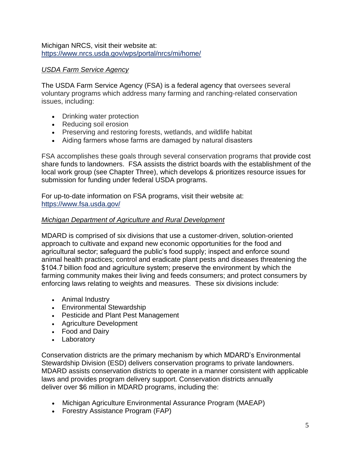Michigan NRCS, visit their website at: <https://www.nrcs.usda.gov/wps/portal/nrcs/mi/home/>

### *USDA Farm Service Agency*

The USDA Farm Service Agency (FSA) is a federal agency that oversees several voluntary programs which address many farming and ranching-related conservation issues, including:

- Drinking water protection
- Reducing soil erosion
- Preserving and restoring forests, wetlands, and wildlife habitat
- Aiding farmers whose farms are damaged by natural disasters

FSA accomplishes these goals through several conservation programs that provide cost share funds to landowners. FSA assists the district boards with the establishment of the local work group (see Chapter Three), which develops & prioritizes resource issues for submission for funding under federal USDA programs.

For up-to-date information on FSA programs, visit their website at: <https://www.fsa.usda.gov/>

#### *Michigan Department of Agriculture and Rural Development*

MDARD is comprised of six divisions that use a customer-driven, solution-oriented approach to cultivate and expand new economic opportunities for the food and agricultural sector; safeguard the public's food supply; inspect and enforce sound animal health practices; control and eradicate plant pests and diseases threatening the \$104.7 billion food and agriculture system; preserve the environment by which the farming community makes their living and feeds consumers; and protect consumers by enforcing laws relating to weights and measures. These six divisions include:

- Animal Industry
- Environmental Stewardship
- Pesticide and Plant Pest Management
- Agriculture Development
- Food and Dairy
- Laboratory

Conservation districts are the primary mechanism by which MDARD's Environmental Stewardship Division (ESD) delivers conservation programs to private landowners. MDARD assists conservation districts to operate in a manner consistent with applicable laws and provides program delivery support. Conservation districts annually deliver over \$6 million in MDARD programs, including the:

- Michigan Agriculture Environmental Assurance Program (MAEAP)
- Forestry Assistance Program (FAP)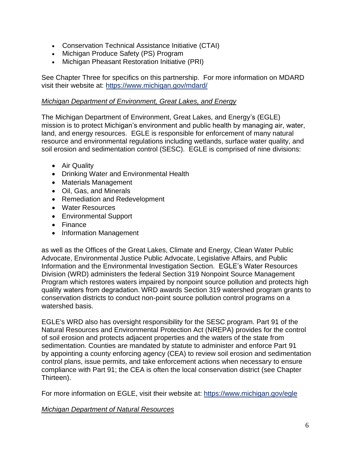- Conservation Technical Assistance Initiative (CTAI)
- Michigan Produce Safety (PS) Program
- Michigan Pheasant Restoration Initiative (PRI)

See Chapter Three for specifics on this partnership. For more information on MDARD visit their website at: <https://www.michigan.gov/mdard/>

#### *Michigan Department of Environment, Great Lakes, and Energy*

The Michigan Department of Environment, Great Lakes, and Energy's (EGLE) mission is to protect Michigan's environment and public health by managing air, water, land, and energy resources. EGLE is responsible for enforcement of many natural resource and environmental regulations including wetlands, surface water quality, and soil erosion and sedimentation control (SESC). EGLE is comprised of nine divisions:

- Air Quality
- Drinking Water and Environmental Health
- Materials Management
- Oil, Gas, and Minerals
- Remediation and Redevelopment
- Water Resources
- Environmental Support
- Finance
- Information Management

as well as the Offices of the Great Lakes, Climate and Energy, Clean Water Public Advocate, Environmental Justice Public Advocate, Legislative Affairs, and Public Information and the Environmental Investigation Section. EGLE's Water Resources Division (WRD) administers the federal Section 319 Nonpoint Source Management Program which restores waters impaired by nonpoint source pollution and protects high quality waters from degradation. WRD awards Section 319 watershed program grants to conservation districts to conduct non-point source pollution control programs on a watershed basis.

EGLE's WRD also has oversight responsibility for the SESC program. Part 91 of the Natural Resources and Environmental Protection Act (NREPA) provides for the control of soil erosion and protects adjacent properties and the waters of the state from sedimentation. Counties are mandated by statute to administer and enforce Part 91 by appointing a county enforcing agency (CEA) to review soil erosion and sedimentation control plans, issue permits, and take enforcement actions when necessary to ensure compliance with Part 91; the CEA is often the local conservation district (see Chapter Thirteen).

For more information on EGLE, visit their website at: <https://www.michigan.gov/egle>

#### *Michigan Department of Natural Resources*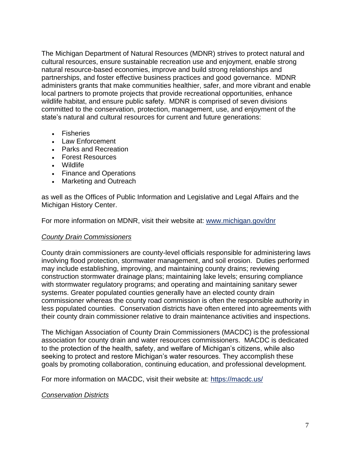The Michigan Department of Natural Resources (MDNR) strives to protect natural and cultural resources, ensure sustainable recreation use and enjoyment, enable strong natural resource-based economies, improve and build strong relationships and partnerships, and foster effective business practices and good governance. MDNR administers grants that make communities healthier, safer, and more vibrant and enable local partners to promote projects that provide recreational opportunities, enhance wildlife habitat, and ensure public safety.  MDNR is comprised of seven divisions committed to the conservation, protection, management, use, and enjoyment of the state's natural and cultural resources for current and future generations:

- Fisheries
- Law Enforcement
- Parks and Recreation
- Forest Resources
- Wildlife
- Finance and Operations
- Marketing and Outreach

as well as the Offices of Public Information and Legislative and Legal Affairs and the Michigan History Center.

For more information on MDNR, visit their website at: [www.michigan.gov/dnr](http://www.michigan.gov/dnr)

#### *County Drain Commissioners*

County drain commissioners are county-level officials responsible for administering laws involving flood protection, stormwater management, and soil erosion. Duties performed may include establishing, improving, and maintaining county drains; reviewing construction stormwater drainage plans; maintaining lake levels; ensuring compliance with stormwater regulatory programs; and operating and maintaining sanitary sewer systems. Greater populated counties generally have an elected county drain commissioner whereas the county road commission is often the responsible authority in less populated counties. Conservation districts have often entered into agreements with their county drain commissioner relative to drain maintenance activities and inspections.

The Michigan Association of County Drain Commissioners (MACDC) is the professional association for county drain and water resources commissioners. MACDC is dedicated to the protection of the health, safety, and welfare of Michigan's citizens, while also seeking to protect and restore Michigan's water resources. They accomplish these goals by promoting collaboration, continuing education, and professional development.

For more information on MACDC, visit their website at: <https://macdc.us/>

### *Conservation Districts*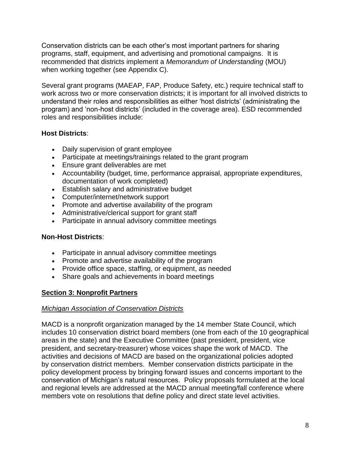Conservation districts can be each other's most important partners for sharing programs, staff, equipment, and advertising and promotional campaigns. It is recommended that districts implement a *Memorandum of Understanding* (MOU) when working together (see Appendix C).

Several grant programs (MAEAP, FAP, Produce Safety, etc.) require technical staff to work across two or more conservation districts; it is important for all involved districts to understand their roles and responsibilities as either 'host districts' (administrating the program) and 'non-host districts' (included in the coverage area). ESD recommended roles and responsibilities include:

# **Host Districts**:

- Daily supervision of grant employee
- Participate at meetings/trainings related to the grant program
- Ensure grant deliverables are met
- Accountability (budget, time, performance appraisal, appropriate expenditures, documentation of work completed)
- Establish salary and administrative budget
- Computer/internet/network support
- Promote and advertise availability of the program
- Administrative/clerical support for grant staff
- Participate in annual advisory committee meetings

### **Non-Host Districts**:

- Participate in annual advisory committee meetings
- Promote and advertise availability of the program
- Provide office space, staffing, or equipment, as needed
- Share goals and achievements in board meetings

# **Section 3: Nonprofit Partners**

### *Michigan Association of Conservation Districts*

MACD is a nonprofit organization managed by the 14 member State Council, which includes 10 conservation district board members (one from each of the 10 geographical areas in the state) and the Executive Committee (past president, president, vice president, and secretary-treasurer) whose voices shape the work of MACD. The activities and decisions of MACD are based on the organizational policies adopted by conservation district members. Member conservation districts participate in the policy development process by bringing forward issues and concerns important to the conservation of Michigan's natural resources. Policy proposals formulated at the local and regional levels are addressed at the MACD annual meeting/fall conference where members vote on resolutions that define policy and direct state level activities.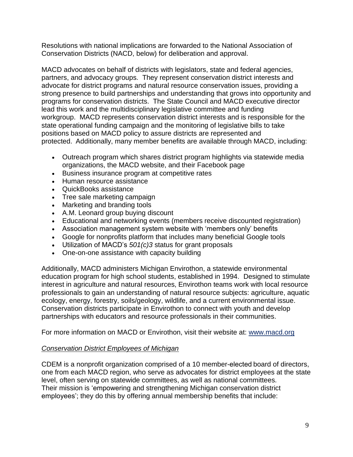Resolutions with national implications are forwarded to the National Association of Conservation Districts (NACD, below) for deliberation and approval.

MACD advocates on behalf of districts with legislators, state and federal agencies, partners, and advocacy groups. They represent conservation district interests and advocate for district programs and natural resource conservation issues, providing a strong presence to build partnerships and understanding that grows into opportunity and programs for conservation districts. The State Council and MACD executive director lead this work and the multidisciplinary legislative committee and funding workgroup. MACD represents conservation district interests and is responsible for the state operational funding campaign and the monitoring of legislative bills to take positions based on MACD policy to assure districts are represented and protected. Additionally, many member benefits are available through MACD, including:

- Outreach program which shares district program highlights via statewide media organizations, the MACD website, and their Facebook page
- Business insurance program at competitive rates
- Human resource assistance
- QuickBooks assistance
- Tree sale marketing campaign
- Marketing and branding tools
- A.M. Leonard group buying discount
- Educational and networking events (members receive discounted registration)
- Association management system website with 'members only' benefits
- Google for nonprofits platform that includes many beneficial Google tools
- Utilization of MACD's *501(c)3* status for grant proposals
- One-on-one assistance with capacity building

Additionally, MACD administers Michigan Envirothon, a statewide environmental education program for high school students, established in 1994. Designed to stimulate interest in agriculture and natural resources, Envirothon teams work with local resource professionals to gain an understanding of natural resource subjects: agriculture, aquatic ecology, energy, forestry, soils/geology, wildlife, and a current environmental issue. Conservation districts participate in Envirothon to connect with youth and develop partnerships with educators and resource professionals in their communities.

For more information on MACD or Envirothon, visit their website at: [www.macd.org](http://www.macd.org/)

### *Conservation District Employees of Michigan*

CDEM is a nonprofit organization comprised of a 10 member-elected board of directors, one from each MACD region, who serve as advocates for district employees at the state level, often serving on statewide committees, as well as national committees. Their mission is 'empowering and strengthening Michigan conservation district employees'; they do this by offering annual membership benefits that include: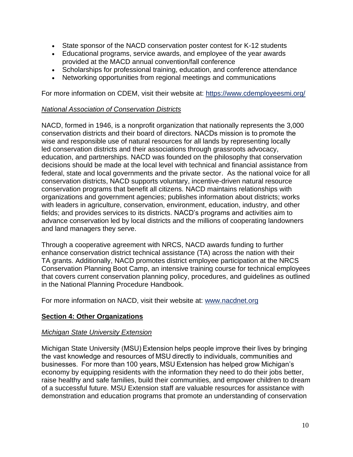- State sponsor of the NACD conservation poster contest for K-12 students
- Educational programs, service awards, and employee of the year awards provided at the MACD annual convention/fall conference
- Scholarships for professional training, education, and conference attendance
- Networking opportunities from regional meetings and communications

For more information on CDEM, visit their website at: <https://www.cdemployeesmi.org/>

#### *National Association of Conservation Districts*

NACD, formed in 1946, is a nonprofit organization that nationally represents the 3,000 conservation districts and their board of directors. NACDs mission is to promote the wise and responsible use of natural resources for all lands by representing locally led conservation districts and their associations through grassroots advocacy, education, and partnerships. NACD was founded on the philosophy that conservation decisions should be made at the local level with technical and financial assistance from federal, state and local governments and the private sector. As the national voice for all conservation districts, NACD supports voluntary, incentive-driven natural resource conservation programs that benefit all citizens. NACD maintains relationships with organizations and government agencies; publishes information about districts; works with leaders in agriculture, conservation, environment, education, industry, and other fields; and provides services to its districts. NACD's programs and activities aim to advance conservation led by local districts and the millions of cooperating landowners and land managers they serve.

Through a cooperative agreement with NRCS, NACD awards funding to further enhance conservation district technical assistance (TA) across the nation with their TA grants. Additionally, NACD promotes district employee participation at the NRCS Conservation Planning Boot Camp, an intensive training course for technical employees that covers current conservation planning policy, procedures, and guidelines as outlined in the National Planning Procedure Handbook.

For more information on NACD, visit their website at: [www.nacdnet.org](http://www.nacdnet.org/) 

### **Section 4: Other Organizations**

### *Michigan State University Extension*

[Michigan State University \(MSU\) Extension h](http://www.msue.msu.edu/)elps people improve their lives by bringing the vast knowledge and resources of MSU directly to individuals, communities and businesses.  For more than 100 years, MSU Extension has helped grow Michigan's economy by equipping residents with the information they need to do their jobs better, raise healthy and safe families, build their communities, and empower children to dream of a successful future. MSU Extension staff are valuable resources for assistance with demonstration and education programs that promote an understanding of conservation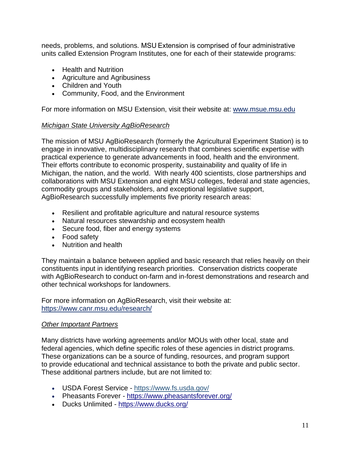needs, problems, and solutions. MSU Extension is comprised of four administrative units called Extension Program Institutes, one for each of their statewide programs:

- Health and Nutrition
- Agriculture and Agribusiness
- Children and Youth
- Community, Food, and the Environment

For more information on MSU Extension, visit their website at: [www.msue.msu.edu](http://www.msue.msu.edu/) 

#### *Michigan State University AgBioResearch*

The mission of MSU AgBioResearch (formerly the Agricultural Experiment Station) is to engage in innovative, multidisciplinary research that combines scientific expertise with practical experience to generate advancements in food, health and the environment. Their efforts contribute to economic prosperity, sustainability and quality of life in Michigan, the nation, and the world. With nearly 400 scientists, close partnerships and collaborations with MSU Extension and eight MSU colleges, federal and state agencies, commodity groups and stakeholders, and exceptional legislative support, AgBioResearch successfully implements five priority research areas:

- Resilient and profitable agriculture and natural resource systems
- Natural resources stewardship and ecosystem health
- Secure food, fiber and energy systems
- Food safety
- Nutrition and health

They maintain a balance between applied and basic research that relies heavily on their constituents input in identifying research priorities. Conservation districts cooperate with AgBioResearch to conduct on-farm and in-forest demonstrations and research and other technical workshops for landowners.

For more information on AgBioResearch, visit their website at: <https://www.canr.msu.edu/research/>

#### *Other Important Partners*

Many districts have working agreements and/or MOUs with other local, state and federal agencies, which define specific roles of these agencies in district programs. These organizations can be a source of funding, resources, and program support to provide educational and technical assistance to both the private and public sector. These additional partners include, but are not limited to:

- USDA Forest Service <https://www.fs.usda.gov/>
- Pheasants Forever <https://www.pheasantsforever.org/>
- Ducks Unlimited <https://www.ducks.org/>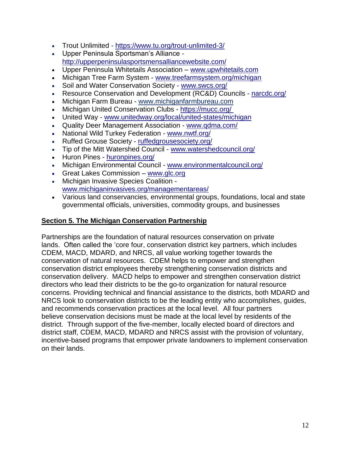- Trout Unlimited <https://www.tu.org/trout-unlimited-3/>
- Upper Peninsula Sportsman's Alliance <http://upperpeninsulasportsmensalliancewebsite.com/>
- Upper Peninsula Whitetails Association [www.upwhitetails.com](file:///C:/Users/GuthR/AppData/Roaming/Microsoft/Word/www.upwhitetails.com)
- Michigan Tree Farm System [www.treefarmsystem.org/michigan](file:///C:/Users/GuthR/AppData/Roaming/Microsoft/Word/www.treefarmsystem.org/michigan)
- Soil and Water Conservation Society [www.swcs.org/](file:///C:/Users/GuthR/AppData/Roaming/Microsoft/Word/www.swcs.org/)
- Resource Conservation and Development (RC&D) Councils [narcdc.org/](file:///C:/Users/GuthR/AppData/Roaming/Microsoft/Word/narcdc.org)
- Michigan Farm Bureau [www.michiganfarmbureau.com](http://www.michiganfarmbureau.com/)
- Michigan United Conservation Clubs <https://mucc.org/>
- United Way [www.unitedway.org/local/united-states/michigan](file:///C:/Users/GuthR/AppData/Roaming/Microsoft/Word/www.unitedway.org/local/united-states/michigan)
- Quality Deer Management Association [www.qdma.com/](file:///C:/Users/GuthR/AppData/Roaming/Microsoft/Word/www.qdma.com/)
- National Wild Turkey Federation [www.nwtf.org/](http://www.nwtf.org/)
- Ruffed Grouse Society [ruffedgrousesociety.org/](file:///C:/Users/GuthR/AppData/Roaming/Microsoft/Word/ruffedgrousesociety.org)
- Tip of the Mitt Watershed Council [www.watershedcouncil.org/](file:///C:/Users/GuthR/AppData/Roaming/Microsoft/Word/www.watershedcouncil.org/)
- Huron Pines [huronpines.org/](file:///C:/Users/GuthR/AppData/Roaming/Microsoft/Word/huronpines.org/)
- Michigan Environmental Council [www.environmentalcouncil.org/](file:///C:/Users/GuthR/AppData/Roaming/Microsoft/Word/www.environmentalcouncil.org/)
- Great Lakes Commission [www.glc.org](http://www.glc.org/)
- Michigan Invasive Species Coalition [www.michiganinvasives.org/managementareas/](file:///C:/Users/GuthR/AppData/Roaming/Microsoft/Word/www.michiganinvasives.org/managementareas/)
- Various land conservancies, environmental groups, foundations, local and state governmental officials, universities, commodity groups, and businesses

#### **Section 5. The Michigan Conservation Partnership**

Partnerships are the foundation of natural resources conservation on private lands. Often called the 'core four, conservation district key partners, which includes CDEM, MACD, MDARD, and NRCS, all value working together towards the conservation of natural resources. CDEM helps to empower and strengthen conservation district employees thereby strengthening conservation districts and conservation delivery. MACD helps to empower and strengthen conservation district directors who lead their districts to be the go-to organization for natural resource concerns. Providing technical and financial assistance to the districts, both MDARD and NRCS look to conservation districts to be the leading entity who accomplishes, guides, and recommends conservation practices at the local level. All four partners believe conservation decisions must be made at the local level by residents of the district. Through support of the five-member, locally elected board of directors and district staff, CDEM, MACD, MDARD and NRCS assist with the provision of voluntary, incentive-based programs that empower private landowners to implement conservation on their lands.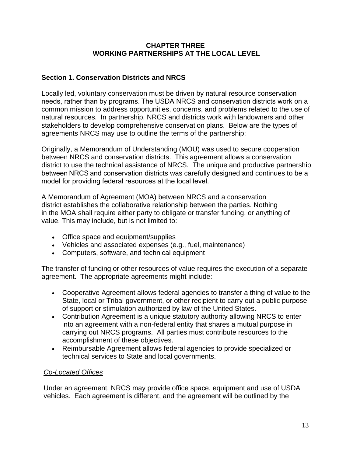#### **CHAPTER THREE WORKING PARTNERSHIPS AT THE LOCAL LEVEL**

### **Section 1. Conservation Districts and NRCS**

Locally led, voluntary conservation must be driven by natural resource conservation needs, rather than by programs. The USDA NRCS and conservation districts work on a common mission to address opportunities, concerns, and problems related to the use of natural resources. In partnership, NRCS and districts work with landowners and other stakeholders to develop comprehensive conservation plans. Below are the types of agreements NRCS may use to outline the terms of the partnership:

Originally, a Memorandum of Understanding (MOU) was used to secure cooperation between NRCS and conservation districts. This agreement allows a conservation district to use the technical assistance of NRCS. The unique and productive partnership between NRCS and conservation districts was carefully designed and continues to be a model for providing federal resources at the local level. 

A Memorandum of Agreement (MOA) between NRCS and a conservation district establishes the collaborative relationship between the parties. Nothing in the MOA shall require either party to obligate or transfer funding, or anything of value. This may include, but is not limited to:

- Office space and equipment/supplies
- Vehicles and associated expenses (e.g., fuel, maintenance)
- Computers, software, and technical equipment

The transfer of funding or other resources of value requires the execution of a separate agreement. The appropriate agreements might include:

- Cooperative Agreement allows federal agencies to transfer a thing of value to the State, local or Tribal government, or other recipient to carry out a public purpose of support or stimulation authorized by law of the United States.
- Contribution Agreement is a unique statutory authority allowing NRCS to enter into an agreement with a non-federal entity that shares a mutual purpose in carrying out NRCS programs. All parties must contribute resources to the accomplishment of these objectives.
- Reimbursable Agreement allows federal agencies to provide specialized or technical services to State and local governments.

# *Co-Located Offices*

Under an agreement, NRCS may provide office space, equipment and use of USDA vehicles. Each agreement is different, and the agreement will be outlined by the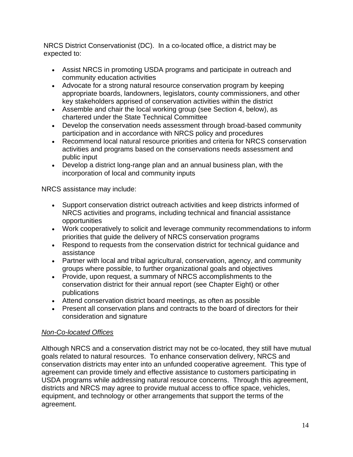NRCS District Conservationist (DC). In a co-located office, a district may be expected to:

- Assist NRCS in promoting USDA programs and participate in outreach and community education activities
- Advocate for a strong natural resource conservation program by keeping appropriate boards, landowners, legislators, county commissioners, and other key stakeholders apprised of conservation activities within the district
- Assemble and chair the local working group (see Section 4, below), as chartered under the State Technical Committee
- Develop the conservation needs assessment through broad-based community participation and in accordance with NRCS policy and procedures
- Recommend local natural resource priorities and criteria for NRCS conservation activities and programs based on the conservations needs assessment and public input
- Develop a district long-range plan and an annual business plan, with the incorporation of local and community inputs

NRCS assistance may include:

- Support conservation district outreach activities and keep districts informed of NRCS activities and programs, including technical and financial assistance opportunities
- Work cooperatively to solicit and leverage community recommendations to inform priorities that guide the delivery of NRCS conservation programs
- Respond to requests from the conservation district for technical guidance and assistance
- Partner with local and tribal agricultural, conservation, agency, and community groups where possible, to further organizational goals and objectives
- Provide, upon request, a summary of NRCS accomplishments to the conservation district for their annual report (see Chapter Eight) or other publications
- Attend conservation district board meetings, as often as possible
- Present all conservation plans and contracts to the board of directors for their consideration and signature

# *Non-Co-located Offices*

Although NRCS and a conservation district may not be co-located, they still have mutual goals related to natural resources. To enhance conservation delivery, NRCS and conservation districts may enter into an unfunded cooperative agreement. This type of agreement can provide timely and effective assistance to customers participating in USDA programs while addressing natural resource concerns. Through this agreement, districts and NRCS may agree to provide mutual access to office space, vehicles, equipment, and technology or other arrangements that support the terms of the agreement.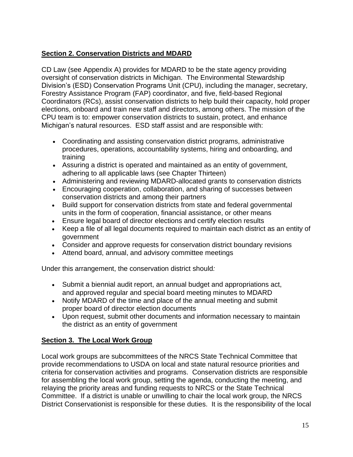# **Section 2. Conservation Districts and MDARD**

CD Law (see Appendix A) provides for MDARD to be the state agency providing oversight of conservation districts in Michigan. The Environmental Stewardship Division's (ESD) Conservation Programs Unit (CPU), including the manager, secretary, Forestry Assistance Program (FAP) coordinator, and five, field-based Regional Coordinators (RCs), assist conservation districts to help build their capacity, hold proper elections, onboard and train new staff and directors, among others. The mission of the CPU team is to: empower conservation districts to sustain, protect, and enhance Michigan's natural resources. ESD staff assist and are responsible with:

- Coordinating and assisting conservation district programs, administrative procedures, operations, accountability systems, hiring and onboarding, and training
- Assuring a district is operated and maintained as an entity of government, adhering to all applicable laws (see Chapter Thirteen)
- Administering and reviewing MDARD-allocated grants to conservation districts
- Encouraging cooperation, collaboration, and sharing of successes between conservation districts and among their partners
- Build support for conservation districts from state and federal governmental units in the form of cooperation, financial assistance, or other means
- Ensure legal board of director elections and certify election results
- Keep a file of all legal documents required to maintain each district as an entity of government
- Consider and approve requests for conservation district boundary revisions
- Attend board, annual, and advisory committee meetings

Under this arrangement, the conservation district should*:*

- Submit a biennial audit report, an annual budget and appropriations act, and approved regular and special board meeting minutes to MDARD
- Notify MDARD of the time and place of the annual meeting and submit proper board of director election documents
- Upon request, submit other documents and information necessary to maintain the district as an entity of government

# **Section 3. The Local Work Group**

Local work groups are subcommittees of the NRCS State Technical Committee that provide recommendations to USDA on local and state natural resource priorities and criteria for conservation activities and programs. Conservation districts are responsible for assembling the local work group, setting the agenda, conducting the meeting, and relaying the priority areas and funding requests to NRCS or the State Technical Committee. If a district is unable or unwilling to chair the local work group, the NRCS District Conservationist is responsible for these duties. It is the responsibility of the local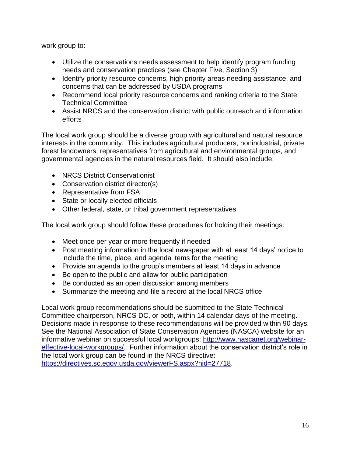work group to:

- Utilize the conservations needs assessment to help identify program funding needs and conservation practices (see Chapter Five, Section 3)
- Identify priority resource concerns, high priority areas needing assistance, and concerns that can be addressed by USDA programs
- Recommend local priority resource concerns and ranking criteria to the State Technical Committee
- Assist NRCS and the conservation district with public outreach and information efforts

The local work group should be a diverse group with agricultural and natural resource interests in the community. This includes agricultural producers, nonindustrial, private forest landowners, representatives from agricultural and environmental groups, and governmental agencies in the natural resources field. It should also include:

- NRCS District Conservationist
- Conservation district director(s)
- Representative from FSA
- State or locally elected officials
- Other federal, state, or tribal government representatives

The local work group should follow these procedures for holding their meetings:

- Meet once per year or more frequently if needed
- Post meeting information in the local newspaper with at least 14 days' notice to include the time, place, and agenda items for the meeting
- Provide an agenda to the group's members at least 14 days in advance
- Be open to the public and allow for public participation
- Be conducted as an open discussion among members
- Summarize the meeting and file a record at the local NRCS office

Local work group recommendations should be submitted to the State Technical Committee chairperson, NRCS DC, or both, within 14 calendar days of the meeting. Decisions made in response to these recommendations will be provided within 90 days. See the National Association of State Conservation Agencies (NASCA) website for an informative webinar on successful local workgroups: [http://www.nascanet.org/webinar](http://www.nascanet.org/webinar-effective-local-workgroups/)[effective-local-workgroups/.](http://www.nascanet.org/webinar-effective-local-workgroups/) Further information about the conservation district's role in the local work group can be found in the NRCS directive: [https://directives.sc.egov.usda.gov/viewerFS.aspx?hid=27718.](https://directives.sc.egov.usda.gov/viewerFS.aspx?hid=27718)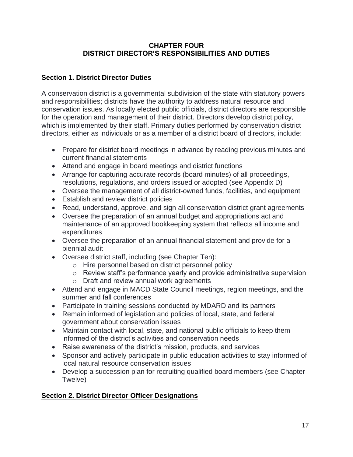### **CHAPTER FOUR DISTRICT DIRECTOR'S RESPONSIBILITIES AND DUTIES**

# **Section 1. District Director Duties**

A conservation district is a governmental subdivision of the state with statutory powers and responsibilities; districts have the authority to address natural resource and conservation issues. As locally elected public officials, district directors are responsible for the operation and management of their district. Directors develop district policy, which is implemented by their staff. Primary duties performed by conservation district directors, either as individuals or as a member of a district board of directors, include:

- Prepare for district board meetings in advance by reading previous minutes and current financial statements
- Attend and engage in board meetings and district functions
- Arrange for capturing accurate records (board minutes) of all proceedings, resolutions, regulations, and orders issued or adopted (see Appendix D)
- Oversee the management of all district-owned funds, facilities, and equipment
- Establish and review district policies
- Read, understand, approve, and sign all conservation district grant agreements
- Oversee the preparation of an annual budget and appropriations act and maintenance of an approved bookkeeping system that reflects all income and expenditures
- Oversee the preparation of an annual financial statement and provide for a biennial audit
- Oversee district staff, including (see Chapter Ten):
	- o Hire personnel based on district personnel policy
	- o Review staff's performance yearly and provide administrative supervision
	- o Draft and review annual work agreements
- Attend and engage in MACD State Council meetings, region meetings, and the summer and fall conferences
- Participate in training sessions conducted by MDARD and its partners
- Remain informed of legislation and policies of local, state, and federal government about conservation issues
- Maintain contact with local, state, and national public officials to keep them informed of the district's activities and conservation needs
- Raise awareness of the district's mission, products, and services
- Sponsor and actively participate in public education activities to stay informed of local natural resource conservation issues
- Develop a succession plan for recruiting qualified board members (see Chapter Twelve)

# **Section 2. District Director Officer Designations**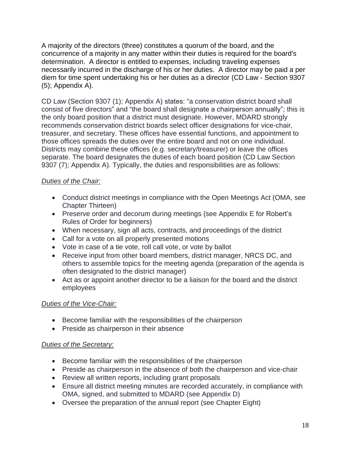A majority of the directors (three) constitutes a quorum of the board, and the concurrence of a majority in any matter within their duties is required for the board's determination. A director is entitled to expenses, including traveling expenses necessarily incurred in the discharge of his or her duties. A director may be paid a per diem for time spent undertaking his or her duties as a director (CD Law - Section 9307 (5); Appendix A).

CD Law (Section 9307 (1); Appendix A) states: "a conservation district board shall consist of five directors" and "the board shall designate a chairperson annually"; this is the only board position that a district must designate. However, MDARD strongly recommends conservation district boards select officer designations for vice-chair, treasurer, and secretary. These offices have essential functions, and appointment to those offices spreads the duties over the entire board and not on one individual. Districts may combine these offices (e.g. secretary/treasurer) or leave the offices separate. The board designates the duties of each board position (CD Law Section 9307 (7); Appendix A). Typically, the duties and responsibilities are as follows:

# *Duties of the Chair:*

- Conduct district meetings in compliance with the Open Meetings Act (OMA, see Chapter Thirteen)
- Preserve order and decorum during meetings (see Appendix E for Robert's Rules of Order for beginners)
- When necessary, sign all acts, contracts, and proceedings of the district
- Call for a vote on all properly presented motions
- Vote in case of a tie vote, roll call vote, or vote by ballot
- Receive input from other board members, district manager, NRCS DC, and others to assemble topics for the meeting agenda (preparation of the agenda is often designated to the district manager)
- Act as or appoint another director to be a liaison for the board and the district employees

# *Duties of the Vice-Chair:*

- Become familiar with the responsibilities of the chairperson
- Preside as chairperson in their absence

# *Duties of the Secretary:*

- Become familiar with the responsibilities of the chairperson
- Preside as chairperson in the absence of both the chairperson and vice-chair
- Review all written reports, including grant proposals
- Ensure all district meeting minutes are recorded accurately, in compliance with OMA, signed, and submitted to MDARD (see Appendix D)
- Oversee the preparation of the annual report (see Chapter Eight)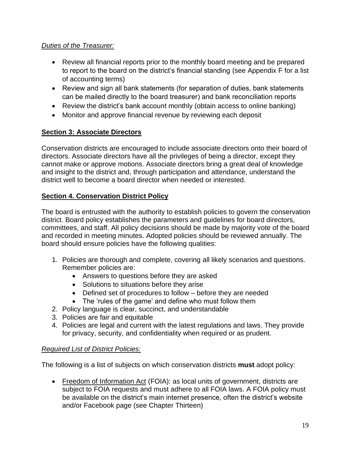# *Duties of the Treasurer:*

- Review all financial reports prior to the monthly board meeting and be prepared to report to the board on the district's financial standing (see Appendix F for a list of accounting terms)
- Review and sign all bank statements (for separation of duties, bank statements can be mailed directly to the board treasurer) and bank reconciliation reports
- Review the district's bank account monthly (obtain access to online banking)
- Monitor and approve financial revenue by reviewing each deposit

# **Section 3: Associate Directors**

Conservation districts are encouraged to include associate directors onto their board of directors. Associate directors have all the privileges of being a director, except they cannot make or approve motions. Associate directors bring a great deal of knowledge and insight to the district and, through participation and attendance, understand the district well to become a board director when needed or interested.

# **Section 4. Conservation District Policy**

The board is entrusted with the authority to establish policies to govern the conservation district. Board policy establishes the parameters and guidelines for board directors, committees, and staff. All policy decisions should be made by majority vote of the board and recorded in meeting minutes. Adopted policies should be reviewed annually. The board should ensure policies have the following qualities:

- 1. Policies are thorough and complete, covering all likely scenarios and questions. Remember policies are:
	- Answers to questions before they are asked
	- Solutions to situations before they arise
	- Defined set of procedures to follow before they are needed
	- The 'rules of the game' and define who must follow them
- 2. Policy language is clear, succinct, and understandable
- 3. Policies are fair and equitable
- 4. Policies are legal and current with the latest regulations and laws. They provide for privacy, security, and confidentiality when required or as prudent.

### *Required List of District Policies:*

The following is a list of subjects on which conservation districts **must** adopt policy:

• Freedom of Information Act (FOIA): as local units of government, districts are subject to FOIA requests and must adhere to all FOIA laws. A FOIA policy must be available on the district's main internet presence, often the district's website and/or Facebook page (see Chapter Thirteen)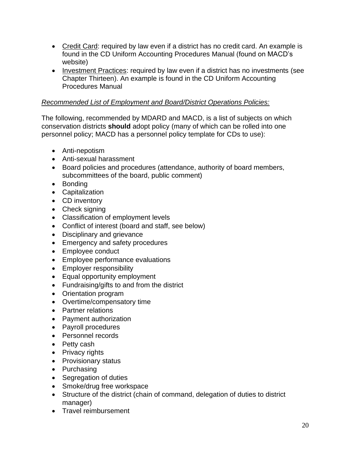- Credit Card: required by law even if a district has no credit card. An example is found in the CD Uniform Accounting Procedures Manual (found on MACD's website)
- Investment Practices: required by law even if a district has no investments (see Chapter Thirteen). An example is found in the CD Uniform Accounting Procedures Manual

### *Recommended List of Employment and Board/District Operations Policies:*

The following, recommended by MDARD and MACD, is a list of subjects on which conservation districts **should** adopt policy (many of which can be rolled into one personnel policy; MACD has a personnel policy template for CDs to use):

- Anti-nepotism
- Anti-sexual harassment
- Board policies and procedures (attendance, authority of board members, subcommittees of the board, public comment)
- Bonding
- Capitalization
- CD inventory
- Check signing
- Classification of employment levels
- Conflict of interest (board and staff, see below)
- Disciplinary and grievance
- Emergency and safety procedures
- Employee conduct
- Employee performance evaluations
- Employer responsibility
- Equal opportunity employment
- Fundraising/gifts to and from the district
- Orientation program
- Overtime/compensatory time
- Partner relations
- Payment authorization
- Payroll procedures
- Personnel records
- Petty cash
- Privacy rights
- Provisionary status
- Purchasing
- Segregation of duties
- Smoke/drug free workspace
- Structure of the district (chain of command, delegation of duties to district manager)
- Travel reimbursement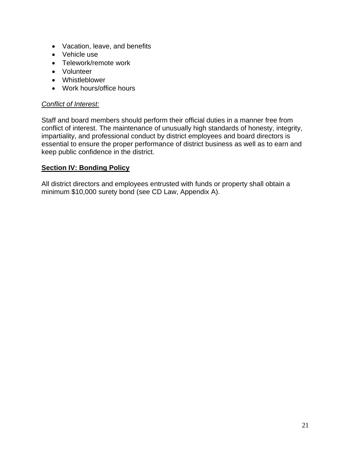- Vacation, leave, and benefits
- Vehicle use
- Telework/remote work
- Volunteer
- Whistleblower
- Work hours/office hours

#### *Conflict of Interest:*

Staff and board members should perform their official duties in a manner free from conflict of interest. The maintenance of unusually high standards of honesty, integrity, impartiality, and professional conduct by district employees and board directors is essential to ensure the proper performance of district business as well as to earn and keep public confidence in the district.

#### **Section IV: Bonding Policy**

All district directors and employees entrusted with funds or property shall obtain a minimum \$10,000 surety bond (see CD Law, Appendix A).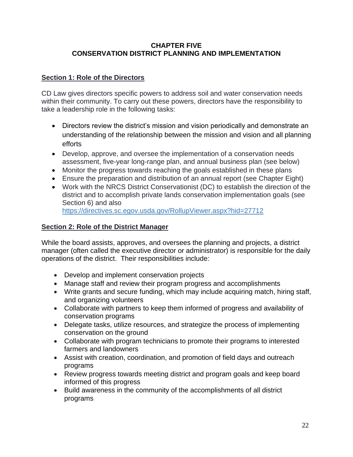#### **CHAPTER FIVE CONSERVATION DISTRICT PLANNING AND IMPLEMENTATION**

### **Section 1: Role of the Directors**

CD Law gives directors specific powers to address soil and water conservation needs within their community. To carry out these powers, directors have the responsibility to take a leadership role in the following tasks:

- Directors review the district's mission and vision periodically and demonstrate an understanding of the relationship between the mission and vision and all planning efforts
- Develop, approve, and oversee the implementation of a conservation needs assessment, five-year long-range plan, and annual business plan (see below)
- Monitor the progress towards reaching the goals established in these plans
- Ensure the preparation and distribution of an annual report (see Chapter Eight)
- Work with the NRCS District Conservationist (DC) to establish the direction of the district and to accomplish private lands conservation implementation goals (see Section 6) and also

https://directives.sc.egov.usda.gov/RollupViewer.aspx?hid=27712

# **Section 2: Role of the District Manager**

While the board assists, approves, and oversees the planning and projects, a district manager (often called the executive director or administrator) is responsible for the daily operations of the district. Their responsibilities include:

- Develop and implement conservation projects
- Manage staff and review their program progress and accomplishments
- Write grants and secure funding, which may include acquiring match, hiring staff, and organizing volunteers
- Collaborate with partners to keep them informed of progress and availability of conservation programs
- Delegate tasks, utilize resources, and strategize the process of implementing conservation on the ground
- Collaborate with program technicians to promote their programs to interested farmers and landowners
- Assist with creation, coordination, and promotion of field days and outreach programs
- Review progress towards meeting district and program goals and keep board informed of this progress
- Build awareness in the community of the accomplishments of all district programs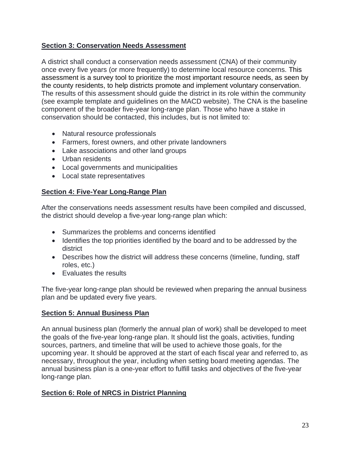# **Section 3: Conservation Needs Assessment**

A district shall conduct a conservation needs assessment (CNA) of their community once every five years (or more frequently) to determine local resource concerns. This assessment is a survey tool to prioritize the most important resource needs, as seen by the county residents, to help districts promote and implement voluntary conservation. The results of this assessment should guide the district in its role within the community (see example template and guidelines on the MACD website). The CNA is the baseline component of the broader five-year long-range plan. Those who have a stake in conservation should be contacted, this includes, but is not limited to:

- Natural resource professionals
- Farmers, forest owners, and other private landowners
- Lake associations and other land groups
- Urban residents
- Local governments and municipalities
- Local state representatives

# **Section 4: Five-Year Long-Range Plan**

After the conservations needs assessment results have been compiled and discussed, the district should develop a five-year long-range plan which:

- Summarizes the problems and concerns identified
- Identifies the top priorities identified by the board and to be addressed by the district
- Describes how the district will address these concerns (timeline, funding, staff roles, etc.)
- Evaluates the results

The five-year long-range plan should be reviewed when preparing the annual business plan and be updated every five years.

### **Section 5: Annual Business Plan**

An annual business plan (formerly the annual plan of work) shall be developed to meet the goals of the five-year long-range plan. It should list the goals, activities, funding sources, partners, and timeline that will be used to achieve those goals, for the upcoming year. It should be approved at the start of each fiscal year and referred to, as necessary, throughout the year, including when setting board meeting agendas. The annual business plan is a one-year effort to fulfill tasks and objectives of the five-year long-range plan.

# **Section 6: Role of NRCS in District Planning**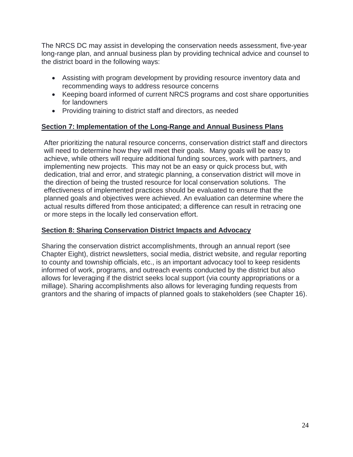The NRCS DC may assist in developing the conservation needs assessment, five-year long-range plan, and annual business plan by providing technical advice and counsel to the district board in the following ways:

- Assisting with program development by providing resource inventory data and recommending ways to address resource concerns
- Keeping board informed of current NRCS programs and cost share opportunities for landowners
- Providing training to district staff and directors, as needed

#### **Section 7: Implementation of the Long-Range and Annual Business Plans**

After prioritizing the natural resource concerns, conservation district staff and directors will need to determine how they will meet their goals. Many goals will be easy to achieve, while others will require additional funding sources, work with partners, and implementing new projects. This may not be an easy or quick process but, with dedication, trial and error, and strategic planning, a conservation district will move in the direction of being the trusted resource for local conservation solutions. The effectiveness of implemented practices should be evaluated to ensure that the planned goals and objectives were achieved. An evaluation can determine where the actual results differed from those anticipated; a difference can result in retracing one or more steps in the locally led conservation effort.

#### **Section 8: Sharing Conservation District Impacts and Advocacy**

Sharing the conservation district accomplishments, through an annual report (see Chapter Eight), district newsletters, social media, district website, and regular reporting to county and township officials, etc., is an important advocacy tool to keep residents informed of work, programs, and outreach events conducted by the district but also allows for leveraging if the district seeks local support (via county appropriations or a millage). Sharing accomplishments also allows for leveraging funding requests from grantors and the sharing of impacts of planned goals to stakeholders (see Chapter 16).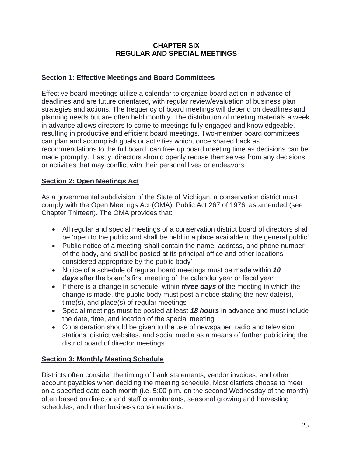#### **CHAPTER SIX REGULAR AND SPECIAL MEETINGS**

### **Section 1: Effective Meetings and Board Committees**

Effective board meetings utilize a calendar to organize board action in advance of deadlines and are future orientated, with regular review/evaluation of business plan strategies and actions. The frequency of board meetings will depend on deadlines and planning needs but are often held monthly. The distribution of meeting materials a week in advance allows directors to come to meetings fully engaged and knowledgeable, resulting in productive and efficient board meetings. Two-member board committees can plan and accomplish goals or activities which, once shared back as recommendations to the full board, can free up board meeting time as decisions can be made promptly. Lastly, directors should openly recuse themselves from any decisions or activities that may conflict with their personal lives or endeavors.

# **Section 2: Open Meetings Act**

As a governmental subdivision of the State of Michigan, a conservation district must comply with the Open Meetings Act (OMA), Public Act 267 of 1976, as amended (see Chapter Thirteen). The OMA provides that:

- All regular and special meetings of a conservation district board of directors shall be 'open to the public and shall be held in a place available to the general public'
- Public notice of a meeting 'shall contain the name, address, and phone number of the body, and shall be posted at its principal office and other locations considered appropriate by the public body'
- Notice of a schedule of regular board meetings must be made within *10 days* after the board's first meeting of the calendar year or fiscal year
- If there is a change in schedule, within *three days* of the meeting in which the change is made, the public body must post a notice stating the new date(s), time(s), and place(s) of regular meetings
- Special meetings must be posted at least *18 hours* in advance and must include the date, time, and location of the special meeting
- Consideration should be given to the use of newspaper, radio and television stations, district websites, and social media as a means of further publicizing the district board of director meetings

# **Section 3: Monthly Meeting Schedule**

Districts often consider the timing of bank statements, vendor invoices, and other account payables when deciding the meeting schedule. Most districts choose to meet on a specified date each month (i.e. 5:00 p.m. on the second Wednesday of the month) often based on director and staff commitments, seasonal growing and harvesting schedules, and other business considerations.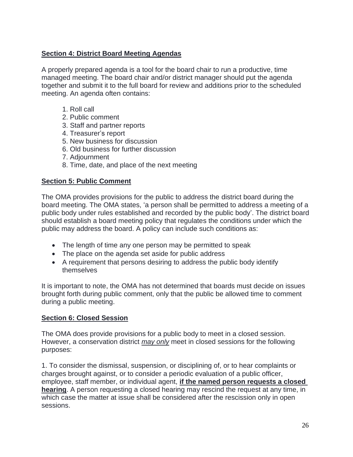# **Section 4: District Board Meeting Agendas**

A properly prepared agenda is a tool for the board chair to run a productive, time managed meeting. The board chair and/or district manager should put the agenda together and submit it to the full board for review and additions prior to the scheduled meeting. An agenda often contains:

- 1. Roll call
- 2. Public comment
- 3. Staff and partner reports
- 4. Treasurer's report
- 5. New business for discussion
- 6. Old business for further discussion
- 7. Adjournment
- 8. Time, date, and place of the next meeting

#### **Section 5: Public Comment**

The OMA provides provisions for the public to address the district board during the board meeting. The OMA states, 'a person shall be permitted to address a meeting of a public body under rules established and recorded by the public body'. The district board should establish a board meeting policy that regulates the conditions under which the public may address the board. A policy can include such conditions as:

- The length of time any one person may be permitted to speak
- The place on the agenda set aside for public address
- A requirement that persons desiring to address the public body identify themselves

It is important to note, the OMA has not determined that boards must decide on issues brought forth during public comment, only that the public be allowed time to comment during a public meeting.

#### **Section 6: Closed Session**

The OMA does provide provisions for a public body to meet in a closed session. However, a conservation district *may only* meet in closed sessions for the following purposes:

1. To consider the dismissal, suspension, or disciplining of, or to hear complaints or charges brought against, or to consider a periodic evaluation of a public officer, employee, staff member, or individual agent, **if the named person requests a closed hearing**. A person requesting a closed hearing may rescind the request at any time, in which case the matter at issue shall be considered after the rescission only in open sessions.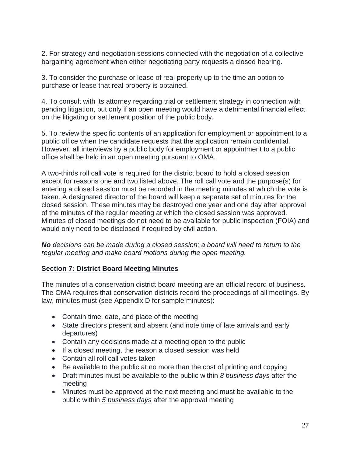2. For strategy and negotiation sessions connected with the negotiation of a collective bargaining agreement when either negotiating party requests a closed hearing.

3. To consider the purchase or lease of real property up to the time an option to purchase or lease that real property is obtained.

4. To consult with its attorney regarding trial or settlement strategy in connection with pending litigation, but only if an open meeting would have a detrimental financial effect on the litigating or settlement position of the public body.

5. To review the specific contents of an application for employment or appointment to a public office when the candidate requests that the application remain confidential. However, all interviews by a public body for employment or appointment to a public office shall be held in an open meeting pursuant to OMA.

A two-thirds roll call vote is required for the district board to hold a closed session except for reasons one and two listed above. The roll call vote and the purpose(s) for entering a closed session must be recorded in the meeting minutes at which the vote is taken. A designated director of the board will keep a separate set of minutes for the closed session. These minutes may be destroyed one year and one day after approval of the minutes of the regular meeting at which the closed session was approved. Minutes of closed meetings do not need to be available for public inspection (FOIA) and would only need to be disclosed if required by civil action.

*No decisions can be made during a closed session; a board will need to return to the regular meeting and make board motions during the open meeting.*

### **Section 7: District Board Meeting Minutes**

The minutes of a conservation district board meeting are an official record of business. The OMA requires that conservation districts record the proceedings of all meetings. By law, minutes must (see Appendix D for sample minutes):

- Contain time, date, and place of the meeting
- State directors present and absent (and note time of late arrivals and early departures)
- Contain any decisions made at a meeting open to the public
- If a closed meeting, the reason a closed session was held
- Contain all roll call votes taken
- Be available to the public at no more than the cost of printing and copying
- Draft minutes must be available to the public within *8 business days* after the meeting
- Minutes must be approved at the next meeting and must be available to the public within *5 business days* after the approval meeting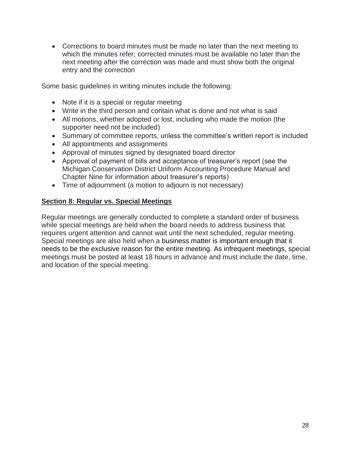• Corrections to board minutes must be made no later than the next meeting to which the minutes refer; corrected minutes must be available no later than the next meeting after the correction was made and must show both the original entry and the correction

Some basic guidelines in writing minutes include the following:

- Note if it is a special or regular meeting
- Write in the third person and contain what is done and not what is said
- All motions, whether adopted or lost, including who made the motion (the supporter need not be included)
- Summary of committee reports, unless the committee's written report is included
- All appointments and assignments
- Approval of minutes signed by designated board director
- Approval of payment of bills and acceptance of treasurer's report (see the Michigan Conservation District Uniform Accounting Procedure Manual and Chapter Nine for information about treasurer's reports)
- Time of adjournment (a motion to adjourn is not necessary)

#### **Section 8: Regular vs. Special Meetings**

Regular meetings are generally conducted to complete a standard order of business while special meetings are held when the board needs to address business that requires urgent attention and cannot wait until the next scheduled, regular meeting. Special meetings are also held when a business matter is important enough that it needs to be the exclusive reason for the entire meeting. As infrequent meetings, special meetings must be posted at least 18 hours in advance and must include the date, time, and location of the special meeting.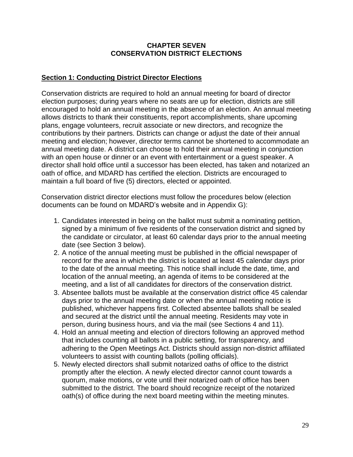#### **CHAPTER SEVEN CONSERVATION DISTRICT ELECTIONS**

#### **Section 1: Conducting District Director Elections**

Conservation districts are required to hold an annual meeting for board of director election purposes; during years where no seats are up for election, districts are still encouraged to hold an annual meeting in the absence of an election. An annual meeting allows districts to thank their constituents, report accomplishments, share upcoming plans, engage volunteers, recruit associate or new directors, and recognize the contributions by their partners. Districts can change or adjust the date of their annual meeting and election; however, director terms cannot be shortened to accommodate an annual meeting date. A district can choose to hold their annual meeting in conjunction with an open house or dinner or an event with entertainment or a guest speaker. A director shall hold office until a successor has been elected, has taken and notarized an oath of office, and MDARD has certified the election. Districts are encouraged to maintain a full board of five (5) directors, elected or appointed.

Conservation district director elections must follow the procedures below (election documents can be found on MDARD's website and in Appendix G):

- 1. Candidates interested in being on the ballot must submit a nominating petition, signed by a minimum of five residents of the conservation district and signed by the candidate or circulator, at least 60 calendar days prior to the annual meeting date (see Section 3 below).
- 2. A notice of the annual meeting must be published in the official newspaper of record for the area in which the district is located at least 45 calendar days prior to the date of the annual meeting. This notice shall include the date, time, and location of the annual meeting, an agenda of items to be considered at the meeting, and a list of all candidates for directors of the conservation district.
- 3. Absentee ballots must be available at the conservation district office 45 calendar days prior to the annual meeting date or when the annual meeting notice is published, whichever happens first. Collected absentee ballots shall be sealed and secured at the district until the annual meeting. Residents may vote in person, during business hours, and via the mail (see Sections 4 and 11).
- 4. Hold an annual meeting and election of directors following an approved method that includes counting all ballots in a public setting, for transparency, and adhering to the Open Meetings Act. Districts should assign non-district affiliated volunteers to assist with counting ballots (polling officials).
- 5. Newly elected directors shall submit notarized oaths of office to the district promptly after the election. A newly elected director cannot count towards a quorum, make motions, or vote until their notarized oath of office has been submitted to the district. The board should recognize receipt of the notarized oath(s) of office during the next board meeting within the meeting minutes.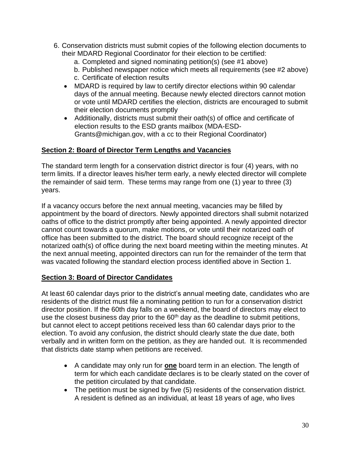- 6. Conservation districts must submit copies of the following election documents to their MDARD Regional Coordinator for their election to be certified:
	- a. Completed and signed nominating petition(s) (see #1 above)
	- b. Published newspaper notice which meets all requirements (see #2 above) c. Certificate of election results
	- MDARD is required by law to certify director elections within 90 calendar days of the annual meeting. Because newly elected directors cannot motion or vote until MDARD certifies the election, districts are encouraged to submit their election documents promptly
	- Additionally, districts must submit their oath(s) of office and certificate of election results to the ESD grants mailbox (MDA-ESD-Grants@michigan.gov, with a cc to their Regional Coordinator)

# **Section 2: Board of Director Term Lengths and Vacancies**

The standard term length for a conservation district director is four (4) years, with no term limits. If a director leaves his/her term early, a newly elected director will complete the remainder of said term. These terms may range from one (1) year to three (3) years.

If a vacancy occurs before the next annual meeting, vacancies may be filled by appointment by the board of directors. Newly appointed directors shall submit notarized oaths of office to the district promptly after being appointed. A newly appointed director cannot count towards a quorum, make motions, or vote until their notarized oath of office has been submitted to the district. The board should recognize receipt of the notarized oath(s) of office during the next board meeting within the meeting minutes. At the next annual meeting, appointed directors can run for the remainder of the term that was vacated following the standard election process identified above in Section 1.

### **Section 3: Board of Director Candidates**

At least 60 calendar days prior to the district's annual meeting date, candidates who are residents of the district must file a nominating petition to run for a conservation district director position. If the 60th day falls on a weekend, the board of directors may elect to use the closest business day prior to the  $60<sup>th</sup>$  day as the deadline to submit petitions, but cannot elect to accept petitions received less than 60 calendar days prior to the election. To avoid any confusion, the district should clearly state the due date, both verbally and in written form on the petition, as they are handed out. It is recommended that districts date stamp when petitions are received.

- A candidate may only run for **one** board term in an election. The length of term for which each candidate declares is to be clearly stated on the cover of the petition circulated by that candidate.
- The petition must be signed by five (5) residents of the conservation district. A resident is defined as an individual, at least 18 years of age, who lives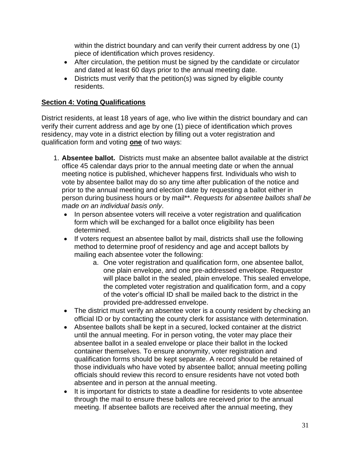within the district boundary and can verify their current address by one (1) piece of identification which proves residency.

- After circulation, the petition must be signed by the candidate or circulator and dated at least 60 days prior to the annual meeting date.
- Districts must verify that the petition(s) was signed by eligible county residents.

# **Section 4: Voting Qualifications**

District residents, at least 18 years of age, who live within the district boundary and can verify their current address and age by one (1) piece of identification which proves residency, may vote in a district election by filling out a voter registration and qualification form and voting **one** of two ways:

- 1. **Absentee ballot.** Districts must make an absentee ballot available at the district office 45 calendar days prior to the annual meeting date or when the annual meeting notice is published, whichever happens first. Individuals who wish to vote by absentee ballot may do so any time after publication of the notice and prior to the annual meeting and election date by requesting a ballot either in person during business hours or by mail\*\*. *Requests for absentee ballots shall be made on an individual basis only*.
	- In person absentee voters will receive a voter registration and qualification form which will be exchanged for a ballot once eligibility has been determined.
	- If voters request an absentee ballot by mail, districts shall use the following method to determine proof of residency and age and accept ballots by mailing each absentee voter the following:
		- a. One voter registration and qualification form, one absentee ballot, one plain envelope, and one pre-addressed envelope. Requestor will place ballot in the sealed, plain envelope. This sealed envelope, the completed voter registration and qualification form, and a copy of the voter's official ID shall be mailed back to the district in the provided pre-addressed envelope.
	- The district must verify an absentee voter is a county resident by checking an official ID or by contacting the county clerk for assistance with determination.
	- Absentee ballots shall be kept in a secured, locked container at the district until the annual meeting. For in person voting, the voter may place their absentee ballot in a sealed envelope or place their ballot in the locked container themselves. To ensure anonymity, voter registration and qualification forms should be kept separate. A record should be retained of those individuals who have voted by absentee ballot; annual meeting polling officials should review this record to ensure residents have not voted both absentee and in person at the annual meeting.
	- It is important for districts to state a deadline for residents to vote absentee through the mail to ensure these ballots are received prior to the annual meeting. If absentee ballots are received after the annual meeting, they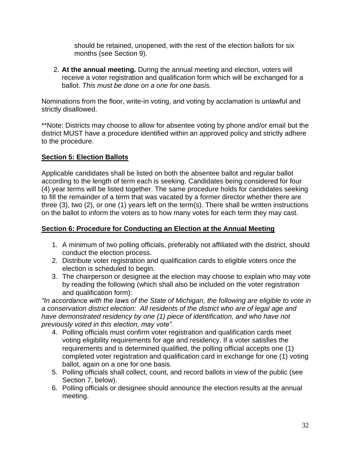should be retained, unopened, with the rest of the election ballots for six months (see Section 9).

2. **At the annual meeting.** During the annual meeting and election, voters will receive a voter registration and qualification form which will be exchanged for a ballot. *This must be done on a one for one basis.*

Nominations from the floor, write-in voting, and voting by acclamation is unlawful and strictly disallowed.

\*\*Note: Districts may choose to allow for absentee voting by phone and/or email but the district MUST have a procedure identified within an approved policy and strictly adhere to the procedure.

# **Section 5: Election Ballots**

Applicable candidates shall be listed on both the absentee ballot and regular ballot according to the length of term each is seeking. Candidates being considered for four (4) year terms will be listed together. The same procedure holds for candidates seeking to fill the remainder of a term that was vacated by a former director whether there are three (3), two (2), or one (1) years left on the term(s). There shall be written instructions on the ballot to inform the voters as to how many votes for each term they may cast.

### **Section 6: Procedure for Conducting an Election at the Annual Meeting**

- 1. A minimum of two polling officials, preferably not affiliated with the district, should conduct the election process.
- 2. Distribute voter registration and qualification cards to eligible voters once the election is scheduled to begin.
- 3. The chairperson or designee at the election may choose to explain who may vote by reading the following (which shall also be included on the voter registration and qualification form):

*"In accordance with the laws of the State of Michigan, the following are eligible to vote in a conservation district election: All residents of the district who are of legal age and have demonstrated residency by one (1) piece of identification, and who have not previously voted in this election, may vote".*

- 4. Polling officials must confirm voter registration and qualification cards meet voting eligibility requirements for age and residency. If a voter satisfies the requirements and is determined qualified, the polling official accepts one (1) completed voter registration and qualification card in exchange for one (1) voting ballot, again on a one for one basis.
- 5. Polling officials shall collect, count, and record ballots in view of the public (see Section 7, below).
- 6. Polling officials or designee should announce the election results at the annual meeting.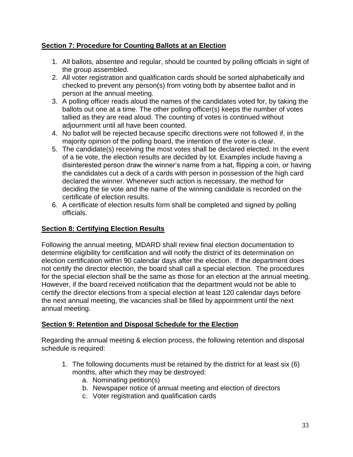# **Section 7: Procedure for Counting Ballots at an Election**

- 1. All ballots, absentee and regular, should be counted by polling officials in sight of the group assembled.
- 2. All voter registration and qualification cards should be sorted alphabetically and checked to prevent any person(s) from voting both by absentee ballot and in person at the annual meeting.
- 3. A polling officer reads aloud the names of the candidates voted for, by taking the ballots out one at a time. The other polling officer(s) keeps the number of votes tallied as they are read aloud. The counting of votes is continued without adjournment until all have been counted.
- 4. No ballot will be rejected because specific directions were not followed if, in the majority opinion of the polling board, the intention of the voter is clear.
- 5. The candidate(s) receiving the most votes shall be declared elected. In the event of a tie vote, the election results are decided by lot. Examples include having a disinterested person draw the winner's name from a hat, flipping a coin, or having the candidates cut a deck of a cards with person in possession of the high card declared the winner. Whenever such action is necessary, the method for deciding the tie vote and the name of the winning candidate is recorded on the certificate of election results.
- 6. A certificate of election results form shall be completed and signed by polling officials.

# **Section 8: Certifying Election Results**

Following the annual meeting, MDARD shall review final election documentation to determine eligibility for certification and will notify the district of its determination on election certification within 90 calendar days after the election. If the department does not certify the director election, the board shall call a special election. The procedures for the special election shall be the same as those for an election at the annual meeting. However, if the board received notification that the department would not be able to certify the director elections from a special election at least 120 calendar days before the next annual meeting, the vacancies shall be filled by appointment until the next annual meeting.

### **Section 9: Retention and Disposal Schedule for the Election**

Regarding the annual meeting & election process, the following retention and disposal schedule is required:

- 1. The following documents must be retained by the district for at least six (6) months, after which they may be destroyed:
	- a. Nominating petition(s)
	- b. Newspaper notice of annual meeting and election of directors
	- c. Voter registration and qualification cards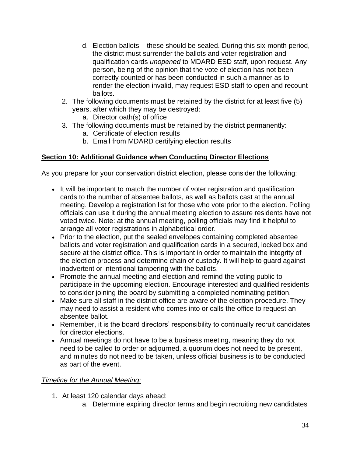- d. Election ballots these should be sealed. During this six-month period, the district must surrender the ballots and voter registration and qualification cards *unopened* to MDARD ESD staff, upon request. Any person, being of the opinion that the vote of election has not been correctly counted or has been conducted in such a manner as to render the election invalid, may request ESD staff to open and recount ballots.
- 2. The following documents must be retained by the district for at least five (5) years, after which they may be destroyed:
	- a. Director oath(s) of office
- 3. The following documents must be retained by the district permanently:
	- a. Certificate of election results
	- b. Email from MDARD certifying election results

# **Section 10: Additional Guidance when Conducting Director Elections**

As you prepare for your conservation district election, please consider the following:

- It will be important to match the number of voter registration and qualification cards to the number of absentee ballots, as well as ballots cast at the annual meeting. Develop a registration list for those who vote prior to the election. Polling officials can use it during the annual meeting election to assure residents have not voted twice. Note: at the annual meeting, polling officials may find it helpful to arrange all voter registrations in alphabetical order.
- Prior to the election, put the sealed envelopes containing completed absentee ballots and voter registration and qualification cards in a secured, locked box and secure at the district office. This is important in order to maintain the integrity of the election process and determine chain of custody. It will help to guard against inadvertent or intentional tampering with the ballots.
- Promote the annual meeting and election and remind the voting public to participate in the upcoming election. Encourage interested and qualified residents to consider joining the board by submitting a completed nominating petition.
- Make sure all staff in the district office are aware of the election procedure. They may need to assist a resident who comes into or calls the office to request an absentee ballot.
- Remember, it is the board directors' responsibility to continually recruit candidates for director elections.
- Annual meetings do not have to be a business meeting, meaning they do not need to be called to order or adjourned, a quorum does not need to be present, and minutes do not need to be taken, unless official business is to be conducted as part of the event.

# *Timeline for the Annual Meeting:*

- 1. At least 120 calendar days ahead:
	- a. Determine expiring director terms and begin recruiting new candidates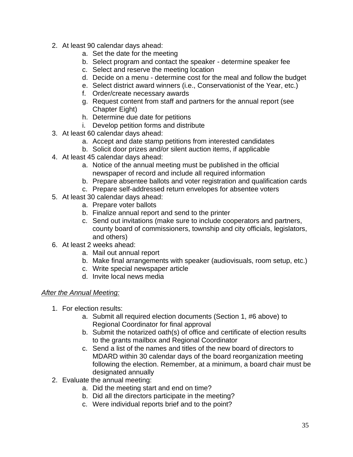- 2. At least 90 calendar days ahead:
	- a. Set the date for the meeting
	- b. Select program and contact the speaker determine speaker fee
	- c. Select and reserve the meeting location
	- d. Decide on a menu determine cost for the meal and follow the budget
	- e. Select district award winners (i.e., Conservationist of the Year, etc.)
	- f. Order/create necessary awards
	- g. Request content from staff and partners for the annual report (see Chapter Eight)
	- h. Determine due date for petitions
	- i. Develop petition forms and distribute
- 3. At least 60 calendar days ahead:
	- a. Accept and date stamp petitions from interested candidates
	- b. Solicit door prizes and/or silent auction items, if applicable
- 4. At least 45 calendar days ahead:
	- a. Notice of the annual meeting must be published in the official newspaper of record and include all required information
	- b. Prepare absentee ballots and voter registration and qualification cards
	- c. Prepare self-addressed return envelopes for absentee voters
- 5. At least 30 calendar days ahead:
	- a. Prepare voter ballots
	- b. Finalize annual report and send to the printer
	- c. Send out invitations (make sure to include cooperators and partners, county board of commissioners, township and city officials, legislators, and others)
- 6. At least 2 weeks ahead:
	- a. Mail out annual report
	- b. Make final arrangements with speaker (audiovisuals, room setup, etc.)
	- c. Write special newspaper article
	- d. Invite local news media

#### *After the Annual Meeting:*

- 1. For election results:
	- a. Submit all required election documents (Section 1, #6 above) to Regional Coordinator for final approval
	- b. Submit the notarized oath(s) of office and certificate of election results to the grants mailbox and Regional Coordinator
	- c. Send a list of the names and titles of the new board of directors to MDARD within 30 calendar days of the board reorganization meeting following the election. Remember, at a minimum, a board chair must be designated annually
- 2. Evaluate the annual meeting:
	- a. Did the meeting start and end on time?
	- b. Did all the directors participate in the meeting?
	- c. Were individual reports brief and to the point?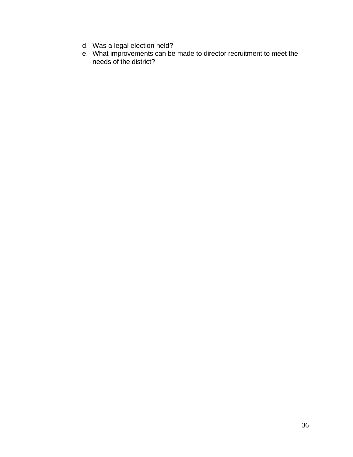- d. Was a legal election held?
- e. What improvements can be made to director recruitment to meet the needs of the district?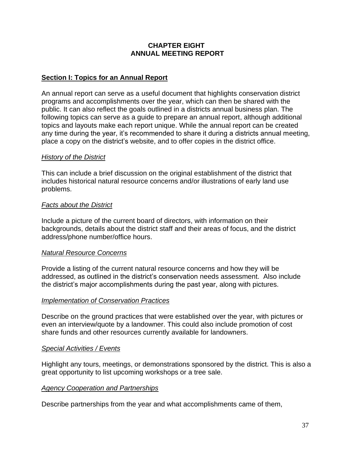#### **CHAPTER EIGHT ANNUAL MEETING REPORT**

### **Section I: Topics for an Annual Report**

An annual report can serve as a useful document that highlights conservation district programs and accomplishments over the year, which can then be shared with the public. It can also reflect the goals outlined in a districts annual business plan. The following topics can serve as a guide to prepare an annual report, although additional topics and layouts make each report unique. While the annual report can be created any time during the year, it's recommended to share it during a districts annual meeting, place a copy on the district's website, and to offer copies in the district office.

#### *History of the District*

This can include a brief discussion on the original establishment of the district that includes historical natural resource concerns and/or illustrations of early land use problems.

### *Facts about the District*

Include a picture of the current board of directors, with information on their backgrounds, details about the district staff and their areas of focus, and the district address/phone number/office hours.

#### *Natural Resource Concerns*

Provide a listing of the current natural resource concerns and how they will be addressed, as outlined in the district's conservation needs assessment. Also include the district's major accomplishments during the past year, along with pictures.

#### *Implementation of Conservation Practices*

Describe on the ground practices that were established over the year, with pictures or even an interview/quote by a landowner. This could also include promotion of cost share funds and other resources currently available for landowners.

#### *Special Activities / Events*

Highlight any tours, meetings, or demonstrations sponsored by the district. This is also a great opportunity to list upcoming workshops or a tree sale.

# *Agency Cooperation and Partnerships*

Describe partnerships from the year and what accomplishments came of them,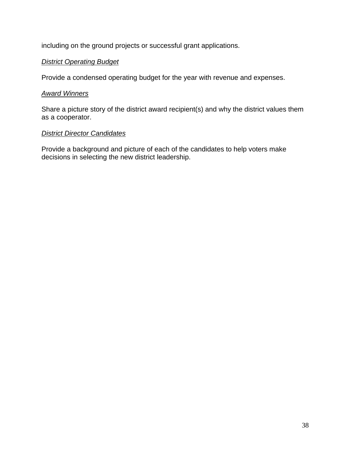including on the ground projects or successful grant applications.

# *District Operating Budget*

Provide a condensed operating budget for the year with revenue and expenses.

#### *Award Winners*

Share a picture story of the district award recipient(s) and why the district values them as a cooperator.

### *District Director Candidates*

Provide a background and picture of each of the candidates to help voters make decisions in selecting the new district leadership.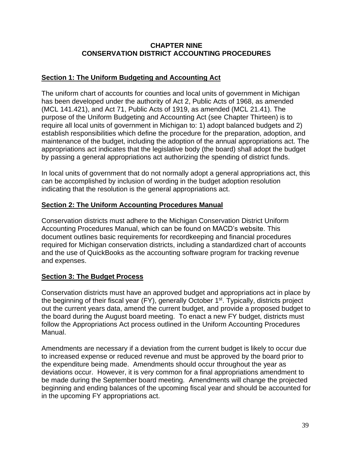#### **CHAPTER NINE CONSERVATION DISTRICT ACCOUNTING PROCEDURES**

### **Section 1: The Uniform Budgeting and Accounting Act**

The uniform chart of accounts for counties and local units of government in Michigan has been developed under the authority of Act 2, Public Acts of 1968, as amended (MCL 141.421), and Act 71, Public Acts of 1919, as amended (MCL 21.41). The purpose of the Uniform Budgeting and Accounting Act (see Chapter Thirteen) is to require all local units of government in Michigan to: 1) adopt balanced budgets and 2) establish responsibilities which define the procedure for the preparation, adoption, and maintenance of the budget, including the adoption of the annual appropriations act. The appropriations act indicates that the legislative body (the board) shall adopt the budget by passing a general appropriations act authorizing the spending of district funds.

In local units of government that do not normally adopt a general appropriations act, this can be accomplished by inclusion of wording in the budget adoption resolution indicating that the resolution is the general appropriations act.

### **Section 2: The Uniform Accounting Procedures Manual**

Conservation districts must adhere to the Michigan Conservation District Uniform Accounting Procedures Manual, which can be found on MACD's website. This document outlines basic requirements for recordkeeping and financial procedures required for Michigan conservation districts, including a standardized chart of accounts and the use of QuickBooks as the accounting software program for tracking revenue and expenses.

#### **Section 3: The Budget Process**

Conservation districts must have an approved budget and appropriations act in place by the beginning of their fiscal year (FY), generally October 1<sup>st</sup>. Typically, districts project out the current years data, amend the current budget, and provide a proposed budget to the board during the August board meeting. To enact a new FY budget, districts must follow the Appropriations Act process outlined in the Uniform Accounting Procedures Manual.

Amendments are necessary if a deviation from the current budget is likely to occur due to increased expense or reduced revenue and must be approved by the board prior to the expenditure being made. Amendments should occur throughout the year as deviations occur. However, it is very common for a final appropriations amendment to be made during the September board meeting. Amendments will change the projected beginning and ending balances of the upcoming fiscal year and should be accounted for in the upcoming FY appropriations act.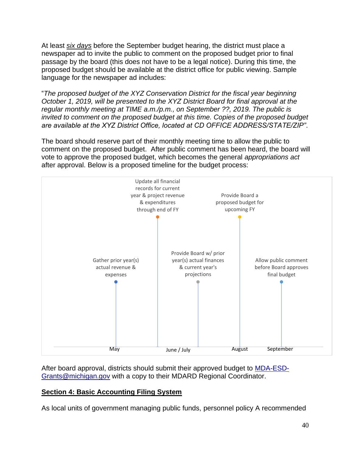At least *six days* before the September budget hearing, the district must place a newspaper ad to invite the public to comment on the proposed budget prior to final passage by the board (this does not have to be a legal notice). During this time, the proposed budget should be available at the district office for public viewing. Sample language for the newspaper ad includes:

"*The proposed budget of the XYZ Conservation District for the fiscal year beginning October 1, 2019, will be presented to the XYZ District Board for final approval at the regular monthly meeting at TIME a.m./p.m., on September ??, 2019. The public is invited to comment on the proposed budget at this time. Copies of the proposed budget are available at the XYZ District Office, located at CD OFFICE ADDRESS/STATE/ZIP"*.

The board should reserve part of their monthly meeting time to allow the public to comment on the proposed budget. After public comment has been heard, the board will vote to approve the proposed budget, which becomes the general *appropriations act* after approval. Below is a proposed timeline for the budget process:



After board approval, districts should submit their approved budget to [MDA-ESD-](mailto:MDA-ESD-Grants@michigan.gov)[Grants@michigan.gov](mailto:MDA-ESD-Grants@michigan.gov) with a copy to their MDARD Regional Coordinator.

# **Section 4: Basic Accounting Filing System**

As local units of government managing public funds, personnel policy A recommended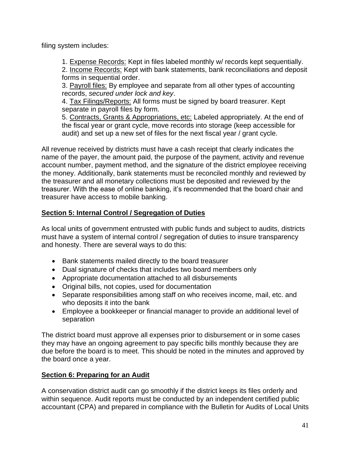filing system includes:

1. Expense Records: Kept in files labeled monthly w/ records kept sequentially.

2. Income Records: Kept with bank statements, bank reconciliations and deposit forms in sequential order.

3. Payroll files: By employee and separate from all other types of accounting records, *secured under lock and key*.

4. Tax Filings/Reports: All forms must be signed by board treasurer. Kept separate in payroll files by form.

5. Contracts, Grants & Appropriations, etc: Labeled appropriately. At the end of the fiscal year or grant cycle, move records into storage (keep accessible for audit) and set up a new set of files for the next fiscal year / grant cycle.

All revenue received by districts must have a cash receipt that clearly indicates the name of the payer, the amount paid, the purpose of the payment, activity and revenue account number, payment method, and the signature of the district employee receiving the money. Additionally, bank statements must be reconciled monthly and reviewed by the treasurer and all monetary collections must be deposited and reviewed by the treasurer. With the ease of online banking, it's recommended that the board chair and treasurer have access to mobile banking.

# **Section 5: Internal Control / Segregation of Duties**

As local units of government entrusted with public funds and subject to audits, districts must have a system of internal control / segregation of duties to insure transparency and honesty. There are several ways to do this:

- Bank statements mailed directly to the board treasurer
- Dual signature of checks that includes two board members only
- Appropriate documentation attached to all disbursements
- Original bills, not copies, used for documentation
- Separate responsibilities among staff on who receives income, mail, etc. and who deposits it into the bank
- Employee a bookkeeper or financial manager to provide an additional level of separation

The district board must approve all expenses prior to disbursement or in some cases they may have an ongoing agreement to pay specific bills monthly because they are due before the board is to meet. This should be noted in the minutes and approved by the board once a year.

# **Section 6: Preparing for an Audit**

A conservation district audit can go smoothly if the district keeps its files orderly and within sequence. Audit reports must be conducted by an independent certified public accountant (CPA) and prepared in compliance with the Bulletin for Audits of Local Units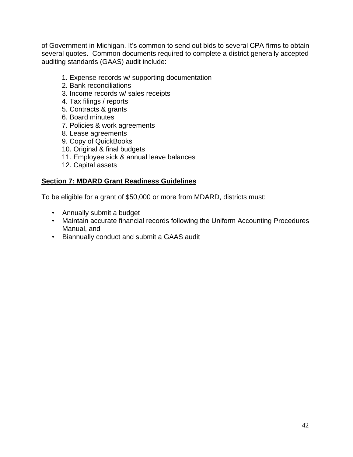of Government in Michigan. It's common to send out bids to several CPA firms to obtain several quotes. Common documents required to complete a district generally accepted auditing standards (GAAS) audit include:

- 1. Expense records w/ supporting documentation
- 2. Bank reconciliations
- 3. Income records w/ sales receipts
- 4. Tax filings / reports
- 5. Contracts & grants
- 6. Board minutes
- 7. Policies & work agreements
- 8. Lease agreements
- 9. Copy of QuickBooks
- 10. Original & final budgets
- 11. Employee sick & annual leave balances
- 12. Capital assets

#### **Section 7: MDARD Grant Readiness Guidelines**

To be eligible for a grant of \$50,000 or more from MDARD, districts must:

- Annually submit a budget
- Maintain accurate financial records following the Uniform Accounting Procedures Manual, and
- Biannually conduct and submit a GAAS audit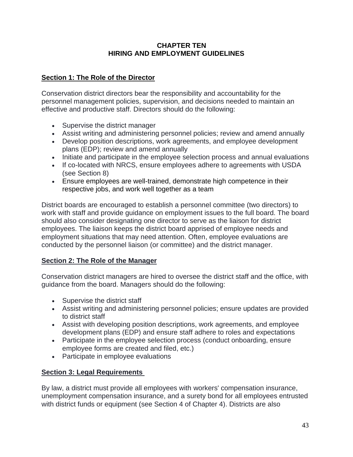### **CHAPTER TEN HIRING AND EMPLOYMENT GUIDELINES**

# **Section 1: The Role of the Director**

Conservation district directors bear the responsibility and accountability for the personnel management policies, supervision, and decisions needed to maintain an effective and productive staff. Directors should do the following:

- Supervise the district manager
- Assist writing and administering personnel policies; review and amend annually
- Develop position descriptions, work agreements, and employee development plans (EDP); review and amend annually
- Initiate and participate in the employee selection process and annual evaluations
- If co-located with NRCS, ensure employees adhere to agreements with USDA (see Section 8)
- Ensure employees are well-trained, demonstrate high competence in their respective jobs, and work well together as a team

District boards are encouraged to establish a personnel committee (two directors) to work with staff and provide guidance on employment issues to the full board. The board should also consider designating one director to serve as the liaison for district employees. The liaison keeps the district board apprised of employee needs and employment situations that may need attention. Often, employee evaluations are conducted by the personnel liaison (or committee) and the district manager.

# **Section 2: The Role of the Manager**

Conservation district managers are hired to oversee the district staff and the office, with guidance from the board. Managers should do the following:

- Supervise the district staff
- Assist writing and administering personnel policies; ensure updates are provided to district staff
- Assist with developing position descriptions, work agreements, and employee development plans (EDP) and ensure staff adhere to roles and expectations
- Participate in the employee selection process (conduct onboarding, ensure employee forms are created and filed, etc.)
- Participate in employee evaluations

# **Section 3: Legal Requirements**

By law, a district must provide all employees with workers' compensation insurance, unemployment compensation insurance, and a surety bond for all employees entrusted with district funds or equipment (see Section 4 of Chapter 4). Districts are also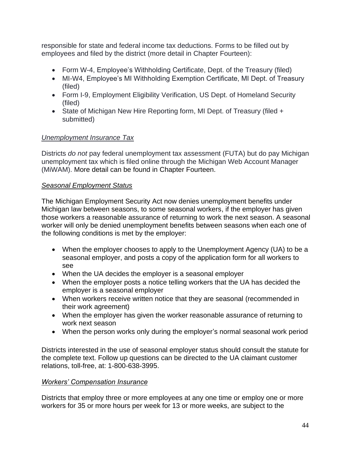responsible for state and federal income tax deductions. Forms to be filled out by employees and filed by the district (more detail in Chapter Fourteen):

- Form W-4, Employee's Withholding Certificate, Dept. of the Treasury (filed)
- MI-W4, Employee's MI Withholding Exemption Certificate, MI Dept. of Treasury (filed)
- Form I-9, Employment Eligibility Verification, US Dept. of Homeland Security (filed)
- State of Michigan New Hire Reporting form, MI Dept. of Treasury (filed + submitted)

# *Unemployment Insurance Tax*

Districts *do not* pay federal unemployment tax assessment (FUTA) but do pay Michigan unemployment tax which is filed online through the Michigan Web Account Manager (MiWAM). More detail can be found in Chapter Fourteen.

# *Seasonal Employment Status*

The Michigan Employment Security Act now denies unemployment benefits under Michigan law between seasons, to some seasonal workers, if the employer has given those workers a reasonable assurance of returning to work the next season. A seasonal worker will only be denied unemployment benefits between seasons when each one of the following conditions is met by the employer:

- When the employer chooses to apply to the Unemployment Agency (UA) to be a seasonal employer, and posts a copy of the application form for all workers to see
- When the UA decides the employer is a seasonal employer
- When the employer posts a notice telling workers that the UA has decided the employer is a seasonal employer
- When workers receive written notice that they are seasonal (recommended in their work agreement)
- When the employer has given the worker reasonable assurance of returning to work next season
- When the person works only during the employer's normal seasonal work period

Districts interested in the use of seasonal employer status should consult the statute for the complete text. Follow up questions can be directed to the UA claimant customer relations, toll-free, at: 1-800-638-3995.

# *Workers' Compensation Insurance*

Districts that employ three or more employees at any one time or employ one or more workers for 35 or more hours per week for 13 or more weeks, are subject to the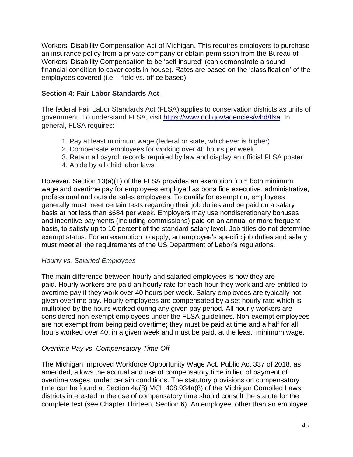Workers' Disability Compensation Act of Michigan. This requires employers to purchase an insurance policy from a private company or obtain permission from the Bureau of Workers' Disability Compensation to be 'self-insured' (can demonstrate a sound financial condition to cover costs in house). Rates are based on the 'classification' of the employees covered (i.e. - field vs. office based).

# **Section 4: Fair Labor Standards Act**

The federal Fair Labor Standards Act (FLSA) applies to conservation districts as units of government. To understand FLSA, visit [https://www.dol.gov/agencies/whd/flsa.](https://www.dol.gov/agencies/whd/flsa) In general, FLSA requires:

- 1. Pay at least minimum wage (federal or state, whichever is higher)
- 2. Compensate employees for working over 40 hours per week
- 3. Retain all payroll records required by law and display an official FLSA poster
- 4. Abide by all child labor laws

However, Section 13(a)(1) of the FLSA provides an exemption from both minimum wage and overtime pay for employees employed as bona fide executive, administrative, professional and outside sales employees. To qualify for exemption, employees generally must meet certain tests regarding their job duties and be paid on a salary basis at not less than \$684 per week. Employers may use nondiscretionary bonuses and incentive payments (including commissions) paid on an annual or more frequent basis, to satisfy up to 10 percent of the standard salary level. Job titles do not determine exempt status. For an exemption to apply, an employee's specific job duties and salary must meet all the requirements of the US Department of Labor's regulations.

#### *Hourly vs. Salaried Employees*

The main [difference between hourly and salaried](https://www.thebalancecareers.com/compensation-hourly-vs-salary-125647) employees is how they are paid. [Hourly workers](https://www.thebalancecareers.com/what-is-an-hourly-employee-2062008) are paid an hourly rate for each hour they work and are [entitled to](https://www.thebalancecareers.com/how-overtime-pay-is-calculated-2063430)  [overtime pay](https://www.thebalancecareers.com/how-overtime-pay-is-calculated-2063430) if they work over 40 hours per week. [Salary employees](https://www.thebalancecareers.com/what-is-a-salary-employee-2062093) are typically not given overtime pay. Hourly employees are compensated by a set hourly rate which is multiplied by the hours worked during any given pay period. All hourly workers are considered [non-exempt](https://www.thebalancecareers.com/exempt-and-a-non-exempt-employee-2061988) employees under the [FLSA](https://www.thebalancesmb.com/the-fair-labor-standards-act-how-it-affects-employers-398269) guidelines. Non-exempt employees are not exempt from being paid overtime; they must be paid at time and a half for all hours worked over 40, in a given week and must be paid, at the least, [minimum wage.](https://www.thebalancecareers.com/what-is-the-minimum-wage-2060628)

# *Overtime Pay vs. Compensatory Time Off*

The Michigan Improved Workforce Opportunity Wage Act, Public Act 337 of 2018, as amended, allows the accrual and use of compensatory time in lieu of payment of overtime wages, under certain conditions. The statutory provisions on compensatory time can be found at Section 4a(8) MCL 408.934a(8) of the Michigan Compiled Laws; districts interested in the use of compensatory time should consult the statute for the complete text (see Chapter Thirteen, Section 6). An employee, other than an employee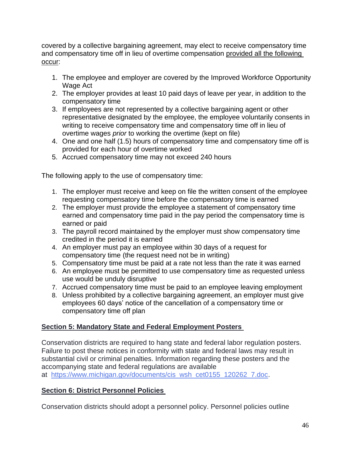covered by a collective bargaining agreement, may elect to receive compensatory time and compensatory time off in lieu of overtime compensation provided all the following occur:

- 1. The employee and employer are covered by the Improved Workforce Opportunity Wage Act
- 2. The employer provides at least 10 paid days of leave per year, in addition to the compensatory time
- 3. If employees are not represented by a collective bargaining agent or other representative designated by the employee, the employee voluntarily consents in writing to receive compensatory time and compensatory time off in lieu of overtime wages *prior* to working the overtime (kept on file)
- 4. One and one half (1.5) hours of compensatory time and compensatory time off is provided for each hour of overtime worked
- 5. Accrued compensatory time may not exceed 240 hours

The following apply to the use of compensatory time:

- 1. The employer must receive and keep on file the written consent of the employee requesting compensatory time before the compensatory time is earned
- 2. The employer must provide the employee a statement of compensatory time earned and compensatory time paid in the pay period the compensatory time is earned or paid
- 3. The payroll record maintained by the employer must show compensatory time credited in the period it is earned
- 4. An employer must pay an employee within 30 days of a request for compensatory time (the request need not be in writing)
- 5. Compensatory time must be paid at a rate not less than the rate it was earned
- 6. An employee must be permitted to use compensatory time as requested unless use would be unduly disruptive
- 7. Accrued compensatory time must be paid to an employee leaving employment
- 8. Unless prohibited by a collective bargaining agreement, an employer must give employees 60 days' notice of the cancellation of a compensatory time or compensatory time off plan

# **Section 5: Mandatory State and Federal Employment Posters**

Conservation districts are required to hang state and federal labor regulation posters. Failure to post these notices in conformity with state and federal laws may result in substantial civil or criminal penalties. Information regarding these posters and the accompanying state and federal regulations are available

at [https://www.michigan.gov/documents/cis\\_wsh\\_cet0155\\_120262\\_7.doc.](https://www.michigan.gov/documents/cis_wsh_cet0155_120262_7.doc)

# **Section 6: District Personnel Policies**

Conservation districts should adopt a personnel policy. Personnel policies outline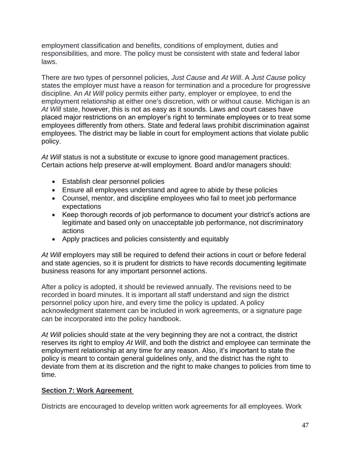employment classification and benefits, conditions of employment, duties and responsibilities, and more. The policy must be consistent with state and federal labor laws.

There are two types of personnel policies, *Just Cause* and *At Will*. A *Just Cause* policy states the employer must have a reason for termination and a procedure for progressive discipline. An *At Will* policy permits either party, employer or employee, to end the employment relationship at either one's discretion, with or without cause. Michigan is an *At Will* state, however, this is not as easy as it sounds. Laws and court cases have placed major restrictions on an employer's right to terminate employees or to treat some employees differently from others. State and federal laws prohibit discrimination against employees. The district may be liable in court for employment actions that violate public policy.

*At Will* status is not a substitute or excuse to ignore good management practices. Certain actions help preserve at-will employment. Board and/or managers should:

- Establish clear personnel policies
- Ensure all employees understand and agree to abide by these policies
- Counsel, mentor, and discipline employees who fail to meet job performance expectations
- Keep thorough records of job performance to document your district's actions are legitimate and based only on unacceptable job performance, not discriminatory actions
- Apply practices and policies consistently and equitably

*At Will* employers may still be required to defend their actions in court or before federal and state agencies, so it is prudent for districts to have records documenting legitimate business reasons for any important personnel actions.

After a policy is adopted, it should be reviewed annually. The revisions need to be recorded in board minutes. It is important all staff understand and sign the district personnel policy upon hire, and every time the policy is updated. A policy acknowledgment statement can be included in work agreements, or a signature page can be incorporated into the policy handbook.

At Will policies should state at the very beginning they are not a contract, the district reserves its right to employ *At Will*, and both the district and employee can terminate the employment relationship at any time for any reason. Also, it's important to state the policy is meant to contain general guidelines only, and the district has the right to deviate from them at its discretion and the right to make changes to policies from time to time.

# **Section 7: Work Agreement**

Districts are encouraged to develop written work agreements for all employees. Work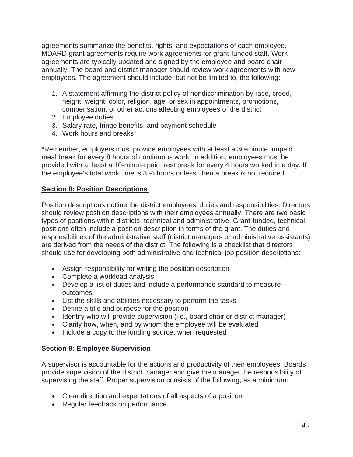agreements summarize the benefits, rights, and expectations of each employee. MDARD grant agreements require work agreements for grant-funded staff. Work agreements are typically updated and signed by the employee and board chair annually. The board and district manager should review work agreements with new employees. The agreement should include, but not be limited to, the following:

- 1. A statement affirming the district policy of nondiscrimination by race, creed, height, weight, color, religion, age, or sex in appointments, promotions, compensation, or other actions affecting employees of the district
- 2. Employee duties
- 3. Salary rate, fringe benefits, and payment schedule
- 4. Work hours and breaks\*

\*Remember, employers must provide employees with at least a 30-minute, unpaid meal break for every 8 hours of continuous work. In addition, employees must be provided with at least a 10-minute paid, rest break for every 4 hours worked in a day. If the employee's total work time is 3 ½ hours or less, then a break is not required.

# **Section 8: Position Descriptions**

Position descriptions outline the district employees' duties and responsibilities. Directors should review position descriptions with their employees annually. There are two basic types of positions within districts: technical and administrative. Grant-funded, technical positions often include a position description in terms of the grant. The duties and responsibilities of the administrative staff (district managers or administrative assistants) are derived from the needs of the district. The following is a checklist that directors should use for developing both administrative and technical job position descriptions:

- Assign responsibility for writing the position description
- Complete a workload analysis
- Develop a list of duties and include a performance standard to measure outcomes
- List the skills and abilities necessary to perform the tasks
- Define a title and purpose for the position
- Identify who will provide supervision (i.e., board chair or district manager)
- Clarify how, when, and by whom the employee will be evaluated
- Include a copy to the funding source, when requested

# **Section 9: Employee Supervision**

A supervisor is accountable for the actions and productivity of their employees. Boards provide supervision of the district manager and give the manager the responsibility of supervising the staff. Proper supervision consists of the following, as a minimum:

- Clear direction and expectations of all aspects of a position
- Regular feedback on performance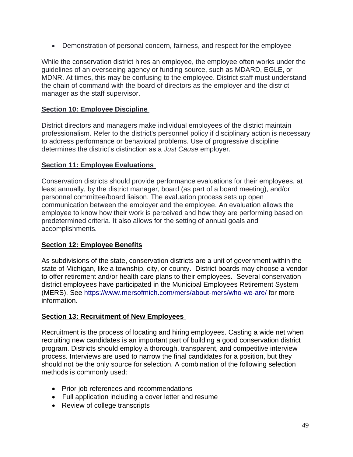• Demonstration of personal concern, fairness, and respect for the employee

While the conservation district hires an employee, the employee often works under the guidelines of an overseeing agency or funding source, such as MDARD, EGLE, or MDNR. At times, this may be confusing to the employee. District staff must understand the chain of command with the board of directors as the employer and the district manager as the staff supervisor.

### **Section 10: Employee Discipline**

District directors and managers make individual employees of the district maintain professionalism. Refer to the district's personnel policy if disciplinary action is necessary to address performance or behavioral problems. Use of progressive discipline determines the district's distinction as a *Just Cause* employer.

#### **Section 11: Employee Evaluations**

Conservation districts should provide performance evaluations for their employees, at least annually, by the district manager, board (as part of a board meeting), and/or personnel committee/board liaison. The evaluation process sets up open communication between the employer and the employee. An evaluation allows the employee to know how their work is perceived and how they are performing based on predetermined criteria. It also allows for the setting of annual goals and accomplishments.

# **Section 12: Employee Benefits**

As subdivisions of the state, conservation districts are a unit of government within the state of Michigan, like a township, city, or county. District boards may choose a vendor to offer retirement and/or health care plans to their employees. Several conservation district employees have participated in the Municipal Employees Retirement System (MERS). See [https://www.mersofmich.com/mers/about-mers/who-we-are/](https://gcc01.safelinks.protection.outlook.com/?url=https%3A%2F%2Fwww.mersofmich.com%2Fmers%2Fabout-mers%2Fwho-we-are%2F&data=02%7C01%7CGuthR%40michigan.gov%7C40be0604ac444f9691b508d8558c9cdb%7Cd5fb7087377742ad966a892ef47225d1%7C0%7C0%7C637353409694774771&sdata=7V9AzW83m%2FOwPUzS4F3457btUL1y3%2BM4upyZajIQDbM%3D&reserved=0) for more information.

# **Section 13: Recruitment of New Employees**

Recruitment is the process of locating and hiring employees. Casting a wide net when recruiting new candidates is an important part of building a good conservation district program. Districts should employ a thorough, transparent, and competitive interview process. Interviews are used to narrow the final candidates for a position, but they should not be the only source for selection. A combination of the following selection methods is commonly used:

- Prior job references and recommendations
- Full application including a cover letter and resume
- Review of college transcripts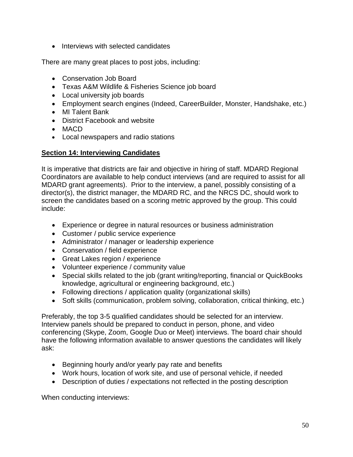• Interviews with selected candidates

There are many great places to post jobs, including:

- Conservation Job Board
- Texas A&M Wildlife & Fisheries Science job board
- Local university job boards
- Employment search engines (Indeed, CareerBuilder, Monster, Handshake, etc.)
- MI Talent Bank
- District Facebook and website
- MACD
- Local newspapers and radio stations

# **Section 14: Interviewing Candidates**

It is imperative that districts are fair and objective in hiring of staff. MDARD Regional Coordinators are available to help conduct interviews (and are required to assist for all MDARD grant agreements). Prior to the interview, a panel, possibly consisting of a director(s), the district manager, the MDARD RC, and the NRCS DC, should work to screen the candidates based on a scoring metric approved by the group. This could include:

- Experience or degree in natural resources or business administration
- Customer / public service experience
- Administrator / manager or leadership experience
- Conservation / field experience
- Great Lakes region / experience
- Volunteer experience / community value
- Special skills related to the job (grant writing/reporting, financial or QuickBooks knowledge, agricultural or engineering background, etc.)
- Following directions / application quality (organizational skills)
- Soft skills (communication, problem solving, collaboration, critical thinking, etc.)

Preferably, the top 3-5 qualified candidates should be selected for an interview. Interview panels should be prepared to conduct in person, phone, and video conferencing (Skype, Zoom, Google Duo or Meet) interviews. The board chair should have the following information available to answer questions the candidates will likely ask:

- Beginning hourly and/or yearly pay rate and benefits
- Work hours, location of work site, and use of personal vehicle, if needed
- Description of duties / expectations not reflected in the posting description

When conducting interviews: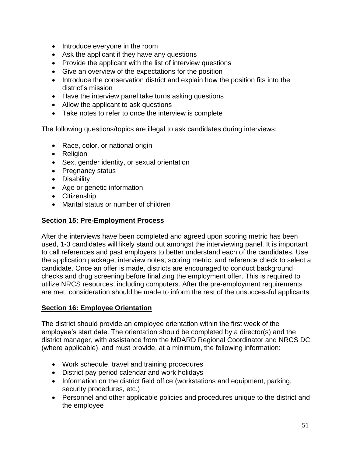- Introduce everyone in the room
- Ask the applicant if they have any questions
- Provide the applicant with the list of interview questions
- Give an overview of the expectations for the position
- Introduce the conservation district and explain how the position fits into the district's mission
- Have the interview panel take turns asking questions
- Allow the applicant to ask questions
- Take notes to refer to once the interview is complete

The following questions/topics are illegal to ask candidates during interviews:

- Race, color, or national origin
- Religion
- Sex, gender identity, or sexual orientation
- Pregnancy status
- Disability
- Age or genetic information
- Citizenship
- Marital status or number of children

### **Section 15: Pre-Employment Process**

After the interviews have been completed and agreed upon scoring metric has been used, 1-3 candidates will likely stand out amongst the interviewing panel. It is important to call references and past employers to better understand each of the candidates. Use the application package, interview notes, scoring metric, and reference check to select a candidate. Once an offer is made, districts are encouraged to conduct background checks and drug screening before finalizing the employment offer. This is required to utilize NRCS resources, including computers. After the pre-employment requirements are met, consideration should be made to inform the rest of the unsuccessful applicants.

#### **Section 16: Employee Orientation**

The district should provide an employee orientation within the first week of the employee's start date. The orientation should be completed by a director(s) and the district manager, with assistance from the MDARD Regional Coordinator and NRCS DC (where applicable), and must provide, at a minimum, the following information:

- Work schedule, travel and training procedures
- District pay period calendar and work holidays
- Information on the district field office (workstations and equipment, parking, security procedures, etc.)
- Personnel and other applicable policies and procedures unique to the district and the employee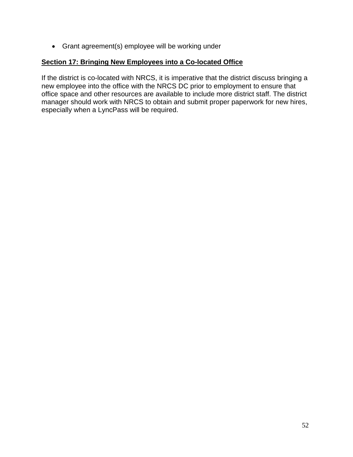• Grant agreement(s) employee will be working under

### **Section 17: Bringing New Employees into a Co-located Office**

If the district is co-located with NRCS, it is imperative that the district discuss bringing a new employee into the office with the NRCS DC prior to employment to ensure that office space and other resources are available to include more district staff. The district manager should work with NRCS to obtain and submit proper paperwork for new hires, especially when a LyncPass will be required.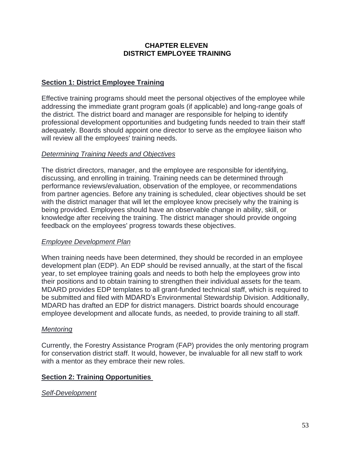### **CHAPTER ELEVEN DISTRICT EMPLOYEE TRAINING**

# **Section 1: District Employee Training**

Effective training programs should meet the personal objectives of the employee while addressing the immediate grant program goals (if applicable) and long-range goals of the district. The district board and manager are responsible for helping to identify professional development opportunities and budgeting funds needed to train their staff adequately. Boards should appoint one director to serve as the employee liaison who will review all the employees' training needs.

# *Determining Training Needs and Objectives*

The district directors, manager, and the employee are responsible for identifying, discussing, and enrolling in training. Training needs can be determined through performance reviews/evaluation, observation of the employee, or recommendations from partner agencies. Before any training is scheduled, clear objectives should be set with the district manager that will let the employee know precisely why the training is being provided. Employees should have an observable change in ability, skill, or knowledge after receiving the training. The district manager should provide ongoing feedback on the employees' progress towards these objectives.

#### *Employee Development Plan*

When training needs have been determined, they should be recorded in an employee development plan (EDP). An EDP should be revised annually, at the start of the fiscal year, to set employee training goals and needs to both help the employees grow into their positions and to obtain training to strengthen their individual assets for the team. MDARD provides EDP templates to all grant-funded technical staff, which is required to be submitted and filed with MDARD's Environmental Stewardship Division. Additionally, MDARD has drafted an EDP for district managers. District boards should encourage employee development and allocate funds, as needed, to provide training to all staff.

#### *Mentoring*

Currently, the Forestry Assistance Program (FAP) provides the only mentoring program for conservation district staff. It would, however, be invaluable for all new staff to work with a mentor as they embrace their new roles.

# **Section 2: Training Opportunities**

# *Self-Development*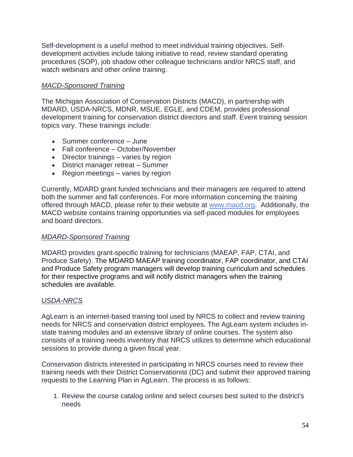Self-development is a useful method to meet individual training objectives. Selfdevelopment activities include taking initiative to read, review standard operating procedures (SOP), job shadow other colleague technicians and/or NRCS staff, and watch webinars and other online training.

# *MACD-Sponsored Training*

The Michigan Association of Conservation Districts (MACD), in partnership with MDARD, USDA-NRCS, MDNR, MSUE, EGLE, and CDEM, provides professional development training for conservation district directors and staff. Event training session topics vary. These trainings include:

- Summer conference June
- Fall conference October/November
- Director trainings varies by region
- District manager retreat Summer
- Region meetings varies by region

Currently, MDARD grant funded technicians and their managers are required to attend both the summer and fall conferences. For more information concerning the training offered through MACD, please refer to their website at [www.macd.org.](http://www.macd.org/) Additionally, the MACD website contains training opportunities via self-paced modules for employees and board directors.

# *MDARD-Sponsored Training*

MDARD provides grant-specific training for technicians (MAEAP, FAP, CTAI, and Produce Safety). The MDARD MAEAP training coordinator, FAP coordinator, and CTAI and Produce Safety program managers will develop training curriculum and schedules for their respective programs and will notify district managers when the training schedules are available.

# *USDA-NRCS*

AgLearn is an internet-based training tool used by NRCS to collect and review training needs for NRCS and conservation district employees. The AgLearn system includes instate training modules and an extensive library of online courses. The system also consists of a training needs inventory that NRCS utilizes to determine which educational sessions to provide during a given fiscal year.

Conservation districts interested in participating in NRCS courses need to review their training needs with their District Conservationist (DC) and submit their approved training requests to the Learning Plan in AgLearn. The process is as follows:

1. Review the course catalog online and select courses best suited to the district's needs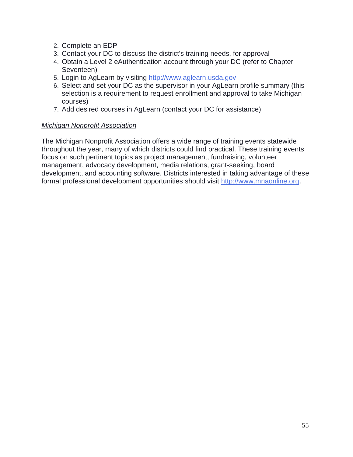- 2. Complete an EDP
- 3. Contact your DC to discuss the district's training needs, for approval
- 4. Obtain a Level 2 eAuthentication account through your DC (refer to Chapter Seventeen)
- 5. Login to AgLearn by visiting [http://www.aglearn.usda.gov](http://www.aglearn.usda.gov/)
- 6. Select and set your DC as the supervisor in your AgLearn profile summary (this selection is a requirement to request enrollment and approval to take Michigan courses)
- 7. Add desired courses in AgLearn (contact your DC for assistance)

### *Michigan Nonprofit Association*

The Michigan Nonprofit Association offers a wide range of training events statewide throughout the year, many of which districts could find practical. These training events focus on such pertinent topics as project management, fundraising, volunteer management, advocacy development, media relations, grant-seeking, board development, and accounting software. Districts interested in taking advantage of these formal professional development opportunities should visit [http://www.mnaonline.org.](http://www.mnaonline.org/)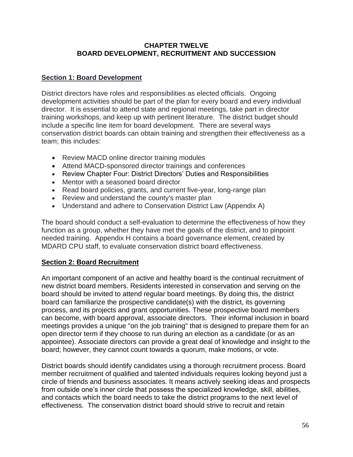### **CHAPTER TWELVE BOARD DEVELOPMENT, RECRUITMENT AND SUCCESSION**

# **Section 1: Board Development**

District directors have roles and responsibilities as elected officials. Ongoing development activities should be part of the plan for every board and every individual director. It is essential to attend state and regional meetings, take part in director training workshops, and keep up with pertinent literature. The district budget should include a specific line item for board development. There are several ways conservation district boards can obtain training and strengthen their effectiveness as a team; this includes:

- Review MACD online director training modules
- Attend MACD-sponsored director trainings and conferences
- Review Chapter Four: District Directors' Duties and Responsibilities
- Mentor with a seasoned board director
- Read board policies, grants, and current five-year, long-range plan
- Review and understand the county's master plan
- Understand and adhere to Conservation District Law (Appendix A)

The board should conduct a self-evaluation to determine the effectiveness of how they function as a group, whether they have met the goals of the district, and to pinpoint needed training. Appendix H contains a board governance element, created by MDARD CPU staff, to evaluate conservation district board effectiveness.

# **Section 2: Board Recruitment**

An important component of an active and healthy board is the continual recruitment of new district board members. Residents interested in conservation and serving on the board should be invited to attend regular board meetings. By doing this, the district board can familiarize the prospective candidate(s) with the district, its governing process, and its projects and grant opportunities. These prospective board members can become, with board approval, associate directors. Their informal inclusion in board meetings provides a unique "on the job training" that is designed to prepare them for an open director term if they choose to run during an election as a candidate (or as an appointee). Associate directors can provide a great deal of knowledge and insight to the board; however, they cannot count towards a quorum, make motions, or vote.

District boards should identify candidates using a thorough recruitment process. Board member recruitment of qualified and talented individuals requires looking beyond just a circle of friends and business associates. It means actively seeking ideas and prospects from outside one's inner circle that possess the specialized knowledge, skill, abilities, and contacts which the board needs to take the district programs to the next level of effectiveness. The conservation district board should strive to recruit and retain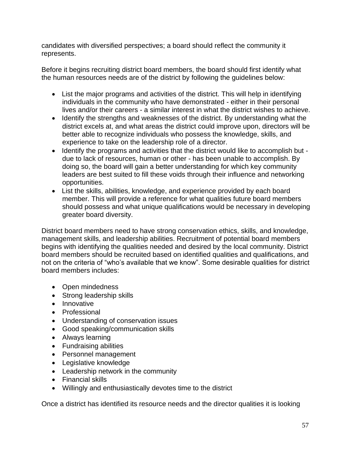candidates with diversified perspectives; a board should reflect the community it represents.

Before it begins recruiting district board members, the board should first identify what the human resources needs are of the district by following the guidelines below:

- List the major programs and activities of the district. This will help in identifying individuals in the community who have demonstrated - either in their personal lives and/or their careers - a similar interest in what the district wishes to achieve.
- Identify the strengths and weaknesses of the district. By understanding what the district excels at, and what areas the district could improve upon, directors will be better able to recognize individuals who possess the knowledge, skills, and experience to take on the leadership role of a director.
- Identify the programs and activities that the district would like to accomplish but due to lack of resources, human or other - has been unable to accomplish. By doing so, the board will gain a better understanding for which key community leaders are best suited to fill these voids through their influence and networking opportunities.
- List the skills, abilities, knowledge, and experience provided by each board member. This will provide a reference for what qualities future board members should possess and what unique qualifications would be necessary in developing greater board diversity.

District board members need to have strong conservation ethics, skills, and knowledge, management skills, and leadership abilities. Recruitment of potential board members begins with identifying the qualities needed and desired by the local community. District board members should be recruited based on identified qualities and qualifications, and not on the criteria of "who's available that we know". Some desirable qualities for district board members includes:

- Open mindedness
- Strong leadership skills
- Innovative
- Professional
- Understanding of conservation issues
- Good speaking/communication skills
- Always learning
- Fundraising abilities
- Personnel management
- Legislative knowledge
- Leadership network in the community
- Financial skills
- Willingly and enthusiastically devotes time to the district

Once a district has identified its resource needs and the director qualities it is looking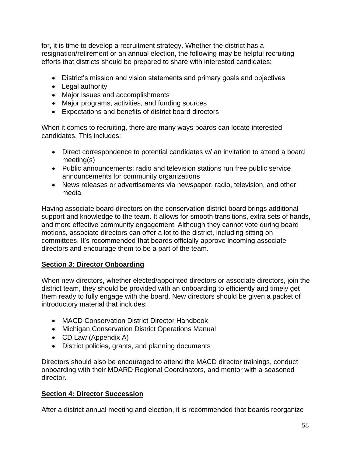for, it is time to develop a recruitment strategy. Whether the district has a resignation/retirement or an annual election, the following may be helpful recruiting efforts that districts should be prepared to share with interested candidates:

- District's mission and vision statements and primary goals and objectives
- Legal authority
- Major issues and accomplishments
- Major programs, activities, and funding sources
- Expectations and benefits of district board directors

When it comes to recruiting, there are many ways boards can locate interested candidates. This includes:

- Direct correspondence to potential candidates w/ an invitation to attend a board meeting(s)
- Public announcements: radio and television stations run free public service announcements for community organizations
- News releases or advertisements via newspaper, radio, television, and other media

Having associate board directors on the conservation district board brings additional support and knowledge to the team. It allows for smooth transitions, extra sets of hands, and more effective community engagement. Although they cannot vote during board motions, associate directors can offer a lot to the district, including sitting on committees. It's recommended that boards officially approve incoming associate directors and encourage them to be a part of the team.

# **Section 3: Director Onboarding**

When new directors, whether elected/appointed directors or associate directors, join the district team, they should be provided with an onboarding to efficiently and timely get them ready to fully engage with the board. New directors should be given a packet of introductory material that includes:

- MACD Conservation District Director Handbook
- Michigan Conservation District Operations Manual
- CD Law (Appendix A)
- District policies, grants, and planning documents

Directors should also be encouraged to attend the MACD director trainings, conduct onboarding with their MDARD Regional Coordinators, and mentor with a seasoned director.

# **Section 4: Director Succession**

After a district annual meeting and election, it is recommended that boards reorganize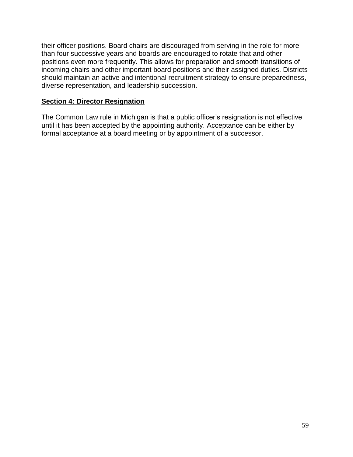their officer positions. Board chairs are discouraged from serving in the role for more than four successive years and boards are encouraged to rotate that and other positions even more frequently. This allows for preparation and smooth transitions of incoming chairs and other important board positions and their assigned duties. Districts should maintain an active and intentional recruitment strategy to ensure preparedness, diverse representation, and leadership succession.

#### **Section 4: Director Resignation**

The Common Law rule in Michigan is that a public officer's resignation is not effective until it has been accepted by the appointing authority. Acceptance can be either by formal acceptance at a board meeting or by appointment of a successor.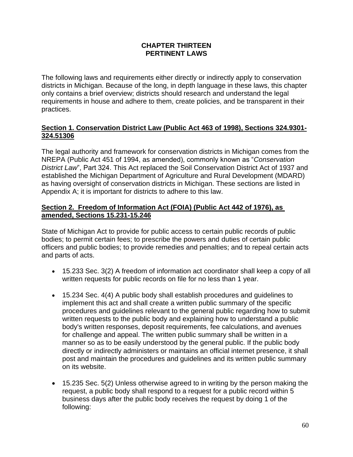### **CHAPTER THIRTEEN PERTINENT LAWS**

The following laws and requirements either directly or indirectly apply to conservation districts in Michigan. Because of the long, in depth language in these laws, this chapter only contains a brief overview; districts should research and understand the legal requirements in house and adhere to them, create policies, and be transparent in their practices.

### **Section 1. Conservation District Law (Public Act 463 of 1998), Sections 324.9301- 324.51306**

The legal authority and framework for conservation districts in Michigan comes from the NREPA (Public Act 451 of 1994, as amended), commonly known as "*Conservation District Law*", Part 324. This Act replaced the Soil Conservation District Act of 1937 and established the Michigan Department of Agriculture and Rural Development (MDARD) as having oversight of conservation districts in Michigan. These sections are listed in Appendix A; it is important for districts to adhere to this law.

### **Section 2. Freedom of Information Act (FOIA) (Public Act 442 of 1976), as amended, Sections 15.231-15.246**

State of Michigan Act to provide for public access to certain public records of public bodies; to permit certain fees; to prescribe the powers and duties of certain public officers and public bodies; to provide remedies and penalties; and to repeal certain acts and parts of acts.

- 15.233 Sec. 3(2) A freedom of information act coordinator shall keep a copy of all written requests for public records on file for no less than 1 year.
- 15.234 Sec. 4(4) A public body shall establish procedures and guidelines to implement this act and shall create a written public summary of the specific procedures and guidelines relevant to the general public regarding how to submit written requests to the public body and explaining how to understand a public body's written responses, deposit requirements, fee calculations, and avenues for challenge and appeal. The written public summary shall be written in a manner so as to be easily understood by the general public. If the public body directly or indirectly administers or maintains an official internet presence, it shall post and maintain the procedures and guidelines and its written public summary on its website.
- 15.235 Sec. 5(2) Unless otherwise agreed to in writing by the person making the request, a public body shall respond to a request for a public record within 5 business days after the public body receives the request by doing 1 of the following: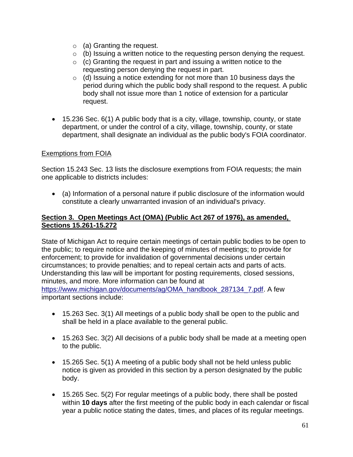- $\circ$  (a) Granting the request.
- $\circ$  (b) Issuing a written notice to the requesting person denying the request.
- $\circ$  (c) Granting the request in part and issuing a written notice to the requesting person denying the request in part.
- $\circ$  (d) Issuing a notice extending for not more than 10 business days the period during which the public body shall respond to the request. A public body shall not issue more than 1 notice of extension for a particular request.
- 15.236 Sec. 6(1) A public body that is a city, village, township, county, or state department, or under the control of a city, village, township, county, or state department, shall designate an individual as the public body's FOIA coordinator.

### Exemptions from FOIA

Section 15.243 Sec. 13 lists the disclosure exemptions from FOIA requests; the main one applicable to districts includes:

• (a) Information of a personal nature if public disclosure of the information would constitute a clearly unwarranted invasion of an individual's privacy.

#### **Section 3. Open Meetings Act (OMA) (Public Act 267 of 1976), as amended, Sections 15.261-15.272**

State of Michigan Act to require certain meetings of certain public bodies to be open to the public; to require notice and the keeping of minutes of meetings; to provide for enforcement; to provide for invalidation of governmental decisions under certain circumstances; to provide penalties; and to repeal certain acts and parts of acts. Understanding this law will be important for posting requirements, closed sessions, minutes, and more. More information can be found at [https://www.michigan.gov/documents/ag/OMA\\_handbook\\_287134\\_7.pdf.](https://www.michigan.gov/documents/ag/OMA_handbook_287134_7.pdf) A few important sections include:

- 15.263 Sec. 3(1) All meetings of a public body shall be open to the public and shall be held in a place available to the general public.
- 15.263 Sec. 3(2) All decisions of a public body shall be made at a meeting open to the public.
- 15.265 Sec. 5(1) A meeting of a public body shall not be held unless public notice is given as provided in this section by a person designated by the public body.
- 15.265 Sec. 5(2) For regular meetings of a public body, there shall be posted within **10 days** after the first meeting of the public body in each calendar or fiscal year a public notice stating the dates, times, and places of its regular meetings.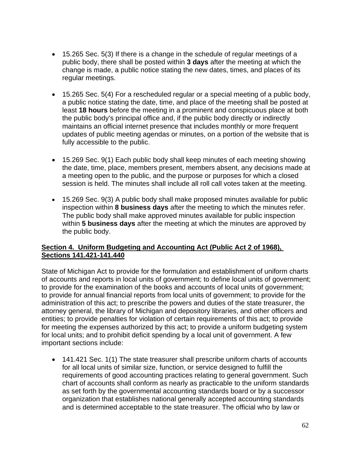- 15.265 Sec. 5(3) If there is a change in the schedule of regular meetings of a public body, there shall be posted within **3 days** after the meeting at which the change is made, a public notice stating the new dates, times, and places of its regular meetings.
- 15.265 Sec. 5(4) For a rescheduled regular or a special meeting of a public body, a public notice stating the date, time, and place of the meeting shall be posted at least **18 hours** before the meeting in a prominent and conspicuous place at both the public body's principal office and, if the public body directly or indirectly maintains an official internet presence that includes monthly or more frequent updates of public meeting agendas or minutes, on a portion of the website that is fully accessible to the public.
- 15.269 Sec. 9(1) Each public body shall keep minutes of each meeting showing the date, time, place, members present, members absent, any decisions made at a meeting open to the public, and the purpose or purposes for which a closed session is held. The minutes shall include all roll call votes taken at the meeting.
- 15.269 Sec. 9(3) A public body shall make proposed minutes available for public inspection within **8 business days** after the meeting to which the minutes refer. The public body shall make approved minutes available for public inspection within **5 business days** after the meeting at which the minutes are approved by the public body.

# **Section 4. Uniform Budgeting and Accounting Act (Public Act 2 of 1968), Sections 141.421-141.440**

State of Michigan Act to provide for the formulation and establishment of uniform charts of accounts and reports in local units of government; to define local units of government; to provide for the examination of the books and accounts of local units of government; to provide for annual financial reports from local units of government; to provide for the administration of this act; to prescribe the powers and duties of the state treasurer, the attorney general, the library of Michigan and depository libraries, and other officers and entities; to provide penalties for violation of certain requirements of this act; to provide for meeting the expenses authorized by this act; to provide a uniform budgeting system for local units; and to prohibit deficit spending by a local unit of government. A few important sections include:

• 141.421 Sec. 1(1) The state treasurer shall prescribe uniform charts of accounts for all local units of similar size, function, or service designed to fulfill the requirements of good accounting practices relating to general government. Such chart of accounts shall conform as nearly as practicable to the uniform standards as set forth by the governmental accounting standards board or by a successor organization that establishes national generally accepted accounting standards and is determined acceptable to the state treasurer. The official who by law or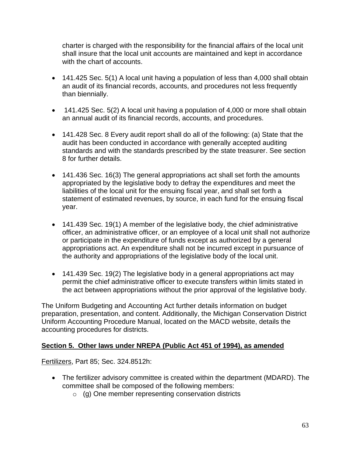charter is charged with the responsibility for the financial affairs of the local unit shall insure that the local unit accounts are maintained and kept in accordance with the chart of accounts.

- 141.425 Sec. 5(1) A local unit having a population of less than 4,000 shall obtain an audit of its financial records, accounts, and procedures not less frequently than biennially.
- 141.425 Sec. 5(2) A local unit having a population of 4,000 or more shall obtain an annual audit of its financial records, accounts, and procedures.
- 141.428 Sec. 8 Every audit report shall do all of the following: (a) State that the audit has been conducted in accordance with generally accepted auditing standards and with the standards prescribed by the state treasurer. See section 8 for further details.
- 141.436 Sec. 16(3) The general appropriations act shall set forth the amounts appropriated by the legislative body to defray the expenditures and meet the liabilities of the local unit for the ensuing fiscal year, and shall set forth a statement of estimated revenues, by source, in each fund for the ensuing fiscal year.
- 141.439 Sec. 19(1) A member of the legislative body, the chief administrative officer, an administrative officer, or an employee of a local unit shall not authorize or participate in the expenditure of funds except as authorized by a general appropriations act. An expenditure shall not be incurred except in pursuance of the authority and appropriations of the legislative body of the local unit.
- 141.439 Sec. 19(2) The legislative body in a general appropriations act may permit the chief administrative officer to execute transfers within limits stated in the act between appropriations without the prior approval of the legislative body.

The Uniform Budgeting and Accounting Act further details information on budget preparation, presentation, and content. Additionally, the Michigan Conservation District Uniform Accounting Procedure Manual, located on the MACD website, details the accounting procedures for districts.

# **Section 5. Other laws under NREPA (Public Act 451 of 1994), as amended**

Fertilizers, Part 85; Sec. 324.8512h:

- The fertilizer advisory committee is created within the department (MDARD). The committee shall be composed of the following members:
	- o (g) One member representing conservation districts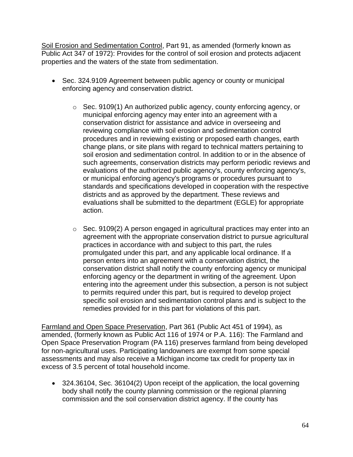Soil Erosion and Sedimentation Control, Part 91, as amended (formerly known as Public Act 347 of 1972): Provides for the control of soil erosion and protects adjacent properties and the waters of the state from sedimentation.

- Sec. 324.9109 Agreement between public agency or county or municipal enforcing agency and conservation district.
	- o Sec. 9109(1) An authorized public agency, county enforcing agency, or municipal enforcing agency may enter into an agreement with a conservation district for assistance and advice in overseeing and reviewing compliance with soil erosion and sedimentation control procedures and in reviewing existing or proposed earth changes, earth change plans, or site plans with regard to technical matters pertaining to soil erosion and sedimentation control. In addition to or in the absence of such agreements, conservation districts may perform periodic reviews and evaluations of the authorized public agency's, county enforcing agency's, or municipal enforcing agency's programs or procedures pursuant to standards and specifications developed in cooperation with the respective districts and as approved by the department. These reviews and evaluations shall be submitted to the department (EGLE) for appropriate action.
	- o Sec. 9109(2) A person engaged in agricultural practices may enter into an agreement with the appropriate conservation district to pursue agricultural practices in accordance with and subject to this part, the rules promulgated under this part, and any applicable local ordinance. If a person enters into an agreement with a conservation district, the conservation district shall notify the county enforcing agency or municipal enforcing agency or the department in writing of the agreement. Upon entering into the agreement under this subsection, a person is not subject to permits required under this part, but is required to develop project specific soil erosion and sedimentation control plans and is subject to the remedies provided for in this part for violations of this part.

Farmland and Open Space Preservation, Part 361 (Public Act 451 of 1994), as amended, (formerly known as Public Act 116 of 1974 or P.A. 116): The Farmland and Open Space Preservation Program (PA 116) preserves farmland from being developed for non-agricultural uses. Participating landowners are exempt from some special assessments and may also receive a Michigan income tax credit for property tax in excess of 3.5 percent of total household income.

• 324.36104, Sec. 36104(2) Upon receipt of the application, the local governing body shall notify the county planning commission or the regional planning commission and the soil conservation district agency. If the county has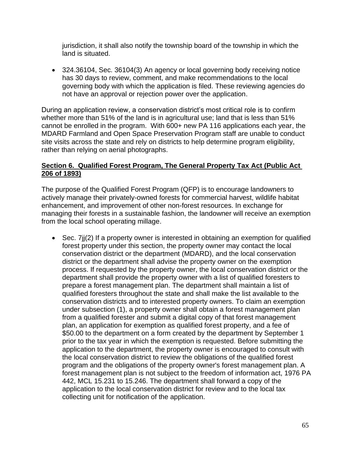jurisdiction, it shall also notify the township board of the township in which the land is situated.

• 324.36104, Sec. 36104(3) An agency or local governing body receiving notice has 30 days to review, comment, and make recommendations to the local governing body with which the application is filed. These reviewing agencies do not have an approval or rejection power over the application.

During an application review, a conservation district's most critical role is to confirm whether more than 51% of the land is in agricultural use; land that is less than 51% cannot be enrolled in the program. With 600+ new PA 116 applications each year, the MDARD Farmland and Open Space Preservation Program staff are unable to conduct site visits across the state and rely on districts to help determine program eligibility, rather than relying on aerial photographs.

### **Section 6. Qualified Forest Program, The General Property Tax Act (Public Act 206 of 1893)**

The purpose of the Qualified Forest Program (QFP) is to encourage landowners to actively manage their privately-owned forests for commercial harvest, wildlife habitat enhancement, and improvement of other non-forest resources. In exchange for managing their forests in a sustainable fashion, the landowner will receive an exemption from the local school operating millage.

• Sec. 7j $(2)$  If a property owner is interested in obtaining an exemption for qualified forest property under this section, the property owner may contact the local conservation district or the department (MDARD), and the local conservation district or the department shall advise the property owner on the exemption process. If requested by the property owner, the local conservation district or the department shall provide the property owner with a list of qualified foresters to prepare a forest management plan. The department shall maintain a list of qualified foresters throughout the state and shall make the list available to the conservation districts and to interested property owners. To claim an exemption under subsection (1), a property owner shall obtain a forest management plan from a qualified forester and submit a digital copy of that forest management plan, an application for exemption as qualified forest property, and a fee of \$50.00 to the department on a form created by the department by September 1 prior to the tax year in which the exemption is requested. Before submitting the application to the department, the property owner is encouraged to consult with the local conservation district to review the obligations of the qualified forest program and the obligations of the property owner's forest management plan. A forest management plan is not subject to the freedom of information act, 1976 PA 442, MCL 15.231 to 15.246. The department shall forward a copy of the application to the local conservation district for review and to the local tax collecting unit for notification of the application.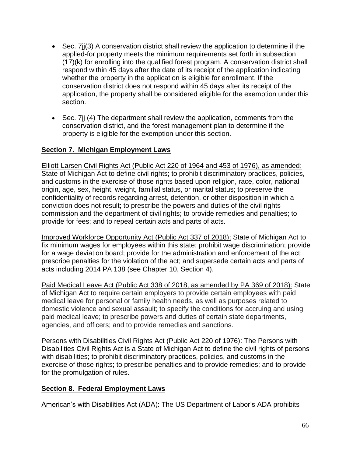- Sec. 7 if (3) A conservation district shall review the application to determine if the applied-for property meets the minimum requirements set forth in subsection (17)(k) for enrolling into the qualified forest program. A conservation district shall respond within 45 days after the date of its receipt of the application indicating whether the property in the application is eligible for enrollment. If the conservation district does not respond within 45 days after its receipt of the application, the property shall be considered eligible for the exemption under this section.
- Sec. 7j (4) The department shall review the application, comments from the conservation district, and the forest management plan to determine if the property is eligible for the exemption under this section.

# **Section 7. Michigan Employment Laws**

Elliott-Larsen Civil Rights Act (Public Act 220 of 1964 and 453 of 1976), as amended: State of Michigan Act to define civil rights; to prohibit discriminatory practices, policies, and customs in the exercise of those rights based upon religion, race, color, national origin, age, sex, height, weight, familial status, or marital status; to preserve the confidentiality of records regarding arrest, detention, or other disposition in which a conviction does not result; to prescribe the powers and duties of the civil rights commission and the department of civil rights; to provide remedies and penalties; to provide for fees; and to repeal certain acts and parts of acts.

Improved Workforce Opportunity Act (Public Act 337 of 2018): State of Michigan Act to fix minimum wages for employees within this state; prohibit wage discrimination; provide for a wage deviation board; provide for the administration and enforcement of the act; prescribe penalties for the violation of the act; and supersede certain acts and parts of acts including 2014 PA 138 (see Chapter 10, Section 4).

Paid Medical Leave Act (Public Act 338 of 2018, as amended by PA 369 of 2018): State of Michigan Act to require certain employers to provide certain employees with paid medical leave for personal or family health needs, as well as purposes related to domestic violence and sexual assault; to specify the conditions for accruing and using paid medical leave; to prescribe powers and duties of certain state departments, agencies, and officers; and to provide remedies and sanctions.

Persons with Disabilities Civil Rights Act (Public Act 220 of 1976): The Persons with Disabilities Civil Rights Act is a State of Michigan Act to define the civil rights of persons with disabilities; to prohibit discriminatory practices, policies, and customs in the exercise of those rights; to prescribe penalties and to provide remedies; and to provide for the promulgation of rules.

# **Section 8. Federal Employment Laws**

American's with Disabilities Act (ADA): The US Department of Labor's [ADA](https://www.ada.gov/) prohibits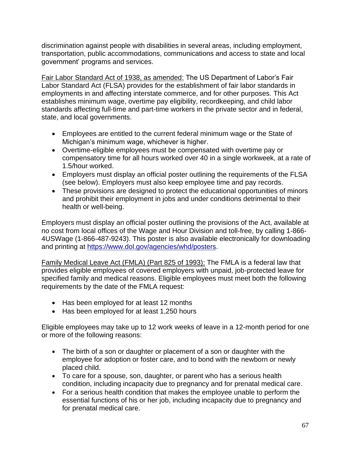discrimination against people with disabilities in several areas, including employment, transportation, public accommodations, communications and access to state and local government' programs and services.

Fair Labor Standard Act of 1938, as amended: The US Department of Labor's Fair Labor Standard Act (FLSA) provides for the establishment of fair labor standards in employments in and affecting interstate commerce, and for other purposes. This Act establishes minimum wage, overtime pay eligibility, recordkeeping, and child labor standards affecting full-time and part-time workers in the private sector and in federal, state, and local governments.

- Employees are entitled to the current federal minimum wage or the State of Michigan's minimum wage, whichever is higher.
- Overtime-eligible employees must be compensated with overtime pay or compensatory time for all hours worked over 40 in a single workweek, at a rate of 1.5/hour worked.
- Employers must display an official poster outlining the requirements of the FLSA (see below). Employers must also keep employee time and pay records.
- These provisions are designed to protect the educational opportunities of minors and prohibit their employment in jobs and under conditions detrimental to their health or well-being.

Employers must display an official poster outlining the provisions of the Act, available at no cost from local offices of the Wage and Hour Division and toll-free, by calling 1-866- 4USWage (1-866-487-9243). This poster is also available electronically for downloading and printing at [https://www.dol.gov/agencies/whd/posters.](https://www.dol.gov/agencies/whd/posters)

Family Medical Leave Act (FMLA) (Part 825 of 1993): The FMLA is a federal law that provides eligible employees of covered employers with unpaid, job-protected leave for specified family and medical reasons. Eligible employees must meet both the following requirements by the date of the FMLA request:

- Has been employed for at least 12 months
- Has been employed for at least 1,250 hours

Eligible employees may take up to 12 work weeks of leave in a 12-month period for one or more of the following reasons:

- The birth of a son or daughter or placement of a son or daughter with the employee for adoption or foster care, and to bond with the newborn or newly placed child.
- To care for a spouse, son, daughter, or parent who has a serious health condition, including incapacity due to pregnancy and for prenatal medical care.
- For a serious health condition that makes the employee unable to perform the essential functions of his or her job, including incapacity due to pregnancy and for prenatal medical care.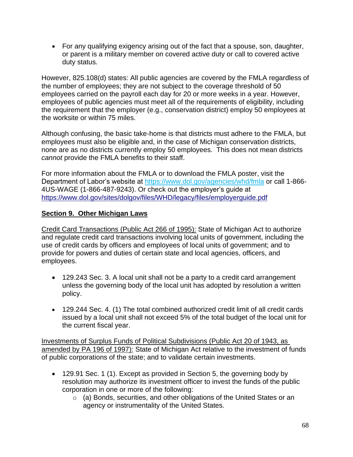• For any qualifying exigency arising out of the fact that a spouse, son, daughter, or parent is a military member on covered active duty or call to covered active duty status.

However, 825.108(d) states: All public agencies are covered by the FMLA regardless of the number of employees; they are not subject to the coverage threshold of 50 employees carried on the payroll each day for 20 or more weeks in a year. However, employees of public agencies must meet all of the requirements of eligibility, including the requirement that the employer (e.g., conservation district) employ 50 employees at the worksite or within 75 miles.

Although confusing, the basic take-home is that districts must adhere to the FMLA, but employees must also be eligible and, in the case of Michigan conservation districts, none are as no districts currently employ 50 employees. This does not mean districts *cannot* provide the FMLA benefits to their staff.

For more information about the FMLA or to download the FMLA poster, visit the Department of Labor's website at<https://www.dol.gov/agencies/whd/fmla> or call 1-866- 4US-WAGE (1-866-487-9243). Or check out the employer's guide at [https://www.dol.gov/sites/dolgov/files/WHD/legacy/files/employerguide.pdf](https://gcc01.safelinks.protection.outlook.com/?url=https%3A%2F%2Fwww.dol.gov%2Fsites%2Fdolgov%2Ffiles%2FWHD%2Flegacy%2Ffiles%2Femployerguide.pdf&data=02%7C01%7Cguthr%40michigan.gov%7C98a91b0545364d914dd708d783ec14ce%7Cd5fb7087377742ad966a892ef47225d1%7C0%7C1%7C637122922293682633&sdata=jy3DRaLmPHXtp%2FjAadkRTYCPHL8ZG%2B8OZdRbC9CjHJk%3D&reserved=0)

### **Section 9. Other Michigan Laws**

Credit Card Transactions (Public Act 266 of 1995): State of Michigan Act to authorize and regulate credit card transactions involving local units of government, including the use of credit cards by officers and employees of local units of government; and to provide for powers and duties of certain state and local agencies, officers, and employees.

- 129.243 Sec. 3. A local unit shall not be a party to a credit card arrangement unless the governing body of the local unit has adopted by resolution a written policy.
- 129.244 Sec. 4. (1) The total combined authorized credit limit of all credit cards issued by a local unit shall not exceed 5% of the total budget of the local unit for the current fiscal year.

Investments of Surplus Funds of Political Subdivisions (Public Act 20 of 1943, as amended by PA 196 of 1997): State of Michigan Act relative to the investment of funds of public corporations of the state; and to validate certain investments.

- 129.91 Sec. 1 (1). Except as provided in Section 5, the governing body by resolution may authorize its investment officer to invest the funds of the public corporation in one or more of the following:
	- o (a) Bonds, securities, and other obligations of the United States or an agency or instrumentality of the United States.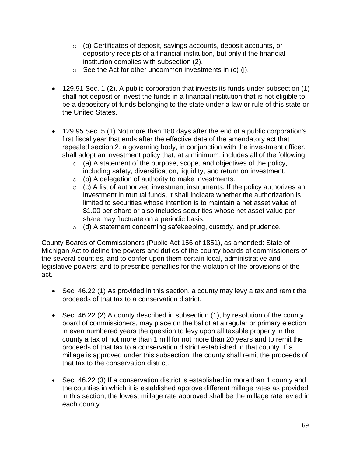- o (b) Certificates of deposit, savings accounts, deposit accounts, or depository receipts of a financial institution, but only if the financial institution complies with subsection (2).
- $\circ$  See the Act for other uncommon investments in (c)-(j).
- 129.91 Sec. 1 (2). A public corporation that invests its funds under subsection (1) shall not deposit or invest the funds in a financial institution that is not eligible to be a depository of funds belonging to the state under a law or rule of this state or the United States.
- 129.95 Sec. 5 (1) Not more than 180 days after the end of a public corporation's first fiscal year that ends after the effective date of the amendatory act that repealed section 2, a governing body, in conjunction with the investment officer, shall adopt an investment policy that, at a minimum, includes all of the following:
	- $\circ$  (a) A statement of the purpose, scope, and objectives of the policy, including safety, diversification, liquidity, and return on investment.
	- $\circ$  (b) A delegation of authority to make investments.
	- $\circ$  (c) A list of authorized investment instruments. If the policy authorizes an investment in mutual funds, it shall indicate whether the authorization is limited to securities whose intention is to maintain a net asset value of \$1.00 per share or also includes securities whose net asset value per share may fluctuate on a periodic basis.
	- $\circ$  (d) A statement concerning safekeeping, custody, and prudence.

County Boards of Commissioners (Public Act 156 of 1851), as amended: State of Michigan Act to define the powers and duties of the county boards of commissioners of the several counties, and to confer upon them certain local, administrative and legislative powers; and to prescribe penalties for the violation of the provisions of the act.

- Sec. 46.22 (1) As provided in this section, a county may levy a tax and remit the proceeds of that tax to a conservation district.
- Sec. 46.22 (2) A county described in subsection (1), by resolution of the county board of commissioners, may place on the ballot at a regular or primary election in even numbered years the question to levy upon all taxable property in the county a tax of not more than 1 mill for not more than 20 years and to remit the proceeds of that tax to a conservation district established in that county. If a millage is approved under this subsection, the county shall remit the proceeds of that tax to the conservation district.
- Sec. 46.22 (3) If a conservation district is established in more than 1 county and the counties in which it is established approve different millage rates as provided in this section, the lowest millage rate approved shall be the millage rate levied in each county.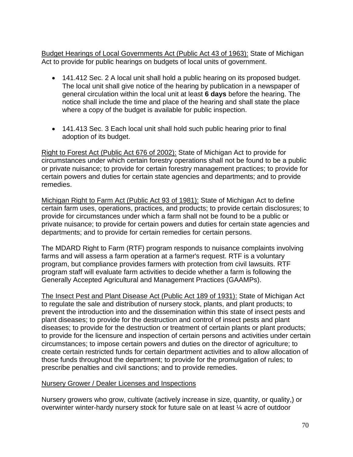Budget Hearings of Local Governments Act (Public Act 43 of 1963): State of Michigan Act to provide for public hearings on budgets of local units of government.

- 141.412 Sec. 2 A local unit shall hold a public hearing on its proposed budget. The local unit shall give notice of the hearing by publication in a newspaper of general circulation within the local unit at least **6 days** before the hearing. The notice shall include the time and place of the hearing and shall state the place where a copy of the budget is available for public inspection.
- 141.413 Sec. 3 Each local unit shall hold such public hearing prior to final adoption of its budget.

Right to Forest Act (Public Act 676 of 2002): State of Michigan Act to provide for circumstances under which certain forestry operations shall not be found to be a public or private nuisance; to provide for certain forestry management practices; to provide for certain powers and duties for certain state agencies and departments; and to provide remedies.

Michigan Right to Farm Act (Public Act 93 of 1981): State of Michigan Act to define certain farm uses, operations, practices, and products; to provide certain disclosures; to provide for circumstances under which a farm shall not be found to be a public or private nuisance; to provide for certain powers and duties for certain state agencies and departments; and to provide for certain remedies for certain persons.

The MDARD Right to Farm (RTF) program responds to nuisance complaints involving farms and will assess a farm operation at a farmer's request. RTF is a voluntary program, but compliance provides farmers with protection from civil lawsuits. RTF program staff will evaluate farm activities to decide whether a farm is following the Generally Accepted Agricultural and Management Practices (GAAMPs).

The Insect Pest and Plant Disease Act (Public Act 189 of 1931): State of Michigan Act to regulate the sale and distribution of nursery stock, plants, and plant products; to prevent the introduction into and the dissemination within this state of insect pests and plant diseases; to provide for the destruction and control of insect pests and plant diseases; to provide for the destruction or treatment of certain plants or plant products; to provide for the licensure and inspection of certain persons and activities under certain circumstances; to impose certain powers and duties on the director of agriculture; to create certain restricted funds for certain department activities and to allow allocation of those funds throughout the department; to provide for the promulgation of rules; to prescribe penalties and civil sanctions; and to provide remedies.

## Nursery Grower / Dealer Licenses and Inspections

Nursery growers who grow, cultivate (actively increase in size, quantity, or quality,) or overwinter winter-hardy nursery stock for future sale on at least ¼ acre of outdoor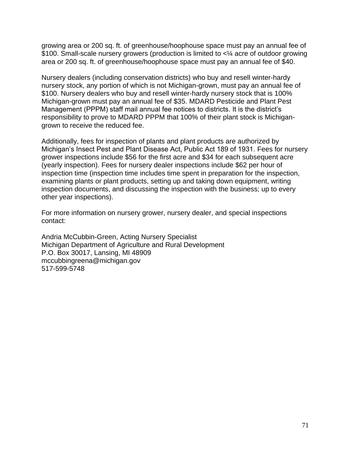growing area or 200 sq. ft. of greenhouse/hoophouse space must pay an annual fee of \$100. Small-scale nursery growers (production is limited to <¼ acre of outdoor growing area or 200 sq. ft. of greenhouse/hoophouse space must pay an annual fee of \$40.

Nursery dealers (including conservation districts) who buy and resell winter-hardy nursery stock, any portion of which is not Michigan-grown, must pay an annual fee of \$100. Nursery dealers who buy and resell winter-hardy nursery stock that is 100% Michigan-grown must pay an annual fee of \$35. MDARD Pesticide and Plant Pest Management (PPPM) staff mail annual fee notices to districts. It is the district's responsibility to prove to MDARD PPPM that 100% of their plant stock is Michigangrown to receive the reduced fee.

Additionally, fees for inspection of plants and plant products are authorized by Michigan's Insect Pest and Plant Disease Act, Public Act 189 of 1931. Fees for nursery grower inspections include \$56 for the first acre and \$34 for each subsequent acre (yearly inspection). Fees for nursery dealer inspections include \$62 per hour of inspection time (inspection time includes time spent in preparation for the inspection, examining plants or plant products, setting up and taking down equipment, writing inspection documents, and discussing the inspection with the business; up to every other year inspections).

For more information on nursery grower, nursery dealer, and special inspections contact:

Andria McCubbin-Green, Acting Nursery Specialist Michigan Department of Agriculture and Rural Development P.O. Box 30017, Lansing, MI 48909 mccubbingreena@michigan.gov 517-599-5748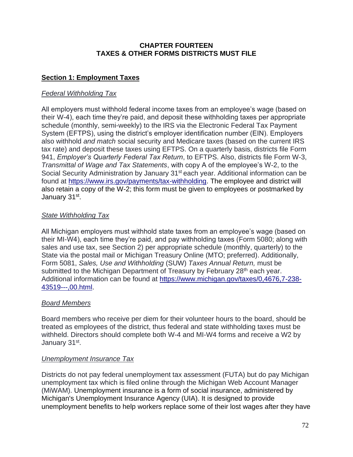## **CHAPTER FOURTEEN TAXES & OTHER FORMS DISTRICTS MUST FILE**

# **Section 1: Employment Taxes**

# *Federal Withholding Tax*

All employers must withhold federal income taxes from an employee's wage (based on their W-4), each time they're paid, and deposit these withholding taxes per appropriate schedule (monthly, semi-weekly) to the IRS via the Electronic Federal Tax Payment System (EFTPS), using the district's employer identification number (EIN). Employers also withhold *and match* social security and Medicare taxes (based on the current IRS tax rate) and deposit these taxes using EFTPS. On a quarterly basis, districts file Form 941, *Employer's Quarterly Federal Tax Return*, to EFTPS. Also, districts file Form W-3, *Transmittal of Wage and Tax Statements*, with copy A of the employee's W-2, to the Social Security Administration by January 31<sup>st</sup> each year. Additional information can be found at [https://www.irs.gov/payments/tax-withholding.](https://www.irs.gov/payments/tax-withholding) The employee and district will also retain a copy of the W-2; this form must be given to employees or postmarked by January 31st.

# *State Withholding Tax*

All Michigan employers must withhold state taxes from an employee's wage (based on their MI-W4), each time they're paid, and pay withholding taxes (Form 5080; along with sales and use tax, see Section 2) per appropriate schedule (monthly, quarterly) to the State via the postal mail or Michigan Treasury Online (MTO; preferred). Additionally, Form 5081, *Sales, Use and Withholding* (SUW) *Taxes Annual Return,* must be submitted to the Michigan Department of Treasury by February 28<sup>th</sup> each year. Additional information can be found at [https://www.michigan.gov/taxes/0,4676,7-238-](https://www.michigan.gov/taxes/0,4676,7-238-43519---,00.html) [43519---,00.html.](https://www.michigan.gov/taxes/0,4676,7-238-43519---,00.html)

# *Board Members*

Board members who receive per diem for their volunteer hours to the board, should be treated as employees of the district, thus federal and state withholding taxes must be withheld. Directors should complete both W-4 and MI-W4 forms and receive a W2 by January 31st.

# *Unemployment Insurance Tax*

Districts do not pay federal unemployment tax assessment (FUTA) but do pay Michigan unemployment tax which is filed online through the Michigan Web Account Manager (MiWAM). Unemployment insurance is a form of social insurance, administered by Michigan's Unemployment Insurance Agency (UIA). It is designed to provide unemployment benefits to help workers replace some of their lost wages after they have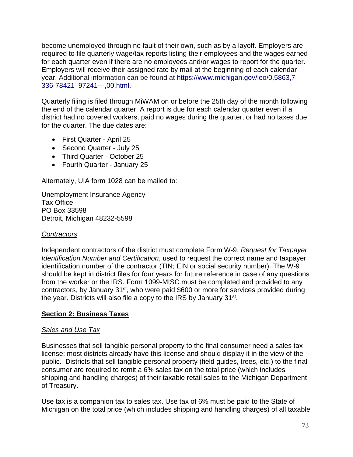become unemployed through no fault of their own, such as by a layoff. Employers are required to file quarterly wage/tax reports listing their employees and the wages earned for each quarter even if there are no employees and/or wages to report for the quarter. Employers will receive their assigned rate by mail at the beginning of each calendar year. Additional information can be found at [https://www.michigan.gov/leo/0,5863,7-](https://www.michigan.gov/leo/0,5863,7-336-78421_97241---,00.html) [336-78421\\_97241---,00.html.](https://www.michigan.gov/leo/0,5863,7-336-78421_97241---,00.html)

Quarterly filing is filed through MiWAM on or before the 25th day of the month following the end of the calendar quarter. A report is due for each calendar quarter even if a district had no covered workers, paid no wages during the quarter, or had no taxes due for the quarter. The due dates are:

- First Quarter April 25
- Second Quarter July 25
- Third Quarter October 25
- Fourth Quarter January 25

Alternately, UIA form 1028 can be mailed to:

Unemployment Insurance Agency Tax Office PO Box 33598 Detroit, Michigan 48232-5598

# *Contractors*

Independent contractors of the district must complete Form W-9, *Request for Taxpayer Identification Number and Certification*, used to request the correct name and taxpayer identification number of the contractor (TIN; EIN or social security number). The W-9 should be kept in district files for four years for future reference in case of any questions from the worker or the IRS. Form 1099-MISC must be completed and provided to any contractors, by January 31<sup>st</sup>, who were paid \$600 or more for services provided during the year. Districts will also file a copy to the IRS by January 31<sup>st</sup>.

# **Section 2: Business Taxes**

# *Sales and Use Tax*

Businesses that sell tangible personal property to the final consumer need a sales tax license; most districts already have this license and should display it in the view of the public. Districts that sell tangible personal property (field guides, trees, etc.) to the final consumer are required to remit a 6% sales tax on the total price (which includes shipping and handling charges) of their taxable retail sales to the Michigan Department of Treasury.

Use tax is a companion tax to sales tax. Use tax of 6% must be paid to the State of Michigan on the total price (which includes shipping and handling charges) of all taxable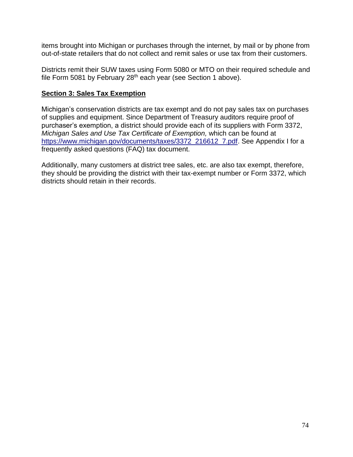items brought into Michigan or purchases through the internet, by mail or by phone from out-of-state retailers that do not collect and remit sales or use tax from their customers.

Districts remit their SUW taxes using Form 5080 or MTO on their required schedule and file Form 5081 by February 28<sup>th</sup> each year (see Section 1 above).

# **Section 3: Sales Tax Exemption**

Michigan's conservation districts are tax exempt and do not pay sales tax on purchases of supplies and equipment. Since Department of Treasury auditors require proof of purchaser's exemption, a district should provide each of its suppliers with Form 3372, *Michigan Sales and Use Tax Certificate of Exemption,* which can be found at [https://www.michigan.gov/documents/taxes/3372\\_216612\\_7.pdf.](https://www.michigan.gov/documents/taxes/3372_216612_7.pdf) See Appendix I for a frequently asked questions (FAQ) tax document.

Additionally, many customers at district tree sales, etc. are also tax exempt, therefore, they should be providing the district with their tax-exempt number or Form 3372, which districts should retain in their records.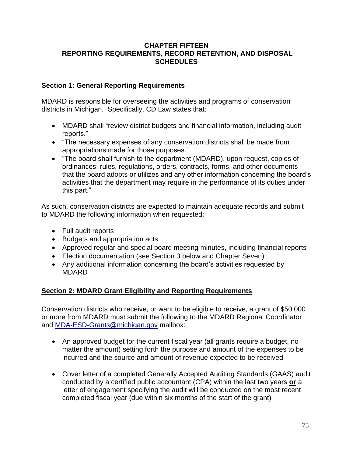## **CHAPTER FIFTEEN REPORTING REQUIREMENTS, RECORD RETENTION, AND DISPOSAL SCHEDULES**

# **Section 1: General Reporting Requirements**

MDARD is responsible for overseeing the activities and programs of conservation districts in Michigan. Specifically, CD Law states that:

- MDARD shall "review district budgets and financial information, including audit reports."
- "The necessary expenses of any conservation districts shall be made from appropriations made for those purposes."
- "The board shall furnish to the department (MDARD), upon request, copies of ordinances, rules, regulations, orders, contracts, forms, and other documents that the board adopts or utilizes and any other information concerning the board's activities that the department may require in the performance of its duties under this part."

As such, conservation districts are expected to maintain adequate records and submit to MDARD the following information when requested:

- Full audit reports
- Budgets and appropriation acts
- Approved regular and special board meeting minutes, including financial reports
- Election documentation (see Section 3 below and Chapter Seven)
- Any additional information concerning the board's activities requested by MDARD

# **Section 2: MDARD Grant Eligibility and Reporting Requirements**

Conservation districts who receive, or want to be eligible to receive, a grant of \$50,000 or more from MDARD must submit the following to the MDARD Regional Coordinator and [MDA-ESD-Grants@michigan.gov](mailto:MDA-ESD-Grants@michigan.gov) mailbox:

- An approved budget for the current fiscal year (all grants require a budget, no matter the amount) setting forth the purpose and amount of the expenses to be incurred and the source and amount of revenue expected to be received
- Cover letter of a completed Generally Accepted Auditing Standards (GAAS) audit conducted by a certified public accountant (CPA) within the last two years **or** a letter of engagement specifying the audit will be conducted on the most recent completed fiscal year (due within six months of the start of the grant)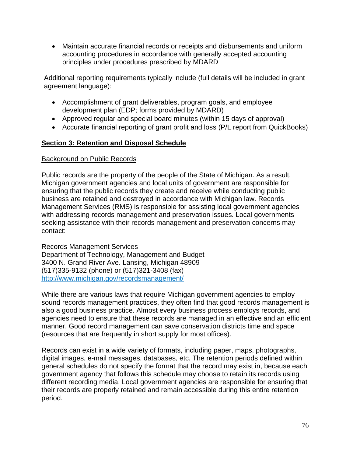• Maintain accurate financial records or receipts and disbursements and uniform accounting procedures in accordance with generally accepted accounting principles under procedures prescribed by MDARD

Additional reporting requirements typically include (full details will be included in grant agreement language):

- Accomplishment of grant deliverables, program goals, and employee development plan (EDP; forms provided by MDARD)
- Approved regular and special board minutes (within 15 days of approval)
- Accurate financial reporting of grant profit and loss (P/L report from QuickBooks)

# **Section 3: Retention and Disposal Schedule**

# Background on Public Records

Public records are the property of the people of the State of Michigan. As a result, Michigan government agencies and local units of government are responsible for ensuring that the public records they create and receive while conducting public business are retained and destroyed in accordance with Michigan law. Records Management Services (RMS) is responsible for assisting local government agencies with addressing records management and preservation issues. Local governments seeking assistance with their records management and preservation concerns may contact:

Records Management Services Department of Technology, Management and Budget 3400 N. Grand River Ave. Lansing, Michigan 48909 (517)335-9132 (phone) or (517)321-3408 (fax) http://www.michigan.gov/recordsmanagement/

While there are various laws that require Michigan government agencies to employ sound records management practices, they often find that good records management is also a good business practice. Almost every business process employs records, and agencies need to ensure that these records are managed in an effective and an efficient manner. Good record management can save conservation districts time and space (resources that are frequently in short supply for most offices).

Records can exist in a wide variety of formats, including paper, maps, photographs, digital images, e-mail messages, databases, etc. The retention periods defined within general schedules do not specify the format that the record may exist in, because each government agency that follows this schedule may choose to retain its records using different recording media. Local government agencies are responsible for ensuring that their records are properly retained and remain accessible during this entire retention period.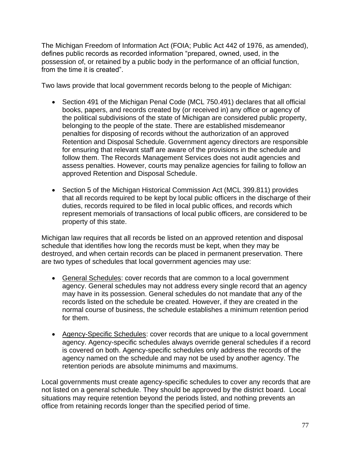The Michigan Freedom of Information Act (FOIA; Public Act 442 of 1976, as amended), defines public records as recorded information "prepared, owned, used, in the possession of, or retained by a public body in the performance of an official function, from the time it is created".

Two laws provide that local government records belong to the people of Michigan:

- Section 491 of the Michigan Penal Code (MCL 750.491) declares that all official books, papers, and records created by (or received in) any office or agency of the political subdivisions of the state of Michigan are considered public property, belonging to the people of the state. There are established misdemeanor penalties for disposing of records without the authorization of an approved Retention and Disposal Schedule. Government agency directors are responsible for ensuring that relevant staff are aware of the provisions in the schedule and follow them. The Records Management Services does not audit agencies and assess penalties. However, courts may penalize agencies for failing to follow an approved Retention and Disposal Schedule.
- Section 5 of the Michigan Historical Commission Act (MCL 399.811) provides that all records required to be kept by local public officers in the discharge of their duties, records required to be filed in local public offices, and records which represent memorials of transactions of local public officers, are considered to be property of this state.

Michigan law requires that all records be listed on an approved retention and disposal schedule that identifies how long the records must be kept, when they may be destroyed, and when certain records can be placed in permanent preservation. There are two types of schedules that local government agencies may use:

- General Schedules: cover records that are common to a local government agency. General schedules may not address every single record that an agency may have in its possession. General schedules do not mandate that any of the records listed on the schedule be created. However, if they are created in the normal course of business, the schedule establishes a minimum retention period for them.
- Agency-Specific Schedules: cover records that are unique to a local government agency. Agency-specific schedules always override general schedules if a record is covered on both. Agency-specific schedules only address the records of the agency named on the schedule and may not be used by another agency. The retention periods are absolute minimums and maximums.

Local governments must create agency-specific schedules to cover any records that are not listed on a general schedule. They should be approved by the district board. Local situations may require retention beyond the periods listed, and nothing prevents an office from retaining records longer than the specified period of time.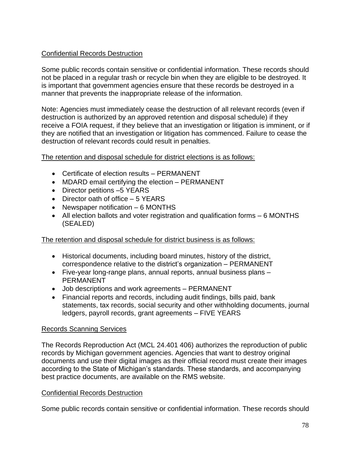# Confidential Records Destruction

Some public records contain sensitive or confidential information. These records should not be placed in a regular trash or recycle bin when they are eligible to be destroyed. It is important that government agencies ensure that these records be destroyed in a manner that prevents the inappropriate release of the information.

Note: Agencies must immediately cease the destruction of all relevant records (even if destruction is authorized by an approved retention and disposal schedule) if they receive a FOIA request, if they believe that an investigation or litigation is imminent, or if they are notified that an investigation or litigation has commenced. Failure to cease the destruction of relevant records could result in penalties.

The retention and disposal schedule for district elections is as follows:

- Certificate of election results PERMANENT
- MDARD email certifying the election PERMANENT
- Director petitions -5 YEARS
- Director oath of office 5 YEARS
- Newspaper notification 6 MONTHS
- All election ballots and voter registration and qualification forms 6 MONTHS (SEALED)

## The retention and disposal schedule for district business is as follows:

- Historical documents, including board minutes, history of the district, correspondence relative to the district's organization – PERMANENT
- Five-year long-range plans, annual reports, annual business plans **PERMANENT**
- Job descriptions and work agreements PERMANENT
- Financial reports and records, including audit findings, bills paid, bank statements, tax records, social security and other withholding documents, journal ledgers, payroll records, grant agreements – FIVE YEARS

## Records Scanning Services

The Records Reproduction Act (MCL 24.401 406) authorizes the reproduction of public records by Michigan government agencies. Agencies that want to destroy original documents and use their digital images as their official record must create their images according to the State of Michigan's standards. These standards, and accompanying best practice documents, are available on the RMS website.

## Confidential Records Destruction

Some public records contain sensitive or confidential information. These records should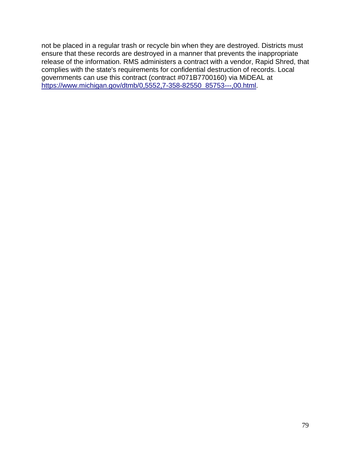not be placed in a regular trash or recycle bin when they are destroyed. Districts must ensure that these records are destroyed in a manner that prevents the inappropriate release of the information. RMS administers a contract with a vendor, Rapid Shred, that complies with the state's requirements for confidential destruction of records. Local governments can use this contract (contract #071B7700160) via MiDEAL at [https://www.michigan.gov/dtmb/0,5552,7-358-82550\\_85753---,00.html.](https://www.michigan.gov/dtmb/0,5552,7-358-82550_85753---,00.html)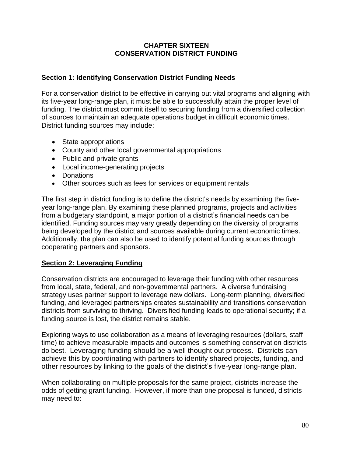## **CHAPTER SIXTEEN CONSERVATION DISTRICT FUNDING**

# **Section 1: Identifying Conservation District Funding Needs**

For a conservation district to be effective in carrying out vital programs and aligning with its five-year long-range plan, it must be able to successfully attain the proper level of funding. The district must commit itself to securing funding from a diversified collection of sources to maintain an adequate operations budget in difficult economic times. District funding sources may include:

- State appropriations
- County and other local governmental appropriations
- Public and private grants
- Local income-generating projects
- Donations
- Other sources such as fees for services or equipment rentals

The first step in district funding is to define the district's needs by examining the fiveyear long-range plan. By examining these planned programs, projects and activities from a budgetary standpoint, a major portion of a district's financial needs can be identified. Funding sources may vary greatly depending on the diversity of programs being developed by the district and sources available during current economic times. Additionally, the plan can also be used to identify potential funding sources through cooperating partners and sponsors.

# **Section 2: Leveraging Funding**

Conservation districts are encouraged to leverage their funding with other resources from local, state, federal, and non-governmental partners. A diverse fundraising strategy uses partner support to leverage new dollars. Long-term planning, diversified funding, and leveraged partnerships creates sustainability and transitions conservation districts from surviving to thriving. Diversified funding leads to operational security; if a funding source is lost, the district remains stable.

Exploring ways to use collaboration as a means of leveraging resources (dollars, staff time) to achieve measurable impacts and outcomes is something conservation districts do best. Leveraging funding should be a well thought out process. Districts can achieve this by coordinating with partners to identify shared projects, funding, and other resources by linking to the goals of the district's five-year long-range plan.

When collaborating on multiple proposals for the same project, districts increase the odds of getting grant funding. However, if more than one proposal is funded, districts may need to: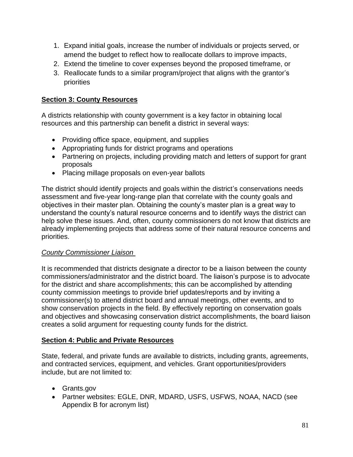- 1. Expand initial goals, increase the number of individuals or projects served, or amend the budget to reflect how to reallocate dollars to improve impacts,
- 2. Extend the timeline to cover expenses beyond the proposed timeframe, or
- 3. Reallocate funds to a similar program/project that aligns with the grantor's priorities

# **Section 3: County Resources**

A districts relationship with county government is a key factor in obtaining local resources and this partnership can benefit a district in several ways:

- Providing office space, equipment, and supplies
- Appropriating funds for district programs and operations
- Partnering on projects, including providing match and letters of support for grant proposals
- Placing millage proposals on even-year ballots

The district should identify projects and goals within the district's conservations needs assessment and five-year long-range plan that correlate with the county goals and objectives in their master plan. Obtaining the county's master plan is a great way to understand the county's natural resource concerns and to identify ways the district can help solve these issues. And, often, county commissioners do not know that districts are already implementing projects that address some of their natural resource concerns and priorities.

# *County Commissioner Liaison*

It is recommended that districts designate a director to be a liaison between the county commissioners/administrator and the district board. The liaison's purpose is to advocate for the district and share accomplishments; this can be accomplished by attending county commission meetings to provide brief updates/reports and by inviting a commissioner(s) to attend district board and annual meetings, other events, and to show conservation projects in the field. By effectively reporting on conservation goals and objectives and showcasing conservation district accomplishments, the board liaison creates a solid argument for requesting county funds for the district.

# **Section 4: Public and Private Resources**

State, federal, and private funds are available to districts, including grants, agreements, and contracted services, equipment, and vehicles. Grant opportunities/providers include, but are not limited to:

- Grants.gov
- Partner websites: EGLE, DNR, MDARD, USFS, USFWS, NOAA, NACD (see Appendix B for acronym list)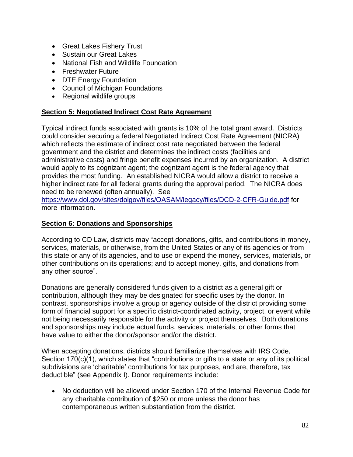- Great Lakes Fishery Trust
- Sustain our Great Lakes
- National Fish and Wildlife Foundation
- Freshwater Future
- DTE Energy Foundation
- Council of Michigan Foundations
- Regional wildlife groups

# **Section 5: Negotiated Indirect Cost Rate Agreement**

Typical indirect funds associated with grants is 10% of the total grant award. Districts could consider securing a federal Negotiated Indirect Cost Rate Agreement (NICRA) which reflects the estimate of indirect cost rate negotiated between the federal government and the district and determines the indirect costs (facilities and administrative costs) and fringe benefit expenses incurred by an organization. A district would apply to its cognizant agent; the cognizant agent is the federal agency that provides the most funding. An established NICRA would allow a district to receive a higher indirect rate for all federal grants during the approval period. The NICRA does need to be renewed (often annually). See

<https://www.dol.gov/sites/dolgov/files/OASAM/legacy/files/DCD-2-CFR-Guide.pdf> for more information.

# **Section 6: Donations and Sponsorships**

According to CD Law, districts may "accept donations, gifts, and contributions in money, services, materials, or otherwise, from the United States or any of its agencies or from this state or any of its agencies, and to use or expend the money, services, materials, or other contributions on its operations; and to accept money, gifts, and donations from any other source".

Donations are generally considered funds given to a district as a general gift or contribution, although they may be designated for specific uses by the donor. In contrast, sponsorships involve a group or agency outside of the district providing some form of financial support for a specific district-coordinated activity, project, or event while not being necessarily responsible for the activity or project themselves. Both donations and sponsorships may include actual funds, services, materials, or other forms that have value to either the donor/sponsor and/or the district.

When accepting donations, districts should familiarize themselves with IRS Code, Section 170(c)(1), which states that "contributions or gifts to a state or any of its political subdivisions are 'charitable' contributions for tax purposes, and are, therefore, tax deductible" (see Appendix I). Donor requirements include:

• No deduction will be allowed under Section 170 of the Internal Revenue Code for any charitable contribution of \$250 or more unless the donor has contemporaneous written substantiation from the district.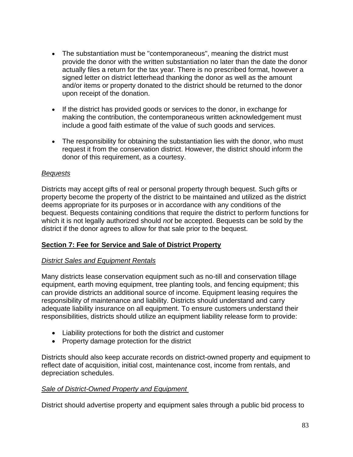- The substantiation must be "contemporaneous", meaning the district must provide the donor with the written substantiation no later than the date the donor actually files a return for the tax year. There is no prescribed format, however a signed letter on district letterhead thanking the donor as well as the amount and/or items or property donated to the district should be returned to the donor upon receipt of the donation.
- If the district has provided goods or services to the donor, in exchange for making the contribution, the contemporaneous written acknowledgement must include a good faith estimate of the value of such goods and services.
- The responsibility for obtaining the substantiation lies with the donor, who must request it from the conservation district. However, the district should inform the donor of this requirement, as a courtesy.

# *Bequests*

Districts may accept gifts of real or personal property through bequest. Such gifts or property become the property of the district to be maintained and utilized as the district deems appropriate for its purposes or in accordance with any conditions of the bequest. Bequests containing conditions that require the district to perform functions for which it is not legally authorized should *not* be accepted. Bequests can be sold by the district if the donor agrees to allow for that sale prior to the bequest.

# **Section 7: Fee for Service and Sale of District Property**

# *District Sales and Equipment Rentals*

Many districts lease conservation equipment such as no-till and conservation tillage equipment, earth moving equipment, tree planting tools, and fencing equipment; this can provide districts an additional source of income. Equipment leasing requires the responsibility of maintenance and liability. Districts should understand and carry adequate liability insurance on all equipment. To ensure customers understand their responsibilities, districts should utilize an equipment liability release form to provide:

- Liability protections for both the district and customer
- Property damage protection for the district

Districts should also keep accurate records on district-owned property and equipment to reflect date of acquisition, initial cost, maintenance cost, income from rentals, and depreciation schedules.

# *Sale of District-Owned Property and Equipment*

District should advertise property and equipment sales through a public bid process to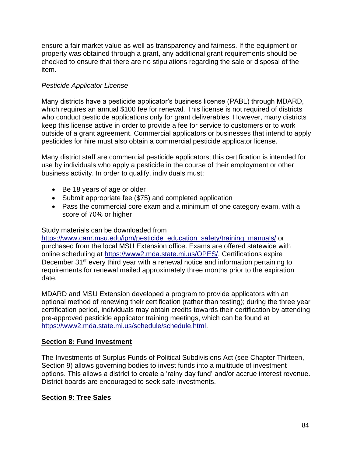ensure a fair market value as well as transparency and fairness. If the equipment or property was obtained through a grant, any additional grant requirements should be checked to ensure that there are no stipulations regarding the sale or disposal of the item.

# *Pesticide Applicator License*

Many districts have a pesticide applicator's business license (PABL) through MDARD, which requires an annual \$100 fee for renewal. This license is not required of districts who conduct pesticide applications only for grant deliverables. However, many districts keep this license active in order to provide a fee for service to customers or to work outside of a grant agreement. Commercial applicators or businesses that intend to apply pesticides for hire must also obtain a commercial pesticide applicator license.

Many district staff are commercial pesticide applicators; this certification is intended for use by individuals who apply a pesticide in the course of their employment or other business activity. In order to qualify, individuals must:

- Be 18 years of age or older
- Submit appropriate fee (\$75) and completed application
- Pass the commercial core exam and a minimum of one category exam, with a score of 70% or higher

## Study materials can be downloaded from

[https://www.canr.msu.edu/ipm/pesticide\\_education\\_safety/training\\_manuals/](https://www.canr.msu.edu/ipm/pesticide_education_safety/training_manuals/) or purchased from the local MSU Extension office. Exams are offered statewide with online scheduling at [https://www2.mda.state.mi.us/OPES/.](https://www2.mda.state.mi.us/OPES/) Certifications expire December 31<sup>st</sup> every third year with a renewal notice and information pertaining to requirements for renewal mailed approximately three months prior to the expiration date.

MDARD and MSU Extension developed a program to provide applicators with an optional method of renewing their certification (rather than testing); during the three year certification period, individuals may obtain credits towards their certification by attending pre-approved pesticide applicator training meetings, which can be found at [https://www2.mda.state.mi.us/schedule/schedule.html.](https://www2.mda.state.mi.us/schedule/schedule.html)

## **Section 8: Fund Investment**

The Investments of Surplus Funds of Political Subdivisions Act (see Chapter Thirteen, Section 9) allows governing bodies to invest funds into a multitude of investment options. This allows a district to create a 'rainy day fund' and/or accrue interest revenue. District boards are encouraged to seek safe investments.

# **Section 9: Tree Sales**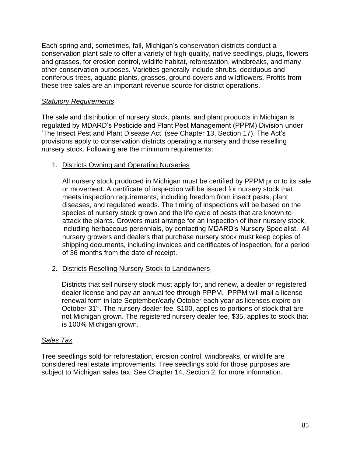Each spring and, sometimes, fall, Michigan's conservation districts conduct a conservation plant sale to offer a variety of high-quality, native seedlings, plugs, flowers and grasses, for erosion control, wildlife habitat, reforestation, windbreaks, and many other conservation purposes. Varieties generally include shrubs, deciduous and coniferous trees, aquatic plants, grasses, ground covers and wildflowers. Profits from these tree sales are an important revenue source for district operations.

## *Statutory Requirements*

The sale and distribution of nursery stock, plants, and plant products in Michigan is regulated by MDARD's Pesticide and Plant Pest Management (PPPM) Division under 'The Insect Pest and Plant Disease Act' (see Chapter 13, Section 17). The Act's provisions apply to conservation districts operating a nursery and those reselling nursery stock. Following are the minimum requirements:

# 1. Districts Owning and Operating Nurseries

All nursery stock produced in Michigan must be certified by PPPM prior to its sale or movement. A certificate of inspection will be issued for nursery stock that meets inspection requirements, including freedom from insect pests, plant diseases, and regulated weeds. The timing of inspections will be based on the species of nursery stock grown and the life cycle of pests that are known to attack the plants. Growers must arrange for an inspection of their nursery stock, including herbaceous perennials, by contacting MDARD's Nursery Specialist. All nursery growers and dealers that purchase nursery stock must keep copies of shipping documents, including invoices and certificates of inspection, for a period of 36 months from the date of receipt.

## 2. Districts Reselling Nursery Stock to Landowners

Districts that sell nursery stock must apply for, and renew, a dealer or registered dealer license and pay an annual fee through PPPM. PPPM will mail a license renewal form in late September/early October each year as licenses expire on October 31<sup>st</sup>. The nursery dealer fee, \$100, applies to portions of stock that are not Michigan grown. The registered nursery dealer fee, \$35, applies to stock that is 100% Michigan grown.

## *Sales Tax*

Tree seedlings sold for reforestation, erosion control, windbreaks, or wildlife are considered real estate improvements. Tree seedlings sold for those purposes are subject to Michigan sales tax. See Chapter 14, Section 2, for more information.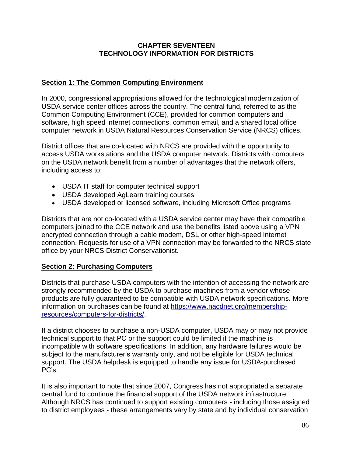# **CHAPTER SEVENTEEN TECHNOLOGY INFORMATION FOR DISTRICTS**

# **Section 1: The Common Computing Environment**

In 2000, congressional appropriations allowed for the technological modernization of USDA service center offices across the country. The central fund, referred to as the Common Computing Environment (CCE), provided for common computers and software, high speed internet connections, common email, and a shared local office computer network in USDA Natural Resources Conservation Service (NRCS) offices.

District offices that are co-located with NRCS are provided with the opportunity to access USDA workstations and the USDA computer network. Districts with computers on the USDA network benefit from a number of advantages that the network offers, including access to:

- USDA IT staff for computer technical support
- USDA developed AgLearn training courses
- USDA developed or licensed software, including Microsoft Office programs

Districts that are not co-located with a USDA service center may have their compatible computers joined to the CCE network and use the benefits listed above using a VPN encrypted connection through a cable modem, DSL or other high-speed Internet connection. Requests for use of a VPN connection may be forwarded to the NRCS state office by your NRCS District Conservationist.

## **Section 2: Purchasing Computers**

Districts that purchase USDA computers with the intention of accessing the network are strongly recommended by the USDA to purchase machines from a vendor whose products are fully guaranteed to be compatible with USDA network specifications. More information on purchases can be found at [https://www.nacdnet.org/membership](https://www.nacdnet.org/membership-resources/computers-for-districts/)[resources/computers-for-districts/.](https://www.nacdnet.org/membership-resources/computers-for-districts/)

If a district chooses to purchase a non-USDA computer, USDA may or may not provide technical support to that PC or the support could be limited if the machine is incompatible with software specifications. In addition, any hardware failures would be subject to the manufacturer's warranty only, and not be eligible for USDA technical support. The USDA helpdesk is equipped to handle any issue for USDA-purchased PC's.

It is also important to note that since 2007, Congress has not appropriated a separate central fund to continue the financial support of the USDA network infrastructure. Although NRCS has continued to support existing computers - including those assigned to district employees - these arrangements vary by state and by individual conservation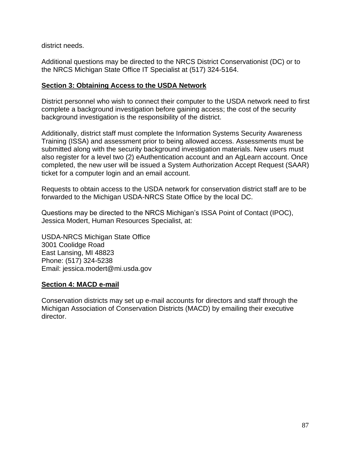district needs.

Additional questions may be directed to the NRCS District Conservationist (DC) or to the NRCS Michigan State Office IT Specialist at (517) 324-5164.

## **Section 3: Obtaining Access to the USDA Network**

District personnel who wish to connect their computer to the USDA network need to first complete a background investigation before gaining access; the cost of the security background investigation is the responsibility of the district.

Additionally, district staff must complete the Information Systems Security Awareness Training (ISSA) and assessment prior to being allowed access. Assessments must be submitted along with the security background investigation materials. New users must also register for a level two (2) eAuthentication account and an AgLearn account. Once completed, the new user will be issued a System Authorization Accept Request (SAAR) ticket for a computer login and an email account.

Requests to obtain access to the USDA network for conservation district staff are to be forwarded to the Michigan USDA-NRCS State Office by the local DC.

Questions may be directed to the NRCS Michigan's ISSA Point of Contact (IPOC), Jessica Modert, Human Resources Specialist, at:

USDA-NRCS Michigan State Office 3001 Coolidge Road East Lansing, MI 48823 Phone: (517) 324-5238 Email: jessica.modert@mi.usda.gov

## **Section 4: MACD e-mail**

Conservation districts may set up e-mail accounts for directors and staff through the Michigan Association of Conservation Districts (MACD) by emailing their executive director.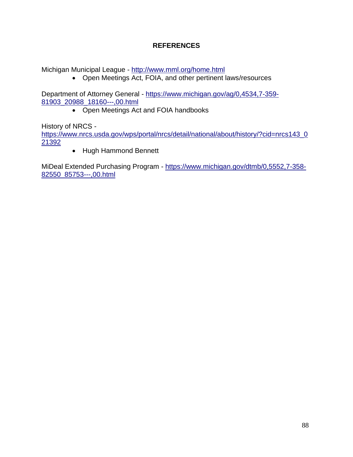# **REFERENCES**

Michigan Municipal League - <http://www.mml.org/home.html>

• Open Meetings Act, FOIA, and other pertinent laws/resources

Department of Attorney General - [https://www.michigan.gov/ag/0,4534,7-359-](https://www.michigan.gov/ag/0,4534,7-359-81903_20988_18160---,00.html) [81903\\_20988\\_18160---,00.html](https://www.michigan.gov/ag/0,4534,7-359-81903_20988_18160---,00.html)

• Open Meetings Act and FOIA handbooks

History of NRCS -

[https://www.nrcs.usda.gov/wps/portal/nrcs/detail/national/about/history/?cid=nrcs143\\_0](https://www.nrcs.usda.gov/wps/portal/nrcs/detail/national/about/history/?cid=nrcs143_021392) [21392](https://www.nrcs.usda.gov/wps/portal/nrcs/detail/national/about/history/?cid=nrcs143_021392)

• Hugh Hammond Bennett

MiDeal Extended Purchasing Program - [https://www.michigan.gov/dtmb/0,5552,7-358-](https://www.michigan.gov/dtmb/0,5552,7-358-82550_85753---,00.html) [82550\\_85753---,00.html](https://www.michigan.gov/dtmb/0,5552,7-358-82550_85753---,00.html)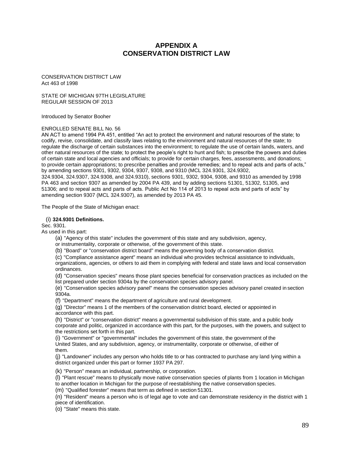### **APPENDIX A CONSERVATION DISTRICT LAW**

CONSERVATION DISTRICT LAW Act 463 of 1998

STATE OF MICHIGAN 97TH LEGISLATURE REGULAR SESSION OF 2013

Introduced by Senator Booher

### ENROLLED SENATE BILL No. 56

AN ACT to amend 1994 PA 451, entitled "An act to protect the environment and natural resources of the state; to codify, revise, consolidate, and classify laws relating to the environment and natural resources of the state; to regulate the discharge of certain substances into the environment; to regulate the use of certain lands, waters, and other natural resources of the state; to protect the people's right to hunt and fish; to prescribe the powers and duties of certain state and local agencies and officials; to provide for certain charges, fees, assessments, and donations; to provide certain appropriations; to prescribe penalties and provide remedies; and to repeal acts and parts of acts," by amending sections 9301, 9302, 9304, 9307, 9308, and 9310 (MCL 324.9301, 324.9302, 324.9304, 324.9307, 324.9308, and 324.9310), sections 9301, 9302, 9304, 9308, and 9310 as amended by 1998 PA 463 and section 9307 as amended by 2004 PA 439, and by adding sections 51301, 51302, 51305, and

51306; and to repeal acts and parts of acts. Public Act No 114 of 2013 to repeal acts and parts of acts" by amending section 9307 (MCL 324.9307), as amended by 2013 PA 45.

The People of the State of Michigan enact:

### (i) **324.9301 Definitions.**

Sec. 9301.

As used in this part:

(a) "Agency of this state" includes the government of this state and any subdivision, agency,

or instrumentality, corporate or otherwise, of the government of this state.

(b) "Board" or "conservation district board" means the governing body of a conservation district.

(c) "Compliance assistance agent" means an individual who provides technical assistance to individuals, organizations, agencies, or others to aid them in complying with federal and state laws and local conservation ordinances.

(d) "Conservation species" means those plant species beneficial for conservation practices as included on the list prepared under section 9304a by the conservation species advisory panel.

(e) "Conservation species advisory panel" means the conservation species advisory panel created in section 9304a.

(f) "Department" means the department of agriculture and rural development.

(g) "Director" means 1 of the members of the conservation district board, elected or appointed in accordance with this part.

(h) "District" or "conservation district" means a governmental subdivision of this state, and a public body corporate and politic, organized in accordance with this part, for the purposes, with the powers, and subject to the restrictions set forth in this part.

(i) "Government" or "governmental" includes the government of this state, the government of the United States, and any subdivision, agency, or instrumentality, corporate or otherwise, of either of them.

(j) "Landowner" includes any person who holds title to or has contracted to purchase any land lying within a district organized under this part or former 1937 PA 297.

(k) "Person" means an individual, partnership, or corporation.

(l) "Plant rescue" means to physically move native conservation species of plants from 1 location in Michigan to another location in Michigan for the purpose of reestablishing the native conservation species.

(m) "Qualified forester" means that term as defined in section 51301.

(n) "Resident" means a person who is of legal age to vote and can demonstrate residency in the district with 1 piece of identification.

(o) "State" means this state.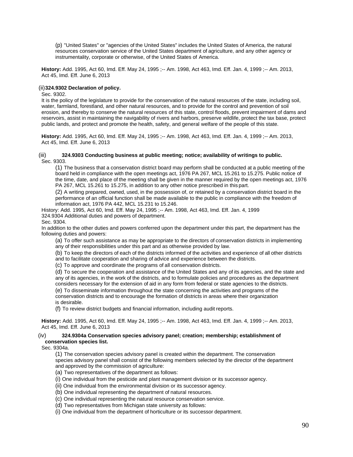(p) "United States" or "agencies of the United States" includes the United States of America, the natural resources conservation service of the United States department of agriculture, and any other agency or instrumentality, corporate or otherwise, of the United States of America.

**History:** Add. 1995, Act 60, Imd. Eff. May 24, 1995 ;-- Am. 1998, Act 463, Imd. Eff. Jan. 4, 1999 ;-- Am. 2013, Act 45, Imd. Eff. June 6, 2013

### (ii)**324.9302 Declaration of policy.**

### Sec. 9302.

It is the policy of the legislature to provide for the conservation of the natural resources of the state, including soil, water, farmland, forestland, and other natural resources, and to provide for the control and prevention of soil erosion, and thereby to conserve the natural resources of this state, control floods, prevent impairment of dams and reservoirs, assist in maintaining the navigability of rivers and harbors, preserve wildlife, protect the tax base, protect public lands, and protect and promote the health, safety, and general welfare of the people of this state.

**History:** Add. 1995, Act 60, Imd. Eff. May 24, 1995 ;-- Am. 1998, Act 463, Imd. Eff. Jan. 4, 1999 ;-- Am. 2013, Act 45, Imd. Eff. June 6, 2013

### (iii) **324.9303 Conducting business at public meeting; notice; availability of writings to public.** Sec. 9303.

(1) The business that a conservation district board may perform shall be conducted at a public meeting of the board held in compliance with the open meetings act, 1976 PA 267, MCL 15.261 to 15.275. Public notice of the time, date, and place of the meeting shall be given in the manner required by the open meetings act, 1976 PA 267, MCL 15.261 to 15.275, in addition to any other notice prescribed in this part.

(2) A writing prepared, owned, used, in the possession of, or retained by a conservation district board in the performance of an official function shall be made available to the public in compliance with the freedom of information act, 1976 PA 442, MCL 15.231 to 15.246.

History: Add. 1995, Act 60, Imd. Eff. May 24, 1995 ;-- Am. 1998, Act 463, Imd. Eff. Jan. 4, 1999 324.9304 Additional duties and powers of department.

Sec. 9304.

In addition to the other duties and powers conferred upon the department under this part, the department has the following duties and powers:

(a) To offer such assistance as may be appropriate to the directors of conservation districts in implementing any of their responsibilities under this part and as otherwise provided by law.

(b) To keep the directors of each of the districts informed of the activities and experience of all other districts and to facilitate cooperation and sharing of advice and experience between the districts.

(c) To approve and coordinate the programs of all conservation districts.

(d) To secure the cooperation and assistance of the United States and any of its agencies, and the state and any of its agencies, in the work of the districts, and to formulate policies and procedures as the department considers necessary for the extension of aid in any form from federal or state agencies to the districts.

(e) To disseminate information throughout the state concerning the activities and programs of the conservation districts and to encourage the formation of districts in areas where their organization is desirable.

(f) To review district budgets and financial information, including audit reports.

**History:** Add. 1995, Act 60, Imd. Eff. May 24, 1995 ;-- Am. 1998, Act 463, Imd. Eff. Jan. 4, 1999 ;-- Am. 2013, Act 45, Imd. Eff. June 6, 2013

### (iv) **324.9304a Conservation species advisory panel; creation; membership; establishment of conservation species list.**

Sec. 9304a.

(1) The conservation species advisory panel is created within the department. The conservation species advisory panel shall consist of the following members selected by the director of the department and approved by the commission of agriculture:

- (a) Two representatives of the department as follows:
- (i) One individual from the pesticide and plant management division or its successor agency.
- (ii) One individual from the environmental division or its successor agency.
- (b) One individual representing the department of natural resources.
- (c) One individual representing the natural resource conservation service.
- (d) Two representatives from Michigan state university as follows:
- (i) One individual from the department of horticulture or its successor department.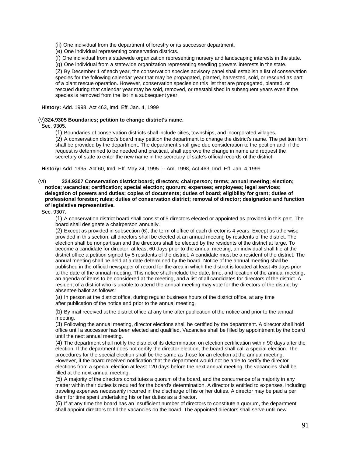(ii) One individual from the department of forestry or its successor department.

(e) One individual representing conservation districts.

(f) One individual from a statewide organization representing nursery and landscaping interests in the state.

(g) One individual from a statewide organization representing seedling growers' interests in the state.

(2) By December 1 of each year, the conservation species advisory panel shall establish a list of conservation species for the following calendar year that may be propagated, planted, harvested, sold, or rescued as part of a plant rescue operation. However, conservation species on this list that are propagated, planted, or rescued during that calendar year may be sold, removed, or reestablished in subsequent years even if the species is removed from the list in a subsequent year.

**History:** Add. 1998, Act 463, Imd. Eff. Jan. 4, 1999

### (v)**324.9305 Boundaries; petition to change district's name.**

Sec. 9305.

(1) Boundaries of conservation districts shall include cities, townships, and incorporated villages.

(2) A conservation district's board may petition the department to change the district's name. The petition form shall be provided by the department. The department shall give due consideration to the petition and, if the request is determined to be needed and practical, shall approve the change in name and request the secretary of state to enter the new name in the secretary of state's official records of the district.

**History:** Add. 1995, Act 60, Imd. Eff. May 24, 1995 ;-- Am. 1998, Act 463, Imd. Eff. Jan. 4,1999

(vi) **324.9307 Conservation district board; directors; chairperson; terms; annual meeting; election; notice; vacancies; certification; special election; quorum; expenses; employees; legal services; delegation of powers and duties; copies of documents; duties of board; eligibility for grant; duties of professional forester; rules; duties of conservation district; removal of director; designation and function of legislative representative.**

Sec. 9307.

(1) A conservation district board shall consist of 5 directors elected or appointed as provided in this part. The board shall designate a chairperson annually.

(2) Except as provided in subsection (6), the term of office of each director is 4 years. Except as otherwise provided in this section, all directors shall be elected at an annual meeting by residents of the district. The election shall be nonpartisan and the directors shall be elected by the residents of the district at large. To become a candidate for director, at least 60 days prior to the annual meeting, an individual shall file at the district office a petition signed by 5 residents of the district. A candidate must be a resident of the district. The annual meeting shall be held at a date determined by the board. Notice of the annual meeting shall be published in the official newspaper of record for the area in which the district is located at least 45 days prior to the date of the annual meeting. This notice shall include the date, time, and location of the annual meeting, an agenda of items to be considered at the meeting, and a list of all candidates for directors of the district. A resident of a district who is unable to attend the annual meeting may vote for the directors of the district by absentee ballot as follows:

(a) In person at the district office, during regular business hours of the district office, at any time after publication of the notice and prior to the annual meeting.

(b) By mail received at the district office at any time after publication of the notice and prior to the annual meeting.

(3) Following the annual meeting, director elections shall be certified by the department. A director shall hold office until a successor has been elected and qualified. Vacancies shall be filled by appointment by the board until the next annual meeting.

(4) The department shall notify the district of its determination on election certification within 90 days after the election. If the department does not certify the director election, the board shall call a special election. The procedures for the special election shall be the same as those for an election at the annual meeting. However, if the board received notification that the department would not be able to certify the director elections from a special election at least 120 days before the next annual meeting, the vacancies shall be filled at the next annual meeting.

(5) A majority of the directors constitutes a quorum of the board, and the concurrence of a majority in any matter within their duties is required for the board's determination. A director is entitled to expenses, including traveling expenses necessarily incurred in the discharge of his or her duties. A director may be paid a per diem for time spent undertaking his or her duties as a director.

(6) If at any time the board has an insufficient number of directors to constitute a quorum, the department shall appoint directors to fill the vacancies on the board. The appointed directors shall serve until new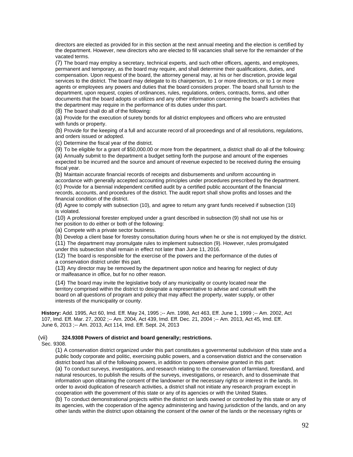directors are elected as provided for in this section at the next annual meeting and the election is certified by the department. However, new directors who are elected to fill vacancies shall serve for the remainder of the vacated terms.

(7) The board may employ a secretary, technical experts, and such other officers, agents, and employees, permanent and temporary, as the board may require, and shall determine their qualifications, duties, and compensation. Upon request of the board, the attorney general may, at his or her discretion, provide legal services to the district. The board may delegate to its chairperson, to 1 or more directors, or to 1 or more agents or employees any powers and duties that the board considers proper. The board shall furnish to the department, upon request, copies of ordinances, rules, regulations, orders, contracts, forms, and other documents that the board adopts or utilizes and any other information concerning the board's activities that the department may require in the performance of its duties under this part.

(8) The board shall do all of the following:

(a) Provide for the execution of surety bonds for all district employees and officers who are entrusted with funds or property.

(b) Provide for the keeping of a full and accurate record of all proceedings and of all resolutions, regulations, and orders issued or adopted.

(c) Determine the fiscal year of the district.

(9) To be eligible for a grant of \$50,000.00 or more from the department, a district shall do all of the following: (a) Annually submit to the department a budget setting forth the purpose and amount of the expenses expected to be incurred and the source and amount of revenue expected to be received during the ensuing fiscal year.

(b) Maintain accurate financial records of receipts and disbursements and uniform accounting in accordance with generally accepted accounting principles under procedures prescribed by the department.

(c) Provide for a biennial independent certified audit by a certified public accountant of the financial records, accounts, and procedures of the district. The audit report shall show profits and losses and the financial condition of the district.

(d) Agree to comply with subsection (10), and agree to return any grant funds received if subsection (10) is violated.

(10) A professional forester employed under a grant described in subsection (9) shall not use his or her position to do either or both of the following:

(a) Compete with a private sector business.

(b) Develop a client base for forestry consultation during hours when he or she is not employed by the district.

(11) The department may promulgate rules to implement subsection (9). However, rules promulgated under this subsection shall remain in effect not later than June 11, 2016.

(12) The board is responsible for the exercise of the powers and the performance of the duties of a conservation district under this part.

(13) Any director may be removed by the department upon notice and hearing for neglect of duty or malfeasance in office, but for no other reason.

(14) The board may invite the legislative body of any municipality or county located near the territory comprised within the district to designate a representative to advise and consult with the board on all questions of program and policy that may affect the property, water supply, or other interests of the municipality or county.

**History:** Add. 1995, Act 60, Imd. Eff. May 24, 1995 ;-- Am. 1998, Act 463, Eff. June 1, 1999 ;-- Am. 2002, Act 107, Imd. Eff. Mar. 27, 2002 ;-- Am. 2004, Act 439, Imd. Eff. Dec. 21, 2004 ;-- Am. 2013, Act 45, Imd. Eff. June 6, 2013 ;-- Am. 2013, Act 114, Imd. Eff. Sept. 24, 2013

### (vii) **324.9308 Powers of district and board generally; restrictions.**

### Sec. 9308.

(1) A conservation district organized under this part constitutes a governmental subdivision of this state and a public body corporate and politic, exercising public powers, and a conservation district and the conservation district board has all of the following powers, in addition to powers otherwise granted in this part: (a) To conduct surveys, investigations, and research relating to the conservation of farmland, forestland, and natural resources, to publish the results of the surveys, investigations, or research, and to disseminate that information upon obtaining the consent of the landowner or the necessary rights or interest in the lands. In order to avoid duplication of research activities, a district shall not initiate any research program except in cooperation with the government of this state or any of its agencies or with the United States.

(b) To conduct demonstrational projects within the district on lands owned or controlled by this state or any of its agencies, with the cooperation of the agency administering and having jurisdiction of the lands, and on any other lands within the district upon obtaining the consent of the owner of the lands or the necessary rights or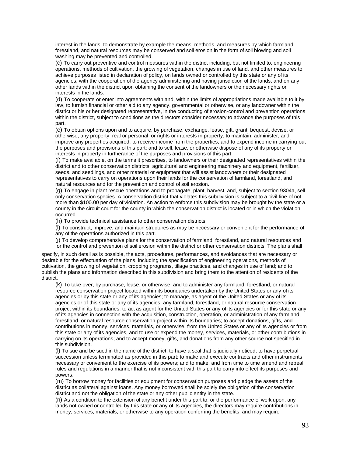interest in the lands, to demonstrate by example the means, methods, and measures by which farmland, forestland, and natural resources may be conserved and soil erosion in the form of soil blowing and soil washing may be prevented and controlled.

(c) To carry out preventive and control measures within the district including, but not limited to, engineering operations, methods of cultivation, the growing of vegetation, changes in use of land, and other measures to achieve purposes listed in declaration of policy, on lands owned or controlled by this state or any of its agencies, with the cooperation of the agency administering and having jurisdiction of the lands, and on any other lands within the district upon obtaining the consent of the landowners or the necessary rights or interests in the lands.

(d) To cooperate or enter into agreements with and, within the limits of appropriations made available to it by law, to furnish financial or other aid to any agency, governmental or otherwise, or any landowner within the district or his or her designated representative, in the conducting of erosion-control and prevention operations within the district, subject to conditions as the directors consider necessary to advance the purposes of this part.

(e) To obtain options upon and to acquire, by purchase, exchange, lease, gift, grant, bequest, devise, or otherwise, any property, real or personal, or rights or interests in property; to maintain, administer, and improve any properties acquired, to receive income from the properties, and to expend income in carrying out the purposes and provisions of this part; and to sell, lease, or otherwise dispose of any of its property or interests in property in furtherance of the purposes and provisions of this part.

(f) To make available, on the terms it prescribes, to landowners or their designated representatives within the district and to other conservation districts, agricultural and engineering machinery and equipment, fertilizer, seeds, and seedlings, and other material or equipment that will assist landowners or their designated representatives to carry on operations upon their lands for the conservation of farmland, forestland, and natural resources and for the prevention and control of soil erosion.

(g) To engage in plant rescue operations and to propagate, plant, harvest, and, subject to section 9304a, sell only conservation species. A conservation district that violates this subdivision is subject to a civil fine of not more than \$100.00 per day of violation. An action to enforce this subdivision may be brought by the state or a county in the circuit court for the county in which the conservation district is located or in which the violation occurred.

(h) To provide technical assistance to other conservation districts.

(i) To construct, improve, and maintain structures as may be necessary or convenient for the performance of any of the operations authorized in this part.

(j) To develop comprehensive plans for the conservation of farmland, forestland, and natural resources and for the control and prevention of soil erosion within the district or other conservation districts. The plans shall

specify, in such detail as is possible, the acts, procedures, performances, and avoidances that are necessary or desirable for the effectuation of the plans, including the specification of engineering operations, methods of cultivation, the growing of vegetation, cropping programs, tillage practices, and changes in use of land; and to publish the plans and information described in this subdivision and bring them to the attention of residents of the district.

(k) To take over, by purchase, lease, or otherwise, and to administer any farmland, forestland, or natural resource conservation project located within its boundaries undertaken by the United States or any of its agencies or by this state or any of its agencies; to manage, as agent of the United States or any of its agencies or of this state or any of its agencies, any farmland, forestland, or natural resource conservation project within its boundaries; to act as agent for the United States or any of its agencies or for this state or any of its agencies in connection with the acquisition, construction, operation, or administration of any farmland, forestland, or natural resource conservation project within its boundaries; to accept donations, gifts, and contributions in money, services, materials, or otherwise, from the United States or any of its agencies or from this state or any of its agencies, and to use or expend the money, services, materials, or other contributions in carrying on its operations; and to accept money, gifts, and donations from any other source not specified in this subdivision.

(l) To sue and be sued in the name of the district; to have a seal that is judicially noticed; to have perpetual succession unless terminated as provided in this part; to make and execute contracts and other instruments necessary or convenient to the exercise of its powers; and to make, and from time to time amend and repeal, rules and regulations in a manner that is not inconsistent with this part to carry into effect its purposes and powers.

(m) To borrow money for facilities or equipment for conservation purposes and pledge the assets of the district as collateral against loans. Any money borrowed shall be solely the obligation of the conservation district and not the obligation of the state or any other public entity in the state.

(n) As a condition to the extension of any benefit under this part to, or the performance of work upon, any lands not owned or controlled by this state or any of its agencies, the directors may require contributions in money, services, materials, or otherwise to any operation conferring the benefits, and may require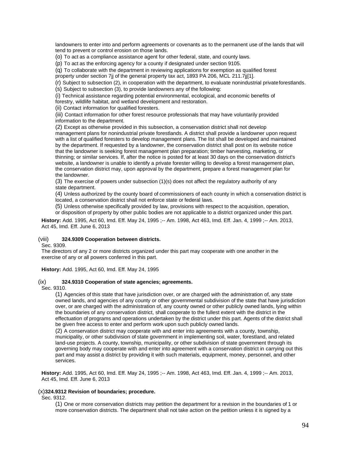landowners to enter into and perform agreements or covenants as to the permanent use of the lands that will tend to prevent or control erosion on those lands.

(o) To act as a compliance assistance agent for other federal, state, and county laws.

(p) To act as the enforcing agency for a county if designated under section 9105.

(q) To collaborate with the department in reviewing applications for exemption as qualified forest

property under section 7jj of the general property tax act, 1893 PA 206, MCL 211.7jj[1].

(r) Subject to subsection (2), in cooperation with the department, to evaluate nonindustrial privateforestlands.

(s) Subject to subsection (3), to provide landowners any of the following:

(i) Technical assistance regarding potential environmental, ecological, and economic benefits of

forestry, wildlife habitat, and wetland development and restoration.

(ii) Contact information for qualified foresters.

(iii) Contact information for other forest resource professionals that may have voluntarily provided information to the department.

(2) Except as otherwise provided in this subsection, a conservation district shall not develop management plans for nonindustrial private forestlands. A district shall provide a landowner upon request with a list of qualified foresters to develop management plans. The list shall be developed and maintained by the department. If requested by a landowner, the conservation district shall post on its website notice that the landowner is seeking forest management plan preparation; timber harvesting, marketing, or thinning; or similar services. If, after the notice is posted for at least 30 days on the conservation district's website, a landowner is unable to identify a private forester willing to develop a forest management plan, the conservation district may, upon approval by the department, prepare a forest management plan for the landowner.

(3) The exercise of powers under subsection (1)(s) does not affect the regulatory authority of any state department.

(4) Unless authorized by the county board of commissioners of each county in which a conservation district is located, a conservation district shall not enforce state or federal laws.

(5) Unless otherwise specifically provided by law, provisions with respect to the acquisition, operation,

or disposition of property by other public bodies are not applicable to a district organized under this part.

**History:** Add. 1995, Act 60, Imd. Eff. May 24, 1995 ;-- Am. 1998, Act 463, Imd. Eff. Jan. 4, 1999 ;-- Am. 2013, Act 45, Imd. Eff. June 6, 2013

### (viii) **324.9309 Cooperation between districts.**

Sec. 9309.

The directors of any 2 or more districts organized under this part may cooperate with one another in the exercise of any or all powers conferred in this part.

**History:** Add. 1995, Act 60, Imd. Eff. May 24, 1995

#### (ix) **324.9310 Cooperation of state agencies; agreements.**

Sec. 9310.

(1) Agencies of this state that have jurisdiction over, or are charged with the administration of, any state owned lands, and agencies of any county or other governmental subdivision of the state that have jurisdiction over, or are charged with the administration of, any county owned or other publicly owned lands, lying within the boundaries of any conservation district, shall cooperate to the fullest extent with the district in the effectuation of programs and operations undertaken by the district under this part. Agents of the district shall be given free access to enter and perform work upon such publicly owned lands.

(2) A conservation district may cooperate with and enter into agreements with a county, township, municipality, or other subdivision of state government in implementing soil, water, forestland, and related land-use projects. A county, township, municipality, or other subdivision of state government through its governing body may cooperate with and enter into agreement with a conservation district in carrying out this part and may assist a district by providing it with such materials, equipment, money, personnel, and other services.

**History:** Add. 1995, Act 60, Imd. Eff. May 24, 1995 ;-- Am. 1998, Act 463, Imd. Eff. Jan. 4, 1999 ;-- Am. 2013, Act 45, Imd. Eff. June 6, 2013

### (x)**324.9312 Revision of boundaries; procedure.**

Sec. 9312.

(1) One or more conservation districts may petition the department for a revision in the boundaries of 1 or more conservation districts. The department shall not take action on the petition unless it is signed by a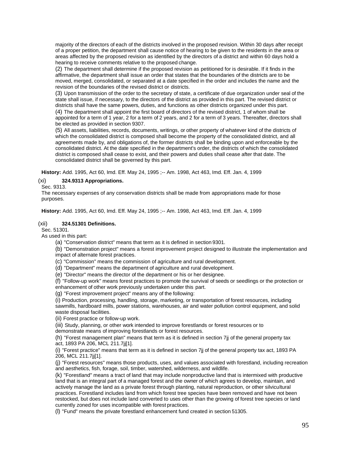majority of the directors of each of the districts involved in the proposed revision. Within 30 days after receipt of a proper petition, the department shall cause notice of hearing to be given to the residents in the area or areas affected by the proposed revision as identified by the directors of a district and within 60 days hold a hearing to receive comments relative to the proposed change.

(2) The department shall determine if the proposed revision as petitioned for is desirable. If it finds in the affirmative, the department shall issue an order that states that the boundaries of the districts are to be moved, merged, consolidated, or separated at a date specified in the order and includes the name and the revision of the boundaries of the revised district or districts.

(3) Upon transmission of the order to the secretary of state, a certificate of due organization under seal of the state shall issue, if necessary, to the directors of the district as provided in this part. The revised district or districts shall have the same powers, duties, and functions as other districts organized under this part.

(4) The department shall appoint the first board of directors of the revised district, 1 of whom shall be appointed for a term of 1 year, 2 for a term of 2 years, and 2 for a term of 3 years. Thereafter, directors shall be elected as provided in section 9307.

(5) All assets, liabilities, records, documents, writings, or other property of whatever kind of the districts of which the consolidated district is composed shall become the property of the consolidated district, and all agreements made by, and obligations of, the former districts shall be binding upon and enforceable by the consolidated district. At the date specified in the department's order, the districts of which the consolidated district is composed shall cease to exist, and their powers and duties shall cease after that date. The consolidated district shall be governed by this part.

**History:** Add. 1995, Act 60, Imd. Eff. May 24, 1995 ;-- Am. 1998, Act 463, Imd. Eff. Jan. 4, 1999

### (xi) **324.9313 Appropriations.**

Sec. 9313.

The necessary expenses of any conservation districts shall be made from appropriations made for those purposes.

**History:** Add. 1995, Act 60, Imd. Eff. May 24, 1995 ;-- Am. 1998, Act 463, Imd. Eff. Jan. 4, 1999

### (xii) **324.51301 Definitions.**

Sec. 51301.

As used in this part:

(a) "Conservation district" means that term as it is defined in section 9301.

(b) "Demonstration project" means a forest improvement project designed to illustrate the implementation and impact of alternate forest practices.

(c) "Commission" means the commission of agriculture and rural development.

(d) "Department" means the department of agriculture and rural development.

(e) "Director" means the director of the department or his or her designee.

(f) "Follow-up work" means forest practices to promote the survival of seeds or seedlings or the protection or enhancement of other work previously undertaken under this part.

(g) "Forest improvement project" means any of the following:

(i) Production, processing, handling, storage, marketing, or transportation of forest resources, including sawmills, hardboard mills, power stations, warehouses, air and water pollution control equipment, and solid waste disposal facilities.

(ii) Forest practice or follow-up work.

(iii) Study, planning, or other work intended to improve forestlands or forest resources or to

demonstrate means of improving forestlands or forest resources.

(h) "Forest management plan" means that term as it is defined in section 7jj of the general property tax act, 1893 PA 206, MCL 211.7jj[1].

(i) "Forest practice" means that term as it is defined in section 7jj of the general property tax act, 1893 PA 206, MCL 211.7jj[1].

(j) "Forest resources" means those products, uses, and values associated with forestland, including recreation and aesthetics, fish, forage, soil, timber, watershed, wilderness, and wildlife.

(k) "Forestland" means a tract of land that may include nonproductive land that is intermixed with productive land that is an integral part of a managed forest and the owner of which agrees to develop, maintain, and actively manage the land as a private forest through planting, natural reproduction, or other silvicultural practices. Forestland includes land from which forest tree species have been removed and have not been restocked, but does not include land converted to uses other than the growing of forest tree species or land currently zoned for uses incompatible with forest practices.

(l) "Fund" means the private forestland enhancement fund created in section 51305.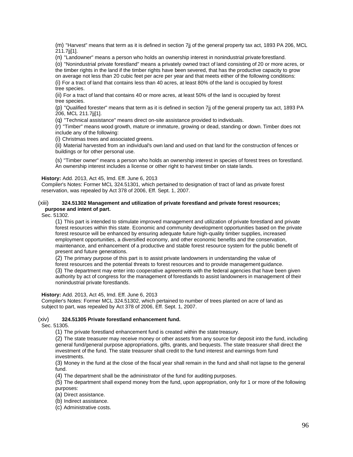(m) "Harvest" means that term as it is defined in section 7jj of the general property tax act, 1893 PA 206, MCL 211.7jj[1].

(n) "Landowner" means a person who holds an ownership interest in nonindustrial private forestland.

(o) "Nonindustrial private forestland" means a privately owned tract of land consisting of 20 or more acres, or the timber rights in the land if the timber rights have been severed, that has the productive capacity to grow on average not less than 20 cubic feet per acre per year and that meets either of the following conditions: (i) For a tract of land that contains less than 40 acres, at least 80% of the land is occupied by forest

tree species.

(ii) For a tract of land that contains 40 or more acres, at least 50% of the land is occupied by forest tree species.

(p) "Qualified forester" means that term as it is defined in section 7jj of the general property tax act, 1893 PA 206, MCL 211.7jj[1].

(q) "Technical assistance" means direct on-site assistance provided to individuals.

(r) "Timber" means wood growth, mature or immature, growing or dead, standing or down. Timber does not include any of the following:

(i) Christmas trees and associated greens.

(ii) Material harvested from an individual's own land and used on that land for the construction of fences or buildings or for other personal use.

(s) "Timber owner" means a person who holds an ownership interest in species of forest trees on forestland. An ownership interest includes a license or other right to harvest timber on state lands.

#### **History:** Add. 2013, Act 45, Imd. Eff. June 6, 2013

Compiler's Notes: Former MCL 324.51301, which pertained to designation of tract of land as private forest reservation, was repealed by Act 378 of 2006, Eff. Sept. 1, 2007.

### (xiii) **324.51302 Management and utilization of private forestland and private forest resources; purpose and intent of part.**

Sec. 51302.

(1) This part is intended to stimulate improved management and utilization of private forestland and private forest resources within this state. Economic and community development opportunities based on the private forest resource will be enhanced by ensuring adequate future high-quality timber supplies, increased employment opportunities, a diversified economy, and other economic benefits and the conservation, maintenance, and enhancement of a productive and stable forest resource system for the public benefit of present and future generations.

(2) The primary purpose of this part is to assist private landowners in understanding the value of forest resources and the potential threats to forest resources and to provide management guidance.

(3) The department may enter into cooperative agreements with the federal agencies that have been given authority by act of congress for the management of forestlands to assist landowners in management of their nonindustrial private forestlands.

**History:** Add. 2013, Act 45, Imd. Eff. June 6, 2013

Compiler's Notes: Former MCL 324.51302, which pertained to number of trees planted on acre of land as subject to part, was repealed by Act 378 of 2006, Eff. Sept. 1, 2007.

### (xiv) **324.51305 Private forestland enhancement fund.**

Sec. 51305.

(1) The private forestland enhancement fund is created within the state treasury.

(2) The state treasurer may receive money or other assets from any source for deposit into the fund, including general fund/general purpose appropriations, gifts, grants, and bequests. The state treasurer shall direct the investment of the fund. The state treasurer shall credit to the fund interest and earnings from fund investments.

(3) Money in the fund at the close of the fiscal year shall remain in the fund and shall not lapse to the general fund.

(4) The department shall be the administrator of the fund for auditing purposes.

(5) The department shall expend money from the fund, upon appropriation, only for 1 or more of the following purposes:

- (a) Direct assistance.
- (b) Indirect assistance.

(c) Administrative costs.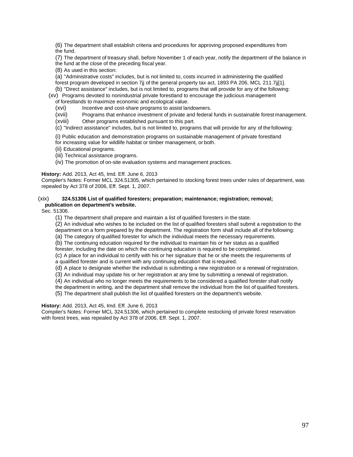(6) The department shall establish criteria and procedures for approving proposed expenditures from the fund.

(7) The department of treasury shall, before November 1 of each year, notify the department of the balance in the fund at the close of the preceding fiscal year.

(8) As used in this section:

(a) "Administrative costs" includes, but is not limited to, costs incurred in administering the qualified forest program developed in section 7jj of the general property tax act, 1893 PA 206, MCL 211.7jj[1].

(b) "Direct assistance" includes, but is not limited to, programs that will provide for any of the following:

(xv) Programs devoted to nonindustrial private forestland to encourage the judicious management

of forestlands to maximize economic and ecological value.

(xvi) Incentive and cost-share programs to assist landowners.

(xvii) Programs that enhance investment of private and federal funds in sustainable forest management.

(xviii) Other programs established pursuant to this part.

(c) "Indirect assistance" includes, but is not limited to, programs that will provide for any of the following:

(i) Public education and demonstration programs on sustainable management of private forestland

for increasing value for wildlife habitat or timber management, or both.

(ii) Educational programs.

(iii) Technical assistance programs.

(iv) The promotion of on-site evaluation systems and management practices.

**History:** Add. 2013, Act 45, Imd. Eff. June 6, 2013

Compiler's Notes: Former MCL 324.51305, which pertained to stocking forest trees under rules of department, was repealed by Act 378 of 2006, Eff. Sept. 1, 2007.

### (xix) **324.51306 List of qualified foresters; preparation; maintenance; registration; removal; publication on department's website.**

Sec. 51306.

(1) The department shall prepare and maintain a list of qualified foresters in the state.

(2) An individual who wishes to be included on the list of qualified foresters shall submit a registration to the department on a form prepared by the department. The registration form shall include all of the following:

(a) The category of qualified forester for which the individual meets the necessary requirements.

(b) The continuing education required for the individual to maintain his or her status as a qualified

forester, including the date on which the continuing education is required to be completed.

(c) A place for an individual to certify with his or her signature that he or she meets the requirements of a qualified forester and is current with any continuing education that is required.

(d) A place to designate whether the individual is submitting a new registration or a renewal of registration.

(3) An individual may update his or her registration at any time by submitting a renewal of registration.

(4) An individual who no longer meets the requirements to be considered a qualified forester shall notify

the department in writing, and the department shall remove the individual from the list of qualified foresters.

(5) The department shall publish the list of qualified foresters on the department's website.

**History:** Add. 2013, Act 45, Imd. Eff. June 6, 2013

Compiler's Notes: Former MCL 324.51306, which pertained to complete restocking of private forest reservation with forest trees, was repealed by Act 378 of 2006, Eff. Sept. 1, 2007.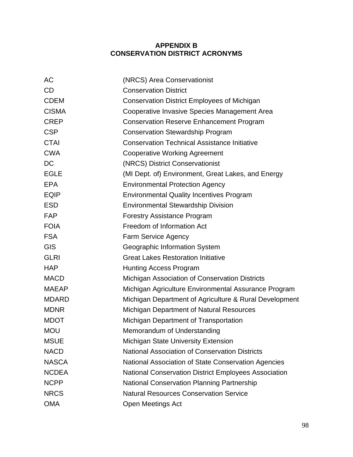# **APPENDIX B CONSERVATION DISTRICT ACRONYMS**

| <b>AC</b>    | (NRCS) Area Conservationist                                 |
|--------------|-------------------------------------------------------------|
| <b>CD</b>    | <b>Conservation District</b>                                |
| <b>CDEM</b>  | <b>Conservation District Employees of Michigan</b>          |
| <b>CISMA</b> | Cooperative Invasive Species Management Area                |
| <b>CREP</b>  | <b>Conservation Reserve Enhancement Program</b>             |
| <b>CSP</b>   | <b>Conservation Stewardship Program</b>                     |
| <b>CTAI</b>  | <b>Conservation Technical Assistance Initiative</b>         |
| <b>CWA</b>   | <b>Cooperative Working Agreement</b>                        |
| DC           | (NRCS) District Conservationist                             |
| <b>EGLE</b>  | (MI Dept. of) Environment, Great Lakes, and Energy          |
| <b>EPA</b>   | <b>Environmental Protection Agency</b>                      |
| <b>EQIP</b>  | <b>Environmental Quality Incentives Program</b>             |
| <b>ESD</b>   | <b>Environmental Stewardship Division</b>                   |
| <b>FAP</b>   | <b>Forestry Assistance Program</b>                          |
| <b>FOIA</b>  | Freedom of Information Act                                  |
| <b>FSA</b>   | <b>Farm Service Agency</b>                                  |
| <b>GIS</b>   | Geographic Information System                               |
| <b>GLRI</b>  | <b>Great Lakes Restoration Initiative</b>                   |
| <b>HAP</b>   | <b>Hunting Access Program</b>                               |
| <b>MACD</b>  | Michigan Association of Conservation Districts              |
| <b>MAEAP</b> | Michigan Agriculture Environmental Assurance Program        |
| <b>MDARD</b> | Michigan Department of Agriculture & Rural Development      |
| <b>MDNR</b>  | Michigan Department of Natural Resources                    |
| <b>MDOT</b>  | Michigan Department of Transportation                       |
| <b>MOU</b>   | Memorandum of Understanding                                 |
| <b>MSUE</b>  | <b>Michigan State University Extension</b>                  |
| <b>NACD</b>  | <b>National Association of Conservation Districts</b>       |
| <b>NASCA</b> | National Association of State Conservation Agencies         |
| <b>NCDEA</b> | <b>National Conservation District Employees Association</b> |
| <b>NCPP</b>  | <b>National Conservation Planning Partnership</b>           |
| <b>NRCS</b>  | <b>Natural Resources Conservation Service</b>               |
| <b>OMA</b>   | Open Meetings Act                                           |
|              |                                                             |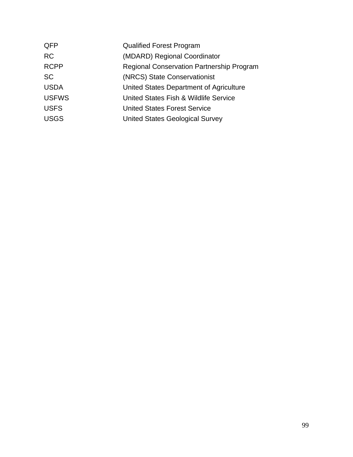| QFP          | <b>Qualified Forest Program</b>                  |
|--------------|--------------------------------------------------|
| <b>RC</b>    | (MDARD) Regional Coordinator                     |
| <b>RCPP</b>  | <b>Regional Conservation Partnership Program</b> |
| <b>SC</b>    | (NRCS) State Conservationist                     |
| <b>USDA</b>  | United States Department of Agriculture          |
| <b>USFWS</b> | United States Fish & Wildlife Service            |
| <b>USFS</b>  | <b>United States Forest Service</b>              |
| <b>USGS</b>  | <b>United States Geological Survey</b>           |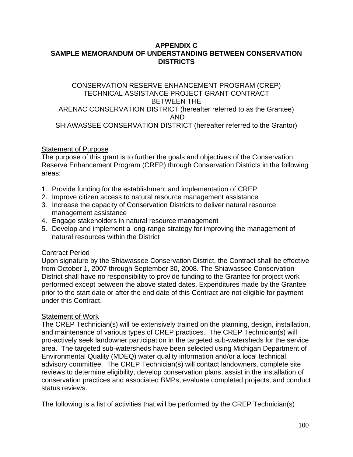## **APPENDIX C SAMPLE MEMORANDUM OF UNDERSTANDING BETWEEN CONSERVATION DISTRICTS**

## CONSERVATION RESERVE ENHANCEMENT PROGRAM (CREP) TECHNICAL ASSISTANCE PROJECT GRANT CONTRACT BETWEEN THE ARENAC CONSERVATION DISTRICT (hereafter referred to as the Grantee) AND SHIAWASSEE CONSERVATION DISTRICT (hereafter referred to the Grantor)

# Statement of Purpose

The purpose of this grant is to further the goals and objectives of the Conservation Reserve Enhancement Program (CREP) through Conservation Districts in the following areas:

- 1. Provide funding for the establishment and implementation of CREP
- 2. Improve citizen access to natural resource management assistance
- 3. Increase the capacity of Conservation Districts to deliver natural resource management assistance
- 4. Engage stakeholders in natural resource management
- 5. Develop and implement a long-range strategy for improving the management of natural resources within the District

# Contract Period

Upon signature by the Shiawassee Conservation District, the Contract shall be effective from October 1, 2007 through September 30, 2008. The Shiawassee Conservation District shall have no responsibility to provide funding to the Grantee for project work performed except between the above stated dates. Expenditures made by the Grantee prior to the start date or after the end date of this Contract are not eligible for payment under this Contract.

## **Statement of Work**

The CREP Technician(s) will be extensively trained on the planning, design, installation, and maintenance of various types of CREP practices. The CREP Technician(s) will pro-actively seek landowner participation in the targeted sub-watersheds for the service area. The targeted sub-watersheds have been selected using Michigan Department of Environmental Quality (MDEQ) water quality information and/or a local technical advisory committee. The CREP Technician(s) will contact landowners, complete site reviews to determine eligibility, develop conservation plans, assist in the installation of conservation practices and associated BMPs, evaluate completed projects, and conduct status reviews.

The following is a list of activities that will be performed by the CREP Technician(s)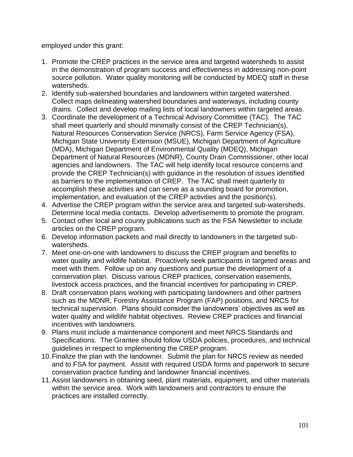employed under this grant:

- 1. Promote the CREP practices in the service area and targeted watersheds to assist in the demonstration of program success and effectiveness in addressing non-point source pollution. Water quality monitoring will be conducted by MDEQ staff in these watersheds.
- 2. Identify sub-watershed boundaries and landowners within targeted watershed. Collect maps delineating watershed boundaries and waterways, including county drains. Collect and develop mailing lists of local landowners within targeted areas.
- 3. Coordinate the development of a Technical Advisory Committee (TAC). The TAC shall meet quarterly and should minimally consist of the CREP Technician(s), Natural Resources Conservation Service (NRCS), Farm Service Agency (FSA), Michigan State University Extension (MSUE), Michigan Department of Agriculture (MDA), Michigan Department of Environmental Quality (MDEQ), Michigan Department of Natural Resources (MDNR), County Drain Commissioner, other local agencies and landowners. The TAC will help identify local resource concerns and provide the CREP Technician(s) with guidance in the resolution of issues identified as barriers to the implementation of CREP. The TAC shall meet quarterly to accomplish these activities and can serve as a sounding board for promotion, implementation, and evaluation of the CREP activities and the position(s).
- 4. Advertise the CREP program within the service area and targeted sub-watersheds. Determine local media contacts. Develop advertisements to promote the program.
- 5. Contact other local and county publications such as the FSA Newsletter to include articles on the CREP program.
- 6. Develop information packets and mail directly to landowners in the targeted subwatersheds.
- 7. Meet one-on-one with landowners to discuss the CREP program and benefits to water quality and wildlife habitat. Proactively seek participants in targeted areas and meet with them. Follow up on any questions and pursue the development of a conservation plan. Discuss various CREP practices, conservation easements, livestock access practices, and the financial incentives for participating in CREP.
- 8. Draft conservation plans working with participating landowners and other partners such as the MDNR, Forestry Assistance Program (FAP) positions, and NRCS for technical supervision. Plans should consider the landowners' objectives as well as water quality and wildlife habitat objectives. Review CREP practices and financial incentives with landowners.
- 9. Plans must include a maintenance component and meet NRCS Standards and Specifications. The Grantee should follow USDA policies, procedures, and technical guidelines in respect to implementing the CREP program.
- 10.Finalize the plan with the landowner. Submit the plan for NRCS review as needed and to FSA for payment. Assist with required USDA forms and paperwork to secure conservation practice funding and landowner financial incentives.
- 11.Assist landowners in obtaining seed, plant materials, equipment, and other materials within the service area. Work with landowners and contractors to ensure the practices are installed correctly.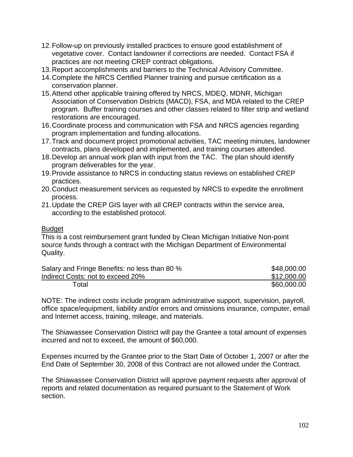- 12.Follow-up on previously installed practices to ensure good establishment of vegetative cover. Contact landowner if corrections are needed. Contact FSA if practices are not meeting CREP contract obligations.
- 13.Report accomplishments and barriers to the Technical Advisory Committee.
- 14.Complete the NRCS Certified Planner training and pursue certification as a conservation planner.
- 15.Attend other applicable training offered by NRCS, MDEQ, MDNR, Michigan Association of Conservation Districts (MACD), FSA, and MDA related to the CREP program. Buffer training courses and other classes related to filter strip and wetland restorations are encouraged.
- 16.Coordinate process and communication with FSA and NRCS agencies regarding program implementation and funding allocations.
- 17.Track and document project promotional activities, TAC meeting minutes, landowner contracts, plans developed and implemented, and training courses attended.
- 18.Develop an annual work plan with input from the TAC. The plan should identify program deliverables for the year.
- 19.Provide assistance to NRCS in conducting status reviews on established CREP practices.
- 20.Conduct measurement services as requested by NRCS to expedite the enrollment process.
- 21.Update the CREP GIS layer with all CREP contracts within the service area, according to the established protocol.

## **Budget**

This is a cost reimbursement grant funded by Clean Michigan Initiative Non-point source funds through a contract with the Michigan Department of Environmental Quality.

| Salary and Fringe Benefits: no less than 80 % | \$48,000.00 |
|-----------------------------------------------|-------------|
| Indirect Costs: not to exceed 20%             | \$12,000.00 |
| Total                                         | \$60,000.00 |

NOTE: The indirect costs include program administrative support, supervision, payroll, office space/equipment, liability and/or errors and omissions insurance, computer, email and Internet access, training, mileage, and materials.

The Shiawassee Conservation District will pay the Grantee a total amount of expenses incurred and not to exceed, the amount of \$60,000.

Expenses incurred by the Grantee prior to the Start Date of October 1, 2007 or after the End Date of September 30, 2008 of this Contract are not allowed under the Contract.

The Shiawassee Conservation District will approve payment requests after approval of reports and related documentation as required pursuant to the Statement of Work section.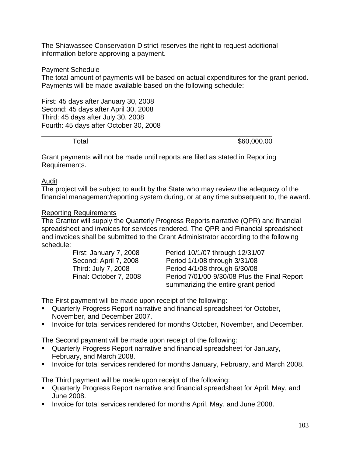The Shiawassee Conservation District reserves the right to request additional information before approving a payment.

## Payment Schedule

The total amount of payments will be based on actual expenditures for the grant period. Payments will be made available based on the following schedule:

First: 45 days after January 30, 2008 Second: 45 days after April 30, 2008 Third: 45 days after July 30, 2008 Fourth: 45 days after October 30, 2008

Total \$60,000.00

Grant payments will not be made until reports are filed as stated in Reporting Requirements.

### Audit

The project will be subject to audit by the State who may review the adequacy of the financial management/reporting system during, or at any time subsequent to, the award.

### Reporting Requirements

The Grantor will supply the Quarterly Progress Reports narrative (QPR) and financial spreadsheet and invoices for services rendered. The QPR and Financial spreadsheet and invoices shall be submitted to the Grant Administrator according to the following schedule:

| First: January 7, 2008 | Period 10/1/07 through 12/31/07              |
|------------------------|----------------------------------------------|
| Second: April 7, 2008  | Period 1/1/08 through 3/31/08                |
| Third: July 7, 2008    | Period 4/1/08 through 6/30/08                |
| Final: October 7, 2008 | Period 7/01/00-9/30/08 Plus the Final Report |
|                        | summarizing the entire grant period          |

The First payment will be made upon receipt of the following:

- Quarterly Progress Report narrative and financial spreadsheet for October, November, and December 2007.
- **EXEDENT Invoice for total services rendered for months October, November, and December.**

The Second payment will be made upon receipt of the following:

- Quarterly Progress Report narrative and financial spreadsheet for January, February, and March 2008.
- Invoice for total services rendered for months January, February, and March 2008.

The Third payment will be made upon receipt of the following:

- Quarterly Progress Report narrative and financial spreadsheet for April, May, and June 2008.
- Invoice for total services rendered for months April, May, and June 2008.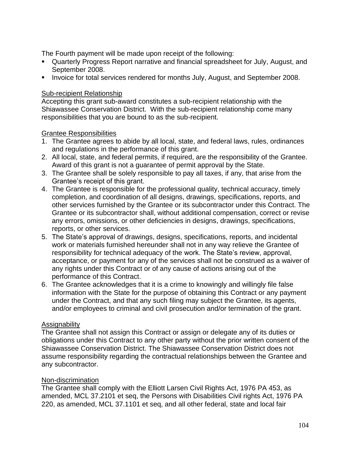The Fourth payment will be made upon receipt of the following:

- Quarterly Progress Report narrative and financial spreadsheet for July, August, and September 2008.
- **EXEDENT Invoice for total services rendered for months July, August, and September 2008.**

# Sub-recipient Relationship

Accepting this grant sub-award constitutes a sub-recipient relationship with the Shiawassee Conservation District. With the sub-recipient relationship come many responsibilities that you are bound to as the sub-recipient.

# Grantee Responsibilities

- 1. The Grantee agrees to abide by all local, state, and federal laws, rules, ordinances and regulations in the performance of this grant.
- 2. All local, state, and federal permits, if required, are the responsibility of the Grantee. Award of this grant is not a guarantee of permit approval by the State.
- 3. The Grantee shall be solely responsible to pay all taxes, if any, that arise from the Grantee's receipt of this grant.
- 4. The Grantee is responsible for the professional quality, technical accuracy, timely completion, and coordination of all designs, drawings, specifications, reports, and other services furnished by the Grantee or its subcontractor under this Contract. The Grantee or its subcontractor shall, without additional compensation, correct or revise any errors, omissions, or other deficiencies in designs, drawings, specifications, reports, or other services.
- 5. The State's approval of drawings, designs, specifications, reports, and incidental work or materials furnished hereunder shall not in any way relieve the Grantee of responsibility for technical adequacy of the work. The State's review, approval, acceptance, or payment for any of the services shall not be construed as a waiver of any rights under this Contract or of any cause of actions arising out of the performance of this Contract.
- 6. The Grantee acknowledges that it is a crime to knowingly and willingly file false information with the State for the purpose of obtaining this Contract or any payment under the Contract, and that any such filing may subject the Grantee, its agents, and/or employees to criminal and civil prosecution and/or termination of the grant.

## Assignability

The Grantee shall not assign this Contract or assign or delegate any of its duties or obligations under this Contract to any other party without the prior written consent of the Shiawassee Conservation District. The Shiawassee Conservation District does not assume responsibility regarding the contractual relationships between the Grantee and any subcontractor.

## Non-discrimination

The Grantee shall comply with the Elliott Larsen Civil Rights Act, 1976 PA 453, as amended, MCL 37.2101 et seq, the Persons with Disabilities Civil rights Act, 1976 PA 220, as amended, MCL 37.1101 et seq, and all other federal, state and local fair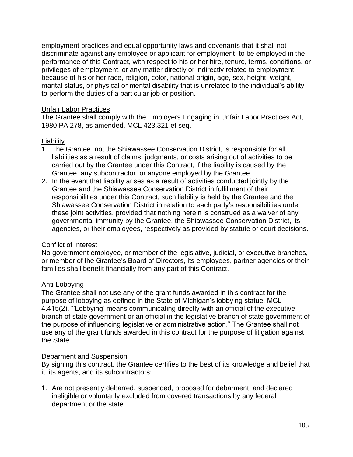employment practices and equal opportunity laws and covenants that it shall not discriminate against any employee or applicant for employment, to be employed in the performance of this Contract, with respect to his or her hire, tenure, terms, conditions, or privileges of employment, or any matter directly or indirectly related to employment, because of his or her race, religion, color, national origin, age, sex, height, weight, marital status, or physical or mental disability that is unrelated to the individual's ability to perform the duties of a particular job or position.

## Unfair Labor Practices

The Grantee shall comply with the Employers Engaging in Unfair Labor Practices Act, 1980 PA 278, as amended, MCL 423.321 et seq.

# **Liability**

- 1. The Grantee, not the Shiawassee Conservation District, is responsible for all liabilities as a result of claims, judgments, or costs arising out of activities to be carried out by the Grantee under this Contract, if the liability is caused by the Grantee, any subcontractor, or anyone employed by the Grantee.
- 2. In the event that liability arises as a result of activities conducted jointly by the Grantee and the Shiawassee Conservation District in fulfillment of their responsibilities under this Contract, such liability is held by the Grantee and the Shiawassee Conservation District in relation to each party's responsibilities under these joint activities, provided that nothing herein is construed as a waiver of any governmental immunity by the Grantee, the Shiawassee Conservation District, its agencies, or their employees, respectively as provided by statute or court decisions.

## Conflict of Interest

No government employee, or member of the legislative, judicial, or executive branches, or member of the Grantee's Board of Directors, its employees, partner agencies or their families shall benefit financially from any part of this Contract.

# Anti-Lobbying

The Grantee shall not use any of the grant funds awarded in this contract for the purpose of lobbying as defined in the State of Michigan's lobbying statue, MCL 4.415(2). "'Lobbying' means communicating directly with an official of the executive branch of state government or an official in the legislative branch of state government of the purpose of influencing legislative or administrative action." The Grantee shall not use any of the grant funds awarded in this contract for the purpose of litigation against the State.

## Debarment and Suspension

By signing this contract, the Grantee certifies to the best of its knowledge and belief that it, its agents, and its subcontractors:

1. Are not presently debarred, suspended, proposed for debarment, and declared ineligible or voluntarily excluded from covered transactions by any federal department or the state.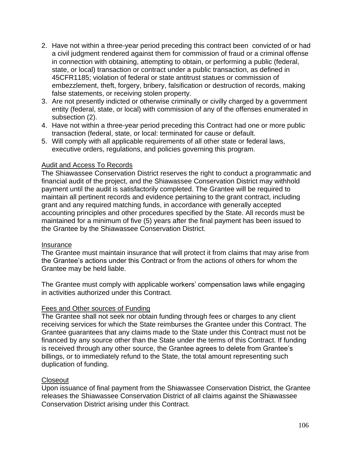- 2. Have not within a three-year period preceding this contract been convicted of or had a civil judgment rendered against them for commission of fraud or a criminal offense in connection with obtaining, attempting to obtain, or performing a public (federal, state, or local) transaction or contract under a public transaction, as defined in 45CFR1185; violation of federal or state antitrust statues or commission of embezzlement, theft, forgery, bribery, falsification or destruction of records, making false statements, or receiving stolen property.
- 3. Are not presently indicted or otherwise criminally or civilly charged by a government entity (federal, state, or local) with commission of any of the offenses enumerated in subsection (2).
- 4. Have not within a three-year period preceding this Contract had one or more public transaction (federal, state, or local: terminated for cause or default.
- 5. Will comply with all applicable requirements of all other state or federal laws, executive orders, regulations, and policies governing this program.

# Audit and Access To Records

The Shiawassee Conservation District reserves the right to conduct a programmatic and financial audit of the project, and the Shiawassee Conservation District may withhold payment until the audit is satisfactorily completed. The Grantee will be required to maintain all pertinent records and evidence pertaining to the grant contract, including grant and any required matching funds, in accordance with generally accepted accounting principles and other procedures specified by the State. All records must be maintained for a minimum of five (5) years after the final payment has been issued to the Grantee by the Shiawassee Conservation District.

# Insurance

The Grantee must maintain insurance that will protect it from claims that may arise from the Grantee's actions under this Contract or from the actions of others for whom the Grantee may be held liable.

The Grantee must comply with applicable workers' compensation laws while engaging in activities authorized under this Contract.

# Fees and Other sources of Funding

The Grantee shall not seek nor obtain funding through fees or charges to any client receiving services for which the State reimburses the Grantee under this Contract. The Grantee guarantees that any claims made to the State under this Contract must not be financed by any source other than the State under the terms of this Contract. If funding is received through any other source, the Grantee agrees to delete from Grantee's billings, or to immediately refund to the State, the total amount representing such duplication of funding.

# **Closeout**

Upon issuance of final payment from the Shiawassee Conservation District, the Grantee releases the Shiawassee Conservation District of all claims against the Shiawassee Conservation District arising under this Contract.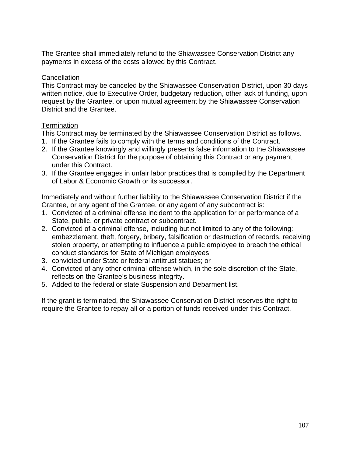The Grantee shall immediately refund to the Shiawassee Conservation District any payments in excess of the costs allowed by this Contract.

# **Cancellation**

This Contract may be canceled by the Shiawassee Conservation District, upon 30 days written notice, due to Executive Order, budgetary reduction, other lack of funding, upon request by the Grantee, or upon mutual agreement by the Shiawassee Conservation District and the Grantee.

# **Termination**

This Contract may be terminated by the Shiawassee Conservation District as follows.

- 1. If the Grantee fails to comply with the terms and conditions of the Contract.
- 2. If the Grantee knowingly and willingly presents false information to the Shiawassee Conservation District for the purpose of obtaining this Contract or any payment under this Contract.
- 3. If the Grantee engages in unfair labor practices that is compiled by the Department of Labor & Economic Growth or its successor.

Immediately and without further liability to the Shiawassee Conservation District if the Grantee, or any agent of the Grantee, or any agent of any subcontract is:

- 1. Convicted of a criminal offense incident to the application for or performance of a State, public, or private contract or subcontract.
- 2. Convicted of a criminal offense, including but not limited to any of the following: embezzlement, theft, forgery, bribery, falsification or destruction of records, receiving stolen property, or attempting to influence a public employee to breach the ethical conduct standards for State of Michigan employees
- 3. convicted under State or federal antitrust statues; or
- 4. Convicted of any other criminal offense which, in the sole discretion of the State, reflects on the Grantee's business integrity.
- 5. Added to the federal or state Suspension and Debarment list.

If the grant is terminated, the Shiawassee Conservation District reserves the right to require the Grantee to repay all or a portion of funds received under this Contract.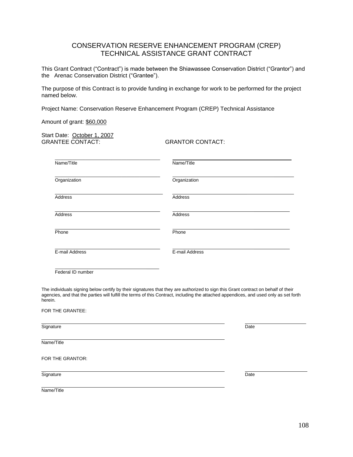# CONSERVATION RESERVE ENHANCEMENT PROGRAM (CREP) TECHNICAL ASSISTANCE GRANT CONTRACT

This Grant Contract ("Contract") is made between the Shiawassee Conservation District ("Grantor") and the Arenac Conservation District ("Grantee").

The purpose of this Contract is to provide funding in exchange for work to be performed for the project named below.

Project Name: Conservation Reserve Enhancement Program (CREP) Technical Assistance

Amount of grant: \$60,000

Start Date: October 1, 2007 GRANTEE CONTACT: GRANTOR CONTACT:

| Name/Title     | Name/Title     |
|----------------|----------------|
| Organization   | Organization   |
| Address        | Address        |
| Address        | Address        |
| Phone          | Phone          |
| E-mail Address | E-mail Address |
|                |                |

Federal ID number

The individuals signing below certify by their signatures that they are authorized to sign this Grant contract on behalf of their agencies, and that the parties will fulfill the terms of this Contract, including the attached appendices, and used only as set forth herein.

| FOR THE GRANTEE: |      |
|------------------|------|
| Signature        | Date |
| Name/Title       |      |
| FOR THE GRANTOR: |      |
| Signature        | Date |
| Name/Title       |      |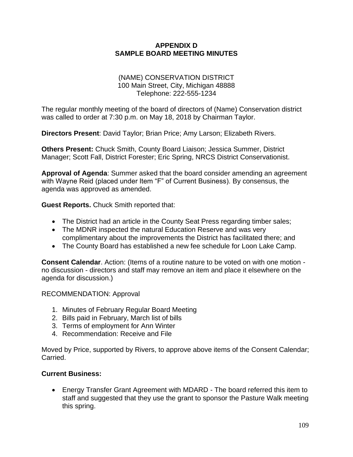# **APPENDIX D SAMPLE BOARD MEETING MINUTES**

### (NAME) CONSERVATION DISTRICT 100 Main Street, City, Michigan 48888 Telephone: 222-555-1234

The regular monthly meeting of the board of directors of (Name) Conservation district was called to order at 7:30 p.m. on May 18, 2018 by Chairman Taylor.

**Directors Present**: David Taylor; Brian Price; Amy Larson; Elizabeth Rivers.

**Others Present:** Chuck Smith, County Board Liaison; Jessica Summer, District Manager; Scott Fall, District Forester; Eric Spring, NRCS District Conservationist.

**Approval of Agenda**: Summer asked that the board consider amending an agreement with Wayne Reid (placed under Item "F" of Current Business). By consensus, the agenda was approved as amended.

**Guest Reports.** Chuck Smith reported that:

- The District had an article in the County Seat Press regarding timber sales;
- The MDNR inspected the natural Education Reserve and was very complimentary about the improvements the District has facilitated there; and
- The County Board has established a new fee schedule for Loon Lake Camp.

**Consent Calendar**. Action: (Items of a routine nature to be voted on with one motion no discussion - directors and staff may remove an item and place it elsewhere on the agenda for discussion.)

RECOMMENDATION: Approval

- 1. Minutes of February Regular Board Meeting
- 2. Bills paid in February, March list of bills
- 3. Terms of employment for Ann Winter
- 4. Recommendation: Receive and File

Moved by Price, supported by Rivers, to approve above items of the Consent Calendar; Carried.

# **Current Business:**

• Energy Transfer Grant Agreement with MDARD - The board referred this item to staff and suggested that they use the grant to sponsor the Pasture Walk meeting this spring.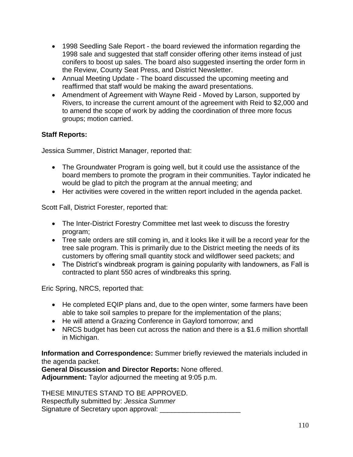- 1998 Seedling Sale Report the board reviewed the information regarding the 1998 sale and suggested that staff consider offering other items instead of just conifers to boost up sales. The board also suggested inserting the order form in the Review, County Seat Press, and District Newsletter.
- Annual Meeting Update The board discussed the upcoming meeting and reaffirmed that staff would be making the award presentations.
- Amendment of Agreement with Wayne Reid Moved by Larson, supported by Rivers, to increase the current amount of the agreement with Reid to \$2,000 and to amend the scope of work by adding the coordination of three more focus groups; motion carried.

# **Staff Reports:**

Jessica Summer, District Manager, reported that:

- The Groundwater Program is going well, but it could use the assistance of the board members to promote the program in their communities. Taylor indicated he would be glad to pitch the program at the annual meeting; and
- Her activities were covered in the written report included in the agenda packet.

Scott Fall, District Forester, reported that:

- The Inter-District Forestry Committee met last week to discuss the forestry program;
- Tree sale orders are still coming in, and it looks like it will be a record year for the tree sale program. This is primarily due to the District meeting the needs of its customers by offering small quantity stock and wildflower seed packets; and
- The District's windbreak program is gaining popularity with landowners, as Fall is contracted to plant 550 acres of windbreaks this spring.

Eric Spring, NRCS, reported that:

- He completed EQIP plans and, due to the open winter, some farmers have been able to take soil samples to prepare for the implementation of the plans;
- He will attend a Grazing Conference in Gaylord tomorrow; and
- NRCS budget has been cut across the nation and there is a \$1.6 million shortfall in Michigan.

**Information and Correspondence:** Summer briefly reviewed the materials included in the agenda packet.

**General Discussion and Director Reports:** None offered. **Adjournment:** Taylor adjourned the meeting at 9:05 p.m.

THESE MINUTES STAND TO BE APPROVED. Respectfully submitted by: *Jessica Summer* Signature of Secretary upon approval: \_\_\_\_\_\_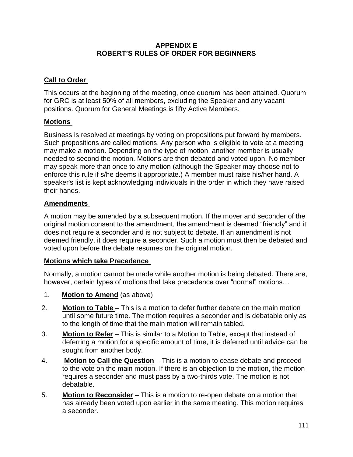# **APPENDIX E ROBERT'S RULES OF ORDER FOR BEGINNERS**

# **Call to Order**

This occurs at the beginning of the meeting, once quorum has been attained. Quorum for GRC is at least 50% of all members, excluding the Speaker and any vacant positions. Quorum for General Meetings is fifty Active Members.

# **Motions**

Business is resolved at meetings by voting on propositions put forward by members. Such propositions are called motions. Any person who is eligible to vote at a meeting may make a motion. Depending on the type of motion, another member is usually needed to second the motion. Motions are then debated and voted upon. No member may speak more than once to any motion (although the Speaker may choose not to enforce this rule if s/he deems it appropriate.) A member must raise his/her hand. A speaker's list is kept acknowledging individuals in the order in which they have raised their hands.

# **Amendments**

A motion may be amended by a subsequent motion. If the mover and seconder of the original motion consent to the amendment, the amendment is deemed "friendly" and it does not require a seconder and is not subject to debate. If an amendment is not deemed friendly, it does require a seconder. Such a motion must then be debated and voted upon before the debate resumes on the original motion.

# **Motions which take Precedence**

Normally, a motion cannot be made while another motion is being debated. There are, however, certain types of motions that take precedence over "normal" motions…

- 1. **Motion to Amend** (as above)
- 2. **Motion to Table** This is a motion to defer further debate on the main motion until some future time. The motion requires a seconder and is debatable only as to the length of time that the main motion will remain tabled.
- 3. **Motion to Refer** This is similar to a Motion to Table, except that instead of deferring a motion for a specific amount of time, it is deferred until advice can be sought from another body.
- 4. **Motion to Call the Question** This is a motion to cease debate and proceed to the vote on the main motion. If there is an objection to the motion, the motion requires a seconder and must pass by a two-thirds vote. The motion is not debatable.
- 5. **Motion to Reconsider** This is a motion to re-open debate on a motion that has already been voted upon earlier in the same meeting. This motion requires a seconder.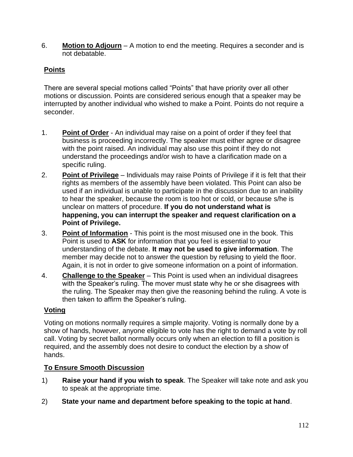6. **Motion to Adjourn** – A motion to end the meeting. Requires a seconder and is not debatable.

# **Points**

There are several special motions called "Points" that have priority over all other motions or discussion. Points are considered serious enough that a speaker may be interrupted by another individual who wished to make a Point. Points do not require a seconder.

- 1. **Point of Order** An individual may raise on a point of order if they feel that business is proceeding incorrectly. The speaker must either agree or disagree with the point raised. An individual may also use this point if they do not understand the proceedings and/or wish to have a clarification made on a specific ruling.
- 2. **Point of Privilege** Individuals may raise Points of Privilege if it is felt that their rights as members of the assembly have been violated. This Point can also be used if an individual is unable to participate in the discussion due to an inability to hear the speaker, because the room is too hot or cold, or because s/he is unclear on matters of procedure. **If you do not understand what is happening, you can interrupt the speaker and request clarification on a Point of Privilege.**
- 3. **Point of Information** This point is the most misused one in the book. This Point is used to **ASK** for information that you feel is essential to your understanding of the debate. **It may not be used to give information**. The member may decide not to answer the question by refusing to yield the floor. Again, it is not in order to give someone information on a point of information.
- 4. **Challenge to the Speaker** This Point is used when an individual disagrees with the Speaker's ruling. The mover must state why he or she disagrees with the ruling. The Speaker may then give the reasoning behind the ruling. A vote is then taken to affirm the Speaker's ruling.

# **Voting**

Voting on motions normally requires a simple majority. Voting is normally done by a show of hands, however, anyone eligible to vote has the right to demand a vote by roll call. Voting by secret ballot normally occurs only when an election to fill a position is required, and the assembly does not desire to conduct the election by a show of hands.

# **To Ensure Smooth Discussion**

- 1) **Raise your hand if you wish to speak**. The Speaker will take note and ask you to speak at the appropriate time.
- 2) **State your name and department before speaking to the topic at hand**.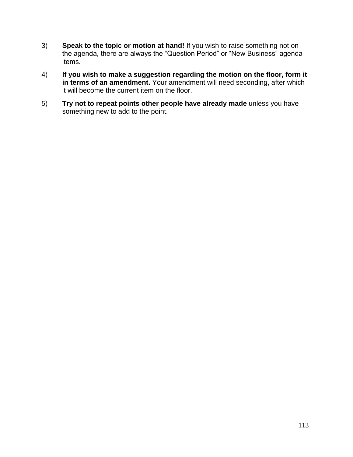- 3) **Speak to the topic or motion at hand!** If you wish to raise something not on the agenda, there are always the "Question Period" or "New Business" agenda items.
- 4) **If you wish to make a suggestion regarding the motion on the floor, form it in terms of an amendment.** Your amendment will need seconding, after which it will become the current item on the floor.
- 5) **Try not to repeat points other people have already made** unless you have something new to add to the point.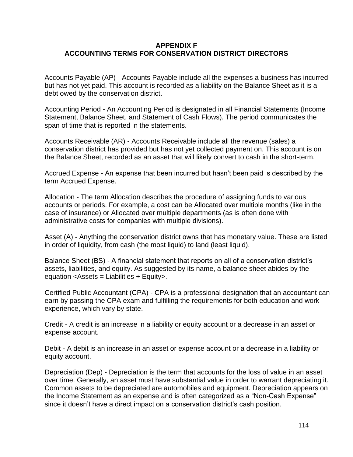## **APPENDIX F ACCOUNTING TERMS FOR CONSERVATION DISTRICT DIRECTORS**

Accounts Payable (AP) - Accounts Payable include all the expenses a business has incurred but has not yet paid. This account is recorded as a liability on the Balance Sheet as it is a debt owed by the conservation district.

Accounting Period - An Accounting Period is designated in all Financial Statements (Income Statement, Balance Sheet, and Statement of Cash Flows). The period communicates the span of time that is reported in the statements.

Accounts Receivable (AR) - Accounts Receivable include all the revenue (sales) a conservation district has provided but has not yet collected payment on. This account is on the Balance Sheet, recorded as an asset that will likely convert to cash in the short-term.

Accrued Expense - An expense that been incurred but hasn't been paid is described by the term Accrued Expense.

Allocation - The term Allocation describes the procedure of assigning funds to various accounts or periods. For example, a cost can be Allocated over multiple months (like in the case of insurance) or Allocated over multiple departments (as is often done with administrative costs for companies with multiple divisions).

Asset (A) - Anything the conservation district owns that has monetary value. These are listed in order of liquidity, from cash (the most liquid) to land (least liquid).

Balance Sheet (BS) - A financial statement that reports on all of a conservation district's assets, liabilities, and equity. As suggested by its name, a balance sheet abides by the equation <Assets = Liabilities + Equity>.

Certified Public Accountant (CPA) - CPA is a professional designation that an accountant can earn by passing the CPA exam and fulfilling the requirements for both education and work experience, which vary by state.

Credit - A credit is an increase in a liability or equity account or a decrease in an asset or expense account.

Debit - A debit is an increase in an asset or expense account or a decrease in a liability or equity account.

Depreciation (Dep) - Depreciation is the term that accounts for the loss of value in an asset over time. Generally, an asset must have substantial value in order to warrant depreciating it. Common assets to be depreciated are automobiles and equipment. Depreciation appears on the Income Statement as an expense and is often categorized as a "Non-Cash Expense" since it doesn't have a direct impact on a conservation district's cash position.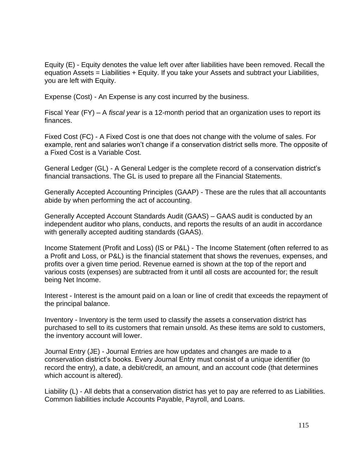Equity (E) - Equity denotes the value left over after liabilities have been removed. Recall the equation Assets = Liabilities + Equity. If you take your Assets and subtract your Liabilities, you are left with Equity.

Expense (Cost) - An Expense is any cost incurred by the business.

Fiscal Year (FY) – A *fiscal year* is a 12-month period that an organization uses to report its finances.

Fixed Cost (FC) - A Fixed Cost is one that does not change with the volume of sales. For example, rent and salaries won't change if a conservation district sells more. The opposite of a Fixed Cost is a Variable Cost.

General Ledger (GL) - A General Ledger is the complete record of a conservation district's financial transactions. The GL is used to prepare all the Financial Statements.

Generally Accepted Accounting Principles (GAAP) - These are the rules that all accountants abide by when performing the act of accounting.

Generally Accepted Account Standards Audit (GAAS) – GAAS audit is conducted by an independent auditor who plans, conducts, and reports the results of an audit in accordance with generally accepted auditing standards (GAAS).

Income Statement (Profit and Loss) (IS or P&L) - The Income Statement (often referred to as a Profit and Loss, or P&L) is the financial statement that shows the revenues, expenses, and profits over a given time period. Revenue earned is shown at the top of the report and various costs (expenses) are subtracted from it until all costs are accounted for; the result being Net Income.

Interest - Interest is the amount paid on a loan or line of credit that exceeds the repayment of the principal balance.

Inventory - Inventory is the term used to classify the assets a conservation district has purchased to sell to its customers that remain unsold. As these items are sold to customers, the inventory account will lower.

Journal Entry (JE) - Journal Entries are how updates and changes are made to a conservation district's books. Every Journal Entry must consist of a unique identifier (to record the entry), a date, a debit/credit, an amount, and an account code (that determines which account is altered).

Liability (L) - All debts that a conservation district has yet to pay are referred to as Liabilities. Common liabilities include Accounts Payable, Payroll, and Loans.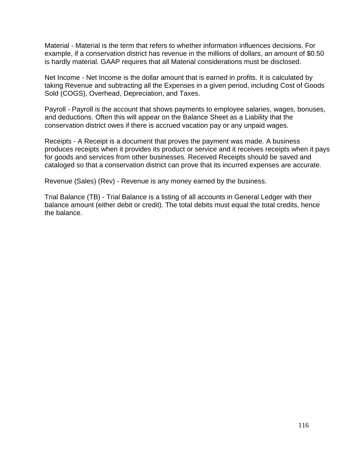Material - Material is the term that refers to whether information influences decisions. For example, if a conservation district has revenue in the millions of dollars, an amount of \$0.50 is hardly material. GAAP requires that all Material considerations must be disclosed.

Net Income - Net Income is the dollar amount that is earned in profits. It is calculated by taking Revenue and subtracting all the Expenses in a given period, including Cost of Goods Sold (COGS), Overhead, Depreciation, and Taxes.

Payroll - Payroll is the account that shows payments to employee salaries, wages, bonuses, and deductions. Often this will appear on the Balance Sheet as a Liability that the conservation district owes if there is accrued vacation pay or any unpaid wages.

Receipts - A Receipt is a document that proves the payment was made. A business produces receipts when it provides its product or service and it receives receipts when it pays for goods and services from other businesses. Received Receipts should be saved and cataloged so that a conservation district can prove that its incurred expenses are accurate.

Revenue (Sales) (Rev) - Revenue is any money earned by the business.

Trial Balance (TB) - Trial Balance is a listing of all accounts in General Ledger with their balance amount (either debit or credit). The total debits must equal the total credits, hence the balance.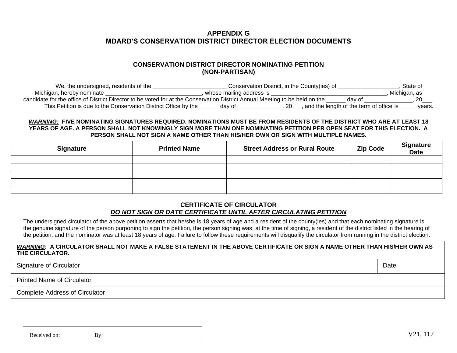# **APPENDIX G MDARD'S CONSERVATION DISTRICT DIRECTOR ELECTION DOCUMENTS**

### **CONSERVATION DISTRICT DIRECTOR NOMINATING PETITION (NON-PARTISAN)**

| We, the undersigned, residents of the                           | Conservation District, in the County(ies) of                                                                                | State of                                            |
|-----------------------------------------------------------------|-----------------------------------------------------------------------------------------------------------------------------|-----------------------------------------------------|
| Michigan, hereby nominate                                       | whose mailing address is                                                                                                    | Michigan, as                                        |
|                                                                 | candidate for the office of District Director to be voted for at the Conservation District Annual Meeting to be held on the | dav of                                              |
| This Petition is due to the Conservation District Office by the | dav of                                                                                                                      | and the length of the term of office is _<br>years. |

#### *WARNING:* **FIVE NOMINATING SIGNATURES REQUIRED. NOMINATIONS MUST BE FROM RESIDENTS OF THE DISTRICT WHO ARE AT LEAST 18 YEARS OF AGE. A PERSON SHALL NOT KNOWINGLY SIGN MORE THAN ONE NOMINATING PETITION PER OPEN SEAT FOR THIS ELECTION. A PERSON SHALL NOT SIGN A NAME OTHER THAN HIS/HER OWN OR SIGN WITH MULTIPLE NAMES.**

| <b>Signature</b> | <b>Printed Name</b> | <b>Street Address or Rural Route</b> | <b>Zip Code</b> | <b>Signature</b><br><b>Date</b> |
|------------------|---------------------|--------------------------------------|-----------------|---------------------------------|
|                  |                     |                                      |                 |                                 |
|                  |                     |                                      |                 |                                 |
|                  |                     |                                      |                 |                                 |
|                  |                     |                                      |                 |                                 |
|                  |                     |                                      |                 |                                 |

#### **CERTIFICATE OF CIRCULATOR** *DO NOT SIGN OR DATE CERTIFICATE UNTIL AFTER CIRCULATING PETITION*

The undersigned circulator of the above petition asserts that he/she is 18 years of age and a resident of the county(ies) and that each nominating signature is the genuine signature of the person purporting to sign the petition, the person signing was, at the time of signing, a resident of the district listed in the hearing of the petition, and the nominator was at least 18 years of age. Failure to follow these requirements will disqualify the circulator from running in the district election.

#### *WARNING***: A CIRCULATOR SHALL NOT MAKE A FALSE STATEMENT IN THE ABOVE CERTIFICATE OR SIGN A NAME OTHER THAN HIS/HER OWN AS THE CIRCULATOR.**

Signature of Circulator **Date Date Date Date Date Date Date Date Date Date Date Date Date Date Date Date Date Date Date Date Date Date Date Date Date Date Date Date D** 

Printed Name of Circulator

Complete Address of Circulator

Received on: By: By:  $V21, 117$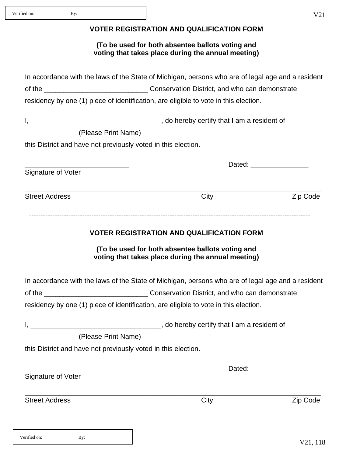### **VOTER REGISTRATION AND QUALIFICATION FORM**

### **(To be used for both absentee ballots voting and voting that takes place during the annual meeting)**

| In accordance with the laws of the State of Michigan, persons who are of legal age and a resident |                                                |                 |  |  |
|---------------------------------------------------------------------------------------------------|------------------------------------------------|-----------------|--|--|
|                                                                                                   | Conservation District, and who can demonstrate |                 |  |  |
| residency by one (1) piece of identification, are eligible to vote in this election.              |                                                |                 |  |  |
|                                                                                                   |                                                |                 |  |  |
| (Please Print Name)                                                                               |                                                |                 |  |  |
| this District and have not previously voted in this election.                                     |                                                |                 |  |  |
| Signature of Voter                                                                                |                                                |                 |  |  |
| <b>Street Address</b>                                                                             | City                                           | <b>Zip Code</b> |  |  |

# **VOTER REGISTRATION AND QUALIFICATION FORM**

**(To be used for both absentee ballots voting and voting that takes place during the annual meeting)**

In accordance with the laws of the State of Michigan, persons who are of legal age and a resident

\_\_\_\_\_\_\_\_\_\_\_\_\_\_\_\_\_\_\_\_\_\_\_\_\_\_\_\_\_\_\_\_\_\_\_\_\_\_\_\_\_\_\_\_\_\_\_\_\_\_\_\_\_\_\_\_\_\_\_\_\_\_\_\_\_\_\_\_\_\_\_\_\_\_\_\_\_

of the \_\_\_\_\_\_\_\_\_\_\_\_\_\_\_\_\_\_\_\_\_\_\_\_\_\_\_ Conservation District, and who can demonstrate

residency by one (1) piece of identification, are eligible to vote in this election.

I, \_\_\_\_\_\_\_\_\_\_\_\_\_\_\_\_\_\_\_\_\_\_\_\_\_\_\_\_\_\_\_\_\_\_, do hereby certify that I am a resident of

(Please Print Name)

this District and have not previously voted in this election.

Signature of Voter

Street Address **City** City **City City City Zip Code** 

Dated:

V21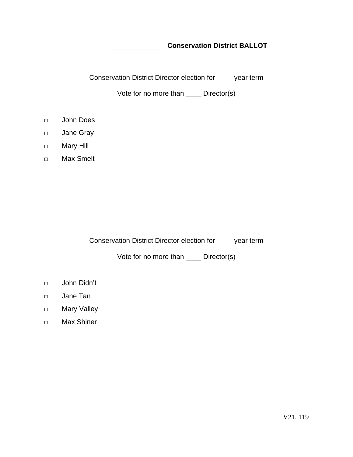\_\_ \_\_ **Conservation District BALLOT**

Conservation District Director election for \_\_\_\_ year term

Vote for no more than \_\_\_\_ Director(s)

- □ John Does
- □ Jane Gray
- □ Mary Hill
- □ Max Smelt

Conservation District Director election for \_\_\_\_ year term

Vote for no more than \_\_\_\_ Director(s)

- □ John Didn't
- □ Jane Tan
- □ Mary Valley
- □ Max Shiner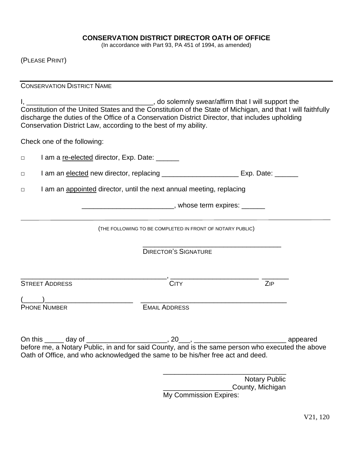### **CONSERVATION DISTRICT DIRECTOR OATH OF OFFICE**

(In accordance with Part 93, PA 451 of 1994, as amended)

(PLEASE PRINT)

CONSERVATION DISTRICT NAME

I, \_\_\_\_\_\_\_\_\_\_\_\_\_\_\_\_\_\_\_\_\_\_\_\_\_\_\_\_\_\_\_\_\_, do solemnly swear/affirm that I will support the Constitution of the United States and the Constitution of the State of Michigan, and that I will faithfully discharge the duties of the Office of a Conservation District Director, that includes upholding Conservation District Law, according to the best of my ability.

Check one of the following:

□ I am an elected new director, replacing \_\_\_\_\_\_\_\_\_\_\_\_\_\_\_\_\_\_\_\_\_\_\_ Exp. Date: \_\_\_\_\_\_

□ I am an appointed director, until the next annual meeting, replacing

□ I am a re-elected director, Exp. Date: \_\_\_\_\_\_

\_\_\_\_\_\_\_\_\_\_\_\_\_\_\_\_\_\_\_\_\_\_\_\_, whose term expires: \_\_\_\_\_\_\_

(THE FOLLOWING TO BE COMPLETED IN FRONT OF NOTARY PUBLIC)

\_\_\_\_\_\_\_\_\_\_\_\_\_\_\_\_\_\_\_\_\_\_\_\_\_\_\_\_\_\_\_\_\_\_\_\_ DIRECTOR'S SIGNATURE

STREET ADDRESS CITY CONTROLLER THE STREET ADDRESS

\_\_\_\_\_\_\_\_\_\_\_\_\_\_\_\_\_\_\_\_\_\_\_\_\_\_\_\_\_\_\_\_\_\_\_\_\_\_, \_\_\_\_\_\_\_\_\_\_\_\_\_\_\_\_\_\_\_\_\_\_\_ \_\_\_\_\_\_\_

 $($   $)$ 

PHONE NUMBER EMAIL ADDRESS

On this \_\_\_\_\_ day of \_\_\_\_\_\_\_\_\_\_\_\_\_\_\_\_\_\_\_\_\_, 20\_\_\_, \_\_\_\_\_\_\_\_\_\_\_\_\_\_\_\_\_\_\_\_\_\_\_\_ appeared before me, a Notary Public, in and for said County, and is the same person who executed the above Oath of Office, and who acknowledged the same to be his/her free act and deed.

> \_\_\_\_\_\_\_\_\_\_\_\_\_\_\_\_\_\_\_\_\_\_\_\_\_\_\_\_\_\_\_\_ Notary Public **Example 2** County, Michigan My Commission Expires: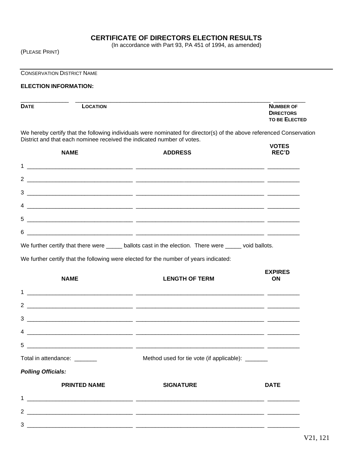# **CERTIFICATE OF DIRECTORS ELECTION RESULTS**

(In accordance with Part 93, PA 451 of 1994, as amended)

(PLEASE PRINT)

CONSERVATION DISTRICT NAME

#### **ELECTION INFORMATION:**

| <b>DATE</b> | LOCATION | <b>NUMBER OF</b>                         |
|-------------|----------|------------------------------------------|
|             |          | <b>DIRECTORS</b><br><b>TO BE ELECTED</b> |

We hereby certify that the following individuals were nominated for director(s) of the above referenced Conservation District and that each nominee received the indicated number of votes.  **VOTES**

| <b>NAME</b>                  | <b>ADDRESS</b>                                                                                                                                                                                                                                                                                                                                                                                                                                                                | VOTES<br><b>REC'D</b>       |
|------------------------------|-------------------------------------------------------------------------------------------------------------------------------------------------------------------------------------------------------------------------------------------------------------------------------------------------------------------------------------------------------------------------------------------------------------------------------------------------------------------------------|-----------------------------|
|                              |                                                                                                                                                                                                                                                                                                                                                                                                                                                                               |                             |
|                              |                                                                                                                                                                                                                                                                                                                                                                                                                                                                               |                             |
| 3                            |                                                                                                                                                                                                                                                                                                                                                                                                                                                                               |                             |
|                              |                                                                                                                                                                                                                                                                                                                                                                                                                                                                               |                             |
|                              |                                                                                                                                                                                                                                                                                                                                                                                                                                                                               |                             |
| 6                            |                                                                                                                                                                                                                                                                                                                                                                                                                                                                               |                             |
|                              | We further certify that there were _____ ballots cast in the election. There were ____ void ballots.                                                                                                                                                                                                                                                                                                                                                                          |                             |
|                              | We further certify that the following were elected for the number of years indicated:                                                                                                                                                                                                                                                                                                                                                                                         |                             |
| <b>NAME</b>                  | <b>LENGTH OF TERM</b>                                                                                                                                                                                                                                                                                                                                                                                                                                                         | <b>EXPIRES</b><br><b>ON</b> |
|                              |                                                                                                                                                                                                                                                                                                                                                                                                                                                                               |                             |
|                              |                                                                                                                                                                                                                                                                                                                                                                                                                                                                               |                             |
|                              |                                                                                                                                                                                                                                                                                                                                                                                                                                                                               |                             |
|                              | $\overline{4}$ $\overline{\phantom{a}}$ $\overline{\phantom{a}}$ $\overline{\phantom{a}}$ $\overline{\phantom{a}}$ $\overline{\phantom{a}}$ $\overline{\phantom{a}}$ $\overline{\phantom{a}}$ $\overline{\phantom{a}}$ $\overline{\phantom{a}}$ $\overline{\phantom{a}}$ $\overline{\phantom{a}}$ $\overline{\phantom{a}}$ $\overline{\phantom{a}}$ $\overline{\phantom{a}}$ $\overline{\phantom{a}}$ $\overline{\phantom{a}}$ $\overline{\phantom{a}}$ $\overline{\phantom{$ |                             |
| 5.                           | <u> 2000 - Andrea State Barbara, Amerikaansk politiker (d. 1982)</u>                                                                                                                                                                                                                                                                                                                                                                                                          |                             |
| Total in attendance: _______ | Method used for tie vote (if applicable): ______                                                                                                                                                                                                                                                                                                                                                                                                                              |                             |
| <b>Polling Officials:</b>    |                                                                                                                                                                                                                                                                                                                                                                                                                                                                               |                             |
| <b>PRINTED NAME</b>          | <b>SIGNATURE</b>                                                                                                                                                                                                                                                                                                                                                                                                                                                              | <b>DATE</b>                 |
| $\mathbf 1$                  | <u> 1989 - Jan Bernard Bernard, menyebat berketapan berketapan berketapan berketapan berketapan berketapan berke</u>                                                                                                                                                                                                                                                                                                                                                          |                             |
|                              |                                                                                                                                                                                                                                                                                                                                                                                                                                                                               |                             |
|                              |                                                                                                                                                                                                                                                                                                                                                                                                                                                                               |                             |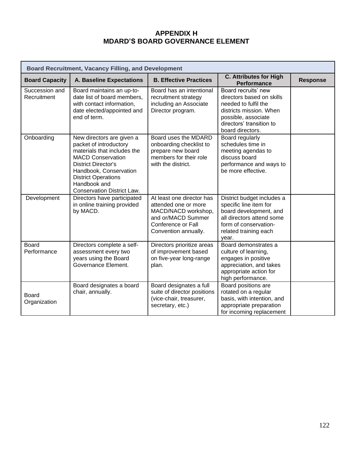# **APPENDIX H MDARD'S BOARD GOVERNANCE ELEMENT**

| <b>Board Recruitment, Vacancy Filling, and Development</b> |                                                                                                                                                                                                                                                           |                                                                                                                                              |                                                                                                                                                                            |                 |  |
|------------------------------------------------------------|-----------------------------------------------------------------------------------------------------------------------------------------------------------------------------------------------------------------------------------------------------------|----------------------------------------------------------------------------------------------------------------------------------------------|----------------------------------------------------------------------------------------------------------------------------------------------------------------------------|-----------------|--|
| <b>Board Capacity</b>                                      | <b>A. Baseline Expectations</b>                                                                                                                                                                                                                           | <b>B. Effective Practices</b>                                                                                                                | <b>C. Attributes for High</b><br><b>Performance</b>                                                                                                                        | <b>Response</b> |  |
| Succession and<br>Recruitment                              | Board maintains an up-to-<br>date list of board members,<br>with contact information,<br>date elected/appointed and<br>end of term.                                                                                                                       | Board has an intentional<br>recruitment strategy<br>including an Associate<br>Director program.                                              | Board recruits' new<br>directors based on skills<br>needed to fulfil the<br>districts mission. When<br>possible, associate<br>directors' transition to<br>board directors. |                 |  |
| Onboarding                                                 | New directors are given a<br>packet of introductory<br>materials that includes the<br><b>MACD Conservation</b><br><b>District Director's</b><br>Handbook, Conservation<br><b>District Operations</b><br>Handbook and<br><b>Conservation District Law.</b> | Board uses the MDARD<br>onboarding checklist to<br>prepare new board<br>members for their role<br>with the district.                         | Board regularly<br>schedules time in<br>meeting agendas to<br>discuss board<br>performance and ways to<br>be more effective.                                               |                 |  |
| Development                                                | Directors have participated<br>in online training provided<br>by MACD.                                                                                                                                                                                    | At least one director has<br>attended one or more<br>MACD/NACD workshop,<br>and or/MACD Summer<br>Conference or Fall<br>Convention annually. | District budget includes a<br>specific line item for<br>board development, and<br>all directors attend some<br>form of conservation-<br>related training each<br>year.     |                 |  |
| <b>Board</b><br>Performance                                | Directors complete a self-<br>assessment every two<br>years using the Board<br>Governance Element.                                                                                                                                                        | Directors prioritize areas<br>of improvement based<br>on five-year long-range<br>plan.                                                       | Board demonstrates a<br>culture of learning,<br>engages in positive<br>appreciation, and takes<br>appropriate action for<br>high performance.                              |                 |  |
| <b>Board</b><br>Organization                               | Board designates a board<br>chair, annually.                                                                                                                                                                                                              | Board designates a full<br>suite of director positions<br>(vice-chair, treasurer,<br>secretary, etc.)                                        | Board positions are<br>rotated on a regular<br>basis, with intention, and<br>appropriate preparation<br>for incoming replacement                                           |                 |  |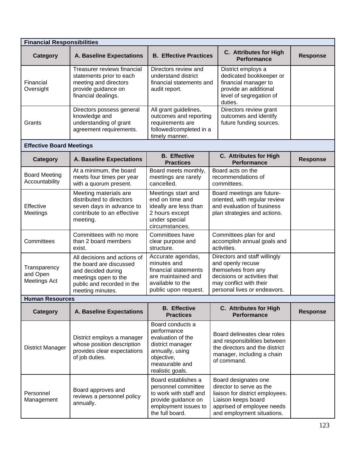| <b>Financial Responsibilities</b>               |                                                                                                                                                         |                                                                                                                                                 |                                                                                                                                                                        |                 |  |
|-------------------------------------------------|---------------------------------------------------------------------------------------------------------------------------------------------------------|-------------------------------------------------------------------------------------------------------------------------------------------------|------------------------------------------------------------------------------------------------------------------------------------------------------------------------|-----------------|--|
| <b>Category</b>                                 | <b>A. Baseline Expectations</b>                                                                                                                         | <b>B. Effective Practices</b>                                                                                                                   | C. Attributes for High<br><b>Performance</b>                                                                                                                           | <b>Response</b> |  |
| Financial<br>Oversight                          | <b>Treasurer reviews financial</b><br>statements prior to each<br>meeting and directors<br>provide guidance on<br>financial dealings.                   | Directors review and<br>understand district<br>financial statements and<br>audit report.                                                        | District employs a<br>dedicated bookkeeper or<br>financial manager to<br>provide an additional<br>level of segregation of<br>duties.                                   |                 |  |
| Grants                                          | Directors possess general<br>knowledge and<br>understanding of grant<br>agreement requirements.                                                         | All grant guidelines,<br>outcomes and reporting<br>requirements are<br>followed/completed in a<br>timely manner.                                | Directors review grant<br>outcomes and identify<br>future funding sources.                                                                                             |                 |  |
| <b>Effective Board Meetings</b>                 |                                                                                                                                                         |                                                                                                                                                 |                                                                                                                                                                        |                 |  |
| Category                                        | <b>A. Baseline Expectations</b>                                                                                                                         | <b>B.</b> Effective<br><b>Practices</b>                                                                                                         | C. Attributes for High<br><b>Performance</b>                                                                                                                           | <b>Response</b> |  |
| <b>Board Meeting</b><br>Accountability          | At a minimum, the board<br>meets four times per year<br>with a quorum present.                                                                          | Board meets monthly,<br>meetings are rarely<br>cancelled.                                                                                       | Board acts on the<br>recommendations of<br>committees.                                                                                                                 |                 |  |
| Effective<br>Meetings                           | Meeting materials are<br>distributed to directors<br>seven days in advance to<br>contribute to an effective<br>meeting.                                 | Meetings start and<br>end on time and<br>ideally are less than<br>2 hours except<br>under special<br>circumstances.                             | Board meetings are future-<br>oriented, with regular review<br>and evaluation of business<br>plan strategies and actions.                                              |                 |  |
| Committees                                      | Committees with no more<br>than 2 board members<br>exist.                                                                                               | Committees have<br>clear purpose and<br>structure.                                                                                              | Committees plan for and<br>accomplish annual goals and<br>activities.                                                                                                  |                 |  |
| Transparency<br>and Open<br><b>Meetings Act</b> | All decisions and actions of<br>the board are discussed<br>and decided during<br>meetings open to the<br>public and recorded in the<br>meeting minutes. | Accurate agendas,<br>minutes and<br>financial statements<br>are maintained and<br>available to the<br>public upon request.                      | Directors and staff willingly<br>and openly recuse<br>themselves from any<br>decisions or activities that<br>may conflict with their<br>personal lives or endeavors.   |                 |  |
| <b>Human Resources</b>                          |                                                                                                                                                         |                                                                                                                                                 |                                                                                                                                                                        |                 |  |
| <b>Category</b>                                 | <b>A. Baseline Expectations</b>                                                                                                                         | <b>B.</b> Effective<br><b>Practices</b>                                                                                                         | C. Attributes for High<br><b>Performance</b>                                                                                                                           | <b>Response</b> |  |
| <b>District Manager</b>                         | District employs a manager<br>whose position description<br>provides clear expectations<br>of job duties.                                               | Board conducts a<br>performance<br>evaluation of the<br>district manager<br>annually, using<br>objective,<br>measurable and<br>realistic goals. | Board delineates clear roles<br>and responsibilities between<br>the directors and the district<br>manager, including a chain<br>of command.                            |                 |  |
| Personnel<br>Management                         | Board approves and<br>reviews a personnel policy<br>annually.                                                                                           | Board establishes a<br>personnel committee<br>to work with staff and<br>provide guidance on<br>employment issues to<br>the full board.          | Board designates one<br>director to serve as the<br>liaison for district employees.<br>Liaison keeps board<br>apprised of employee needs<br>and employment situations. |                 |  |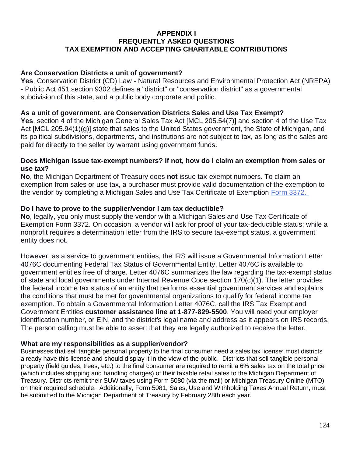# **APPENDIX I FREQUENTLY ASKED QUESTIONS TAX EXEMPTION AND ACCEPTING CHARITABLE CONTRIBUTIONS**

# **Are Conservation Districts a unit of government?**

**Yes**, Conservation District (CD) Law - Natural Resources and Environmental Protection Act (NREPA) - Public Act 451 section 9302 defines a "district" or "conservation district" as a governmental subdivision of this state, and a public body corporate and politic.

# **As a unit of government, are Conservation Districts Sales and Use Tax Exempt?**

**Yes**, section 4 of the Michigan General Sales Tax Act [MCL 205.54(7)] and section 4 of the Use Tax Act [MCL 205.94(1)(g)] state that sales to the United States government, the State of Michigan, and its political subdivisions, departments, and institutions are not subject to tax, as long as the sales are paid for directly to the seller by warrant using government funds.

### **Does Michigan issue tax-exempt numbers? If not, how do I claim an exemption from sales or use tax?**

**No**, the Michigan Department of Treasury does **not** issue tax-exempt numbers. To claim an exemption from sales or use tax, a purchaser must provide valid documentation of the exemption to the vendor by completing a Michigan Sales and Use Tax Certificate of Exemption [Form 3372.](https://www.michigan.gov/documents/taxes/3372_216612_7.pdf)

# **Do I have to prove to the supplier/vendor I am tax deductible?**

**No**, legally, you only must supply the vendor with a Michigan Sales and Use Tax Certificate of Exemption Form 3372. On occasion, a vendor will ask for proof of your tax-deductible status; while a nonprofit requires a determination letter from the IRS to secure tax-exempt status, a government entity does not.

However, as a service to government entities, the IRS will issue a Governmental Information Letter 4076C documenting Federal Tax Status of Governmental Entity. Letter 4076C is available to government entities free of charge. Letter 4076C summarizes the law regarding the tax-exempt status of state and local governments under Internal Revenue Code section 170(c)(1). The letter provides the federal income tax status of an entity that performs essential government services and explains the conditions that must be met for governmental organizations to qualify for federal income tax exemption. To obtain a Governmental Information Letter 4076C, call the IRS Tax Exempt and Government Entities **customer assistance line at 1-877-829-5500**. You will need your employer identification number, or EIN, and the district's legal name and address as it appears on IRS records. The person calling must be able to assert that they are legally authorized to receive the letter.

# **What are my responsibilities as a supplier/vendor?**

Businesses that sell tangible personal property to the final consumer need a sales tax license; most districts already have this license and should display it in the view of the public. Districts that sell tangible personal property (field guides, trees, etc.) to the final consumer are required to remit a 6% sales tax on the total price (which includes shipping and handling charges) of their taxable retail sales to the Michigan Department of Treasury. Districts remit their SUW taxes using Form 5080 (via the mail) or Michigan Treasury Online (MTO) on their required schedule. Additionally, Form 5081, Sales, Use and Withholding Taxes Annual Return, must be submitted to the Michigan Department of Treasury by February 28th each year.